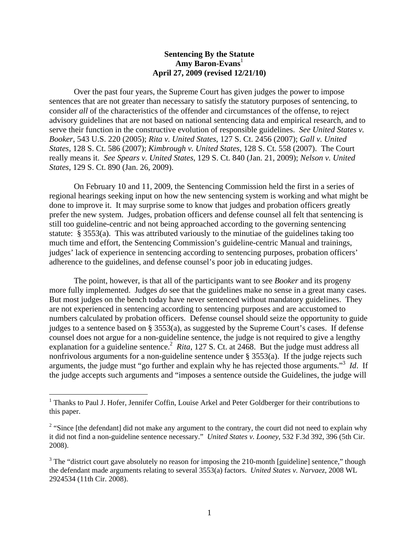### **Sentencing By the Statute Amy Baron-Evans**<sup>1</sup> **April 27, 2009 (revised 12/21/10)**

Over the past four years, the Supreme Court has given judges the power to impose sentences that are not greater than necessary to satisfy the statutory purposes of sentencing, to consider *all* of the characteristics of the offender and circumstances of the offense, to reject advisory guidelines that are not based on national sentencing data and empirical research, and to serve their function in the constructive evolution of responsible guidelines. *See United States v. Booker*, 543 U.S. 220 (2005); *Rita v. United States*, 127 S. Ct. 2456 (2007); *Gall v. United States*, 128 S. Ct. 586 (2007); *Kimbrough v. United States*, 128 S. Ct. 558 (2007). The Court really means it. *See Spears v. United States*, 129 S. Ct. 840 (Jan. 21, 2009); *Nelson v. United States*, 129 S. Ct. 890 (Jan. 26, 2009).

On February 10 and 11, 2009, the Sentencing Commission held the first in a series of regional hearings seeking input on how the new sentencing system is working and what might be done to improve it. It may surprise some to know that judges and probation officers greatly prefer the new system. Judges, probation officers and defense counsel all felt that sentencing is still too guideline-centric and not being approached according to the governing sentencing statute: § 3553(a). This was attributed variously to the minutiae of the guidelines taking too much time and effort, the Sentencing Commission's guideline-centric Manual and trainings, judges' lack of experience in sentencing according to sentencing purposes, probation officers' adherence to the guidelines, and defense counsel's poor job in educating judges.

 The point, however, is that all of the participants want to see *Booker* and its progeny more fully implemented. Judges *do* see that the guidelines make no sense in a great many cases. But most judges on the bench today have never sentenced without mandatory guidelines. They are not experienced in sentencing according to sentencing purposes and are accustomed to numbers calculated by probation officers. Defense counsel should seize the opportunity to guide judges to a sentence based on § 3553(a), as suggested by the Supreme Court's cases. If defense counsel does not argue for a non-guideline sentence, the judge is not required to give a lengthy explanation for a guideline sentence.<sup>2</sup> *Rita*, 127 S. Ct. at 2468. But the judge must address all nonfrivolous arguments for a non-guideline sentence under § 3553(a). If the judge rejects such arguments, the judge must "go further and explain why he has rejected those arguments."<sup>3</sup> *Id*. If the judge accepts such arguments and "imposes a sentence outside the Guidelines, the judge will

1

<sup>&</sup>lt;sup>1</sup> Thanks to Paul J. Hofer, Jennifer Coffin, Louise Arkel and Peter Goldberger for their contributions to this paper.

<sup>&</sup>lt;sup>2</sup> "Since [the defendant] did not make any argument to the contrary, the court did not need to explain why it did not find a non-guideline sentence necessary." *United States v. Looney*, 532 F.3d 392, 396 (5th Cir. 2008).

 $3$  The "district court gave absolutely no reason for imposing the 210-month [guideline] sentence," though the defendant made arguments relating to several 3553(a) factors. *United States v. Narvaez*, 2008 WL 2924534 (11th Cir. 2008).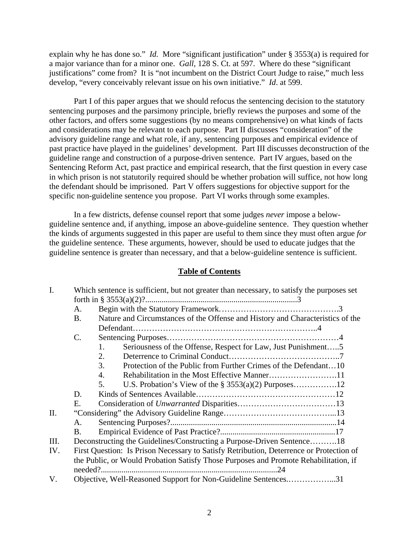explain why he has done so." *Id.* More "significant justification" under § 3553(a) is required for a major variance than for a minor one. *Gall*, 128 S. Ct. at 597. Where do these "significant justifications" come from? It is "not incumbent on the District Court Judge to raise," much less develop, "every conceivably relevant issue on his own initiative." *Id*. at 599.

Part I of this paper argues that we should refocus the sentencing decision to the statutory sentencing purposes and the parsimony principle, briefly reviews the purposes and some of the other factors, and offers some suggestions (by no means comprehensive) on what kinds of facts and considerations may be relevant to each purpose. Part II discusses "consideration" of the advisory guideline range and what role, if any, sentencing purposes and empirical evidence of past practice have played in the guidelines' development. Part III discusses deconstruction of the guideline range and construction of a purpose-driven sentence. Part IV argues, based on the Sentencing Reform Act, past practice and empirical research, that the first question in every case in which prison is not statutorily required should be whether probation will suffice, not how long the defendant should be imprisoned. Part V offers suggestions for objective support for the specific non-guideline sentence you propose. Part VI works through some examples.

In a few districts, defense counsel report that some judges *never* impose a belowguideline sentence and, if anything, impose an above-guideline sentence. They question whether the kinds of arguments suggested in this paper are useful to them since they must often argue *for* the guideline sentence. These arguments, however, should be used to educate judges that the guideline sentence is greater than necessary, and that a below-guideline sentence is sufficient.

#### **Table of Contents**

| I.  | Which sentence is sufficient, but not greater than necessary, to satisfy the purposes set   |                                                                                         |  |  |  |  |
|-----|---------------------------------------------------------------------------------------------|-----------------------------------------------------------------------------------------|--|--|--|--|
|     |                                                                                             |                                                                                         |  |  |  |  |
|     | A.                                                                                          |                                                                                         |  |  |  |  |
|     | Nature and Circumstances of the Offense and History and Characteristics of the<br><b>B.</b> |                                                                                         |  |  |  |  |
|     |                                                                                             |                                                                                         |  |  |  |  |
|     | $\mathbf{C}$ .                                                                              |                                                                                         |  |  |  |  |
|     |                                                                                             | Seriousness of the Offense, Respect for Law, Just Punishment5<br>1.                     |  |  |  |  |
|     |                                                                                             | 2.                                                                                      |  |  |  |  |
|     |                                                                                             | Protection of the Public from Further Crimes of the Defendant10<br>3.                   |  |  |  |  |
|     |                                                                                             | 4.                                                                                      |  |  |  |  |
|     |                                                                                             | 5.                                                                                      |  |  |  |  |
|     | D.                                                                                          |                                                                                         |  |  |  |  |
|     | Е.                                                                                          |                                                                                         |  |  |  |  |
| П.  |                                                                                             |                                                                                         |  |  |  |  |
|     | A.                                                                                          |                                                                                         |  |  |  |  |
|     | <b>B.</b>                                                                                   |                                                                                         |  |  |  |  |
| Ш.  |                                                                                             | Deconstructing the Guidelines/Constructing a Purpose-Driven Sentence18                  |  |  |  |  |
| IV. |                                                                                             | First Question: Is Prison Necessary to Satisfy Retribution, Deterrence or Protection of |  |  |  |  |
|     |                                                                                             | the Public, or Would Probation Satisfy Those Purposes and Promote Rehabilitation, if    |  |  |  |  |
|     |                                                                                             |                                                                                         |  |  |  |  |
| V.  |                                                                                             | Objective, Well-Reasoned Support for Non-Guideline Sentences31                          |  |  |  |  |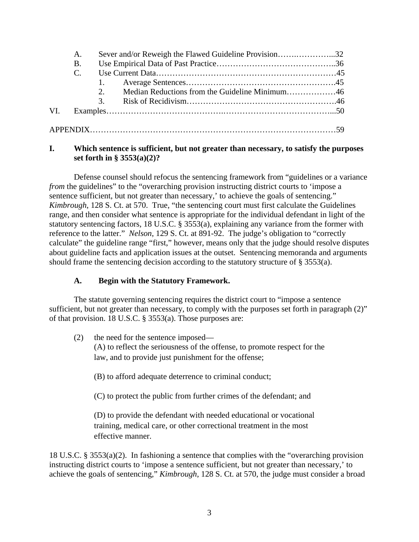|     | A.            | Sever and/or Reweigh the Flawed Guideline Provision32 |
|-----|---------------|-------------------------------------------------------|
|     | <b>B.</b>     |                                                       |
|     | $\mathcal{C}$ |                                                       |
|     |               |                                                       |
|     |               | 2. Median Reductions from the Guideline Minimum46     |
|     |               |                                                       |
| VL. |               |                                                       |
|     |               |                                                       |

### **I. Which sentence is sufficient, but not greater than necessary, to satisfy the purposes set forth in § 3553(a)(2)?**

Defense counsel should refocus the sentencing framework from "guidelines or a variance *from* the guidelines" to the "overarching provision instructing district courts to 'impose a sentence sufficient, but not greater than necessary,' to achieve the goals of sentencing." *Kimbrough*, 128 S. Ct. at 570. True, "the sentencing court must first calculate the Guidelines range, and then consider what sentence is appropriate for the individual defendant in light of the statutory sentencing factors, 18 U.S.C. § 3553(a), explaining any variance from the former with reference to the latter." *Nelson*, 129 S. Ct. at 891-92. The judge's obligation to "correctly calculate" the guideline range "first," however, means only that the judge should resolve disputes about guideline facts and application issues at the outset. Sentencing memoranda and arguments should frame the sentencing decision according to the statutory structure of § 3553(a).

## **A. Begin with the Statutory Framework.**

The statute governing sentencing requires the district court to "impose a sentence sufficient, but not greater than necessary, to comply with the purposes set forth in paragraph (2)" of that provision. 18 U.S.C. § 3553(a). Those purposes are:

 (2) the need for the sentence imposed— (A) to reflect the seriousness of the offense, to promote respect for the law, and to provide just punishment for the offense;

(B) to afford adequate deterrence to criminal conduct;

(C) to protect the public from further crimes of the defendant; and

 (D) to provide the defendant with needed educational or vocational training, medical care, or other correctional treatment in the most effective manner.

18 U.S.C. § 3553(a)(2). In fashioning a sentence that complies with the "overarching provision instructing district courts to 'impose a sentence sufficient, but not greater than necessary,' to achieve the goals of sentencing," *Kimbrough*, 128 S. Ct. at 570, the judge must consider a broad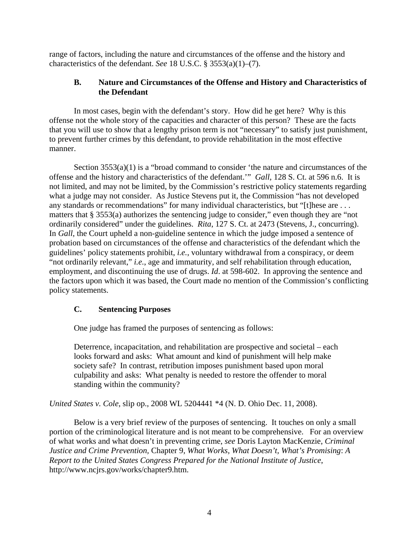range of factors, including the nature and circumstances of the offense and the history and characteristics of the defendant. *See* 18 U.S.C. § 3553(a)(1)–(7).

### **B. Nature and Circumstances of the Offense and History and Characteristics of the Defendant**

In most cases, begin with the defendant's story. How did he get here? Why is this offense not the whole story of the capacities and character of this person? These are the facts that you will use to show that a lengthy prison term is not "necessary" to satisfy just punishment, to prevent further crimes by this defendant, to provide rehabilitation in the most effective manner.

Section  $3553(a)(1)$  is a "broad command to consider 'the nature and circumstances of the offense and the history and characteristics of the defendant.'" *Gall*, 128 S. Ct. at 596 n.6. It is not limited, and may not be limited, by the Commission's restrictive policy statements regarding what a judge may not consider. As Justice Stevens put it, the Commission "has not developed any standards or recommendations" for many individual characteristics, but "[t]hese are . . . matters that § 3553(a) authorizes the sentencing judge to consider," even though they are "not ordinarily considered" under the guidelines. *Rita*, 127 S. Ct. at 2473 (Stevens, J., concurring). In *Gall*, the Court upheld a non-guideline sentence in which the judge imposed a sentence of probation based on circumstances of the offense and characteristics of the defendant which the guidelines' policy statements prohibit, *i.e.*, voluntary withdrawal from a conspiracy, or deem "not ordinarily relevant," *i.e.*, age and immaturity, and self rehabilitation through education, employment, and discontinuing the use of drugs. *Id*. at 598-602. In approving the sentence and the factors upon which it was based, the Court made no mention of the Commission's conflicting policy statements.

## **C. Sentencing Purposes**

One judge has framed the purposes of sentencing as follows:

Deterrence, incapacitation, and rehabilitation are prospective and societal – each looks forward and asks: What amount and kind of punishment will help make society safe? In contrast, retribution imposes punishment based upon moral culpability and asks: What penalty is needed to restore the offender to moral standing within the community?

*United States v. Cole*, slip op., 2008 WL 5204441 \*4 (N. D. Ohio Dec. 11, 2008).

 Below is a very brief review of the purposes of sentencing. It touches on only a small portion of the criminological literature and is not meant to be comprehensive. For an overview of what works and what doesn't in preventing crime, *see* Doris Layton MacKenzie, *Criminal Justice and Crime Prevention,* Chapter 9, *What Works, What Doesn't, What's Promising*: *A Report to the United States Congress Prepared for the National Institute of Justice*, http://www.ncjrs.gov/works/chapter9.htm.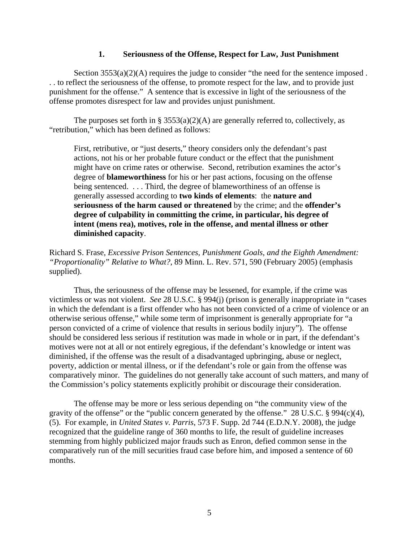#### **1. Seriousness of the Offense, Respect for Law, Just Punishment**

Section  $3553(a)(2)(A)$  requires the judge to consider "the need for the sentence imposed. . . to reflect the seriousness of the offense, to promote respect for the law, and to provide just punishment for the offense." A sentence that is excessive in light of the seriousness of the offense promotes disrespect for law and provides unjust punishment.

The purposes set forth in §  $3553(a)(2)(A)$  are generally referred to, collectively, as "retribution," which has been defined as follows:

First, retributive, or "just deserts," theory considers only the defendant's past actions, not his or her probable future conduct or the effect that the punishment might have on crime rates or otherwise. Second, retribution examines the actor's degree of **blameworthiness** for his or her past actions, focusing on the offense being sentenced. . . . Third, the degree of blameworthiness of an offense is generally assessed according to **two kinds of elements**: the **nature and seriousness of the harm caused or threatened** by the crime; and the **offender's degree of culpability in committing the crime, in particular, his degree of intent (mens rea), motives, role in the offense, and mental illness or other diminished capacity**.

Richard S. Frase, *Excessive Prison Sentences, Punishment Goals, and the Eighth Amendment: "Proportionality" Relative to What?*, 89 Minn. L. Rev. 571, 590 (February 2005) (emphasis supplied).

Thus, the seriousness of the offense may be lessened, for example, if the crime was victimless or was not violent. *See* 28 U.S.C. § 994(j) (prison is generally inappropriate in "cases in which the defendant is a first offender who has not been convicted of a crime of violence or an otherwise serious offense," while some term of imprisonment is generally appropriate for "a person convicted of a crime of violence that results in serious bodily injury"). The offense should be considered less serious if restitution was made in whole or in part, if the defendant's motives were not at all or not entirely egregious, if the defendant's knowledge or intent was diminished, if the offense was the result of a disadvantaged upbringing, abuse or neglect, poverty, addiction or mental illness, or if the defendant's role or gain from the offense was comparatively minor. The guidelines do not generally take account of such matters, and many of the Commission's policy statements explicitly prohibit or discourage their consideration.

The offense may be more or less serious depending on "the community view of the gravity of the offense" or the "public concern generated by the offense."  $28$  U.S.C. § 994(c)(4), (5). For example, in *United States v. Parris*, 573 F. Supp. 2d 744 (E.D.N.Y. 2008), the judge recognized that the guideline range of 360 months to life, the result of guideline increases stemming from highly publicized major frauds such as Enron, defied common sense in the comparatively run of the mill securities fraud case before him, and imposed a sentence of 60 months.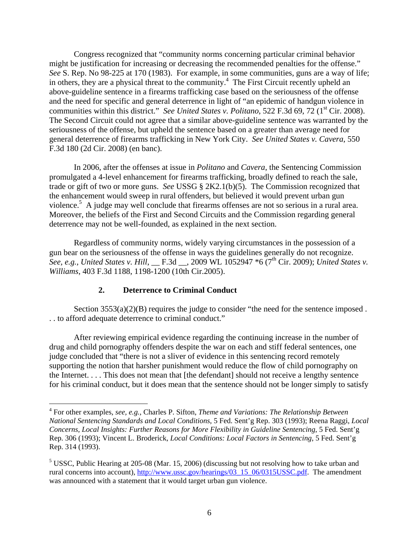Congress recognized that "community norms concerning particular criminal behavior might be justification for increasing or decreasing the recommended penalties for the offense." *See* S. Rep. No 98-225 at 170 (1983). For example, in some communities, guns are a way of life; in others, they are a physical threat to the community.<sup>4</sup> The First Circuit recently upheld an above-guideline sentence in a firearms trafficking case based on the seriousness of the offense and the need for specific and general deterrence in light of "an epidemic of handgun violence in communities within this district." *See United States v. Politano*, 522 F.3d 69, 72 (1<sup>st</sup> Cir. 2008). The Second Circuit could not agree that a similar above-guideline sentence was warranted by the seriousness of the offense, but upheld the sentence based on a greater than average need for general deterrence of firearms trafficking in New York City. *See United States v. Cavera*, 550 F.3d 180 (2d Cir. 2008) (en banc).

In 2006, after the offenses at issue in *Politano* and *Cavera*, the Sentencing Commission promulgated a 4-level enhancement for firearms trafficking, broadly defined to reach the sale, trade or gift of two or more guns. *See* USSG § 2K2.1(b)(5). The Commission recognized that the enhancement would sweep in rural offenders, but believed it would prevent urban gun violence.<sup>5</sup> A judge may well conclude that firearms offenses are not so serious in a rural area. Moreover, the beliefs of the First and Second Circuits and the Commission regarding general deterrence may not be well-founded, as explained in the next section.

Regardless of community norms, widely varying circumstances in the possession of a gun bear on the seriousness of the offense in ways the guidelines generally do not recognize. See, e.g., United States v. Hill, \_\_ F.3d \_\_, 2009 WL 1052947  $*6$  (7<sup>th</sup> Cir. 2009); *United States v. Williams*, 403 F.3d 1188, 1198-1200 (10th Cir.2005).

#### **2. Deterrence to Criminal Conduct**

1

Section  $3553(a)(2)(B)$  requires the judge to consider "the need for the sentence imposed. . . to afford adequate deterrence to criminal conduct."

After reviewing empirical evidence regarding the continuing increase in the number of drug and child pornography offenders despite the war on each and stiff federal sentences, one judge concluded that "there is not a sliver of evidence in this sentencing record remotely supporting the notion that harsher punishment would reduce the flow of child pornography on the Internet. . . . This does not mean that [the defendant] should not receive a lengthy sentence for his criminal conduct, but it does mean that the sentence should not be longer simply to satisfy

<sup>4</sup> For other examples, *see, e.g.,* Charles P. Sifton, *Theme and Variations: The Relationship Between National Sentencing Standards and Local Conditions*, 5 Fed. Sent'g Rep. 303 (1993); Reena Raggi, *Local Concerns, Local Insights: Further Reasons for More Flexibility in Guideline Sentencing*, 5 Fed. Sent'g Rep. 306 (1993); Vincent L. Broderick, *Local Conditions: Local Factors in Sentencing*, 5 Fed. Sent'g Rep. 314 (1993).

<sup>&</sup>lt;sup>5</sup> USSC, Public Hearing at 205-08 (Mar. 15, 2006) (discussing but not resolving how to take urban and rural concerns into account), http://www.ussc.gov/hearings/03\_15\_06/0315USSC.pdf. The amendment was announced with a statement that it would target urban gun violence.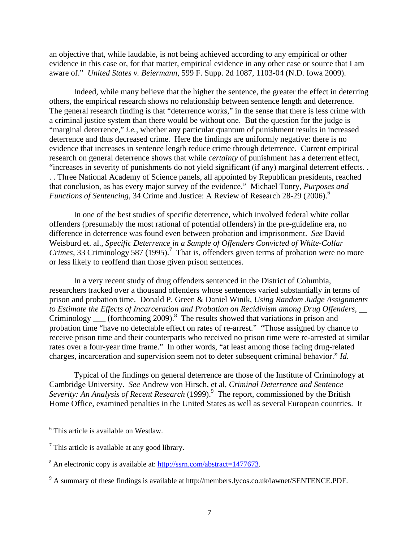an objective that, while laudable, is not being achieved according to any empirical or other evidence in this case or, for that matter, empirical evidence in any other case or source that I am aware of." *United States v. Beiermann*, 599 F. Supp. 2d 1087, 1103-04 (N.D. Iowa 2009).

Indeed, while many believe that the higher the sentence, the greater the effect in deterring others, the empirical research shows no relationship between sentence length and deterrence. The general research finding is that "deterrence works," in the sense that there is less crime with a criminal justice system than there would be without one. But the question for the judge is "marginal deterrence," *i.e.*, whether any particular quantum of punishment results in increased deterrence and thus decreased crime. Here the findings are uniformly negative: there is no evidence that increases in sentence length reduce crime through deterrence. Current empirical research on general deterrence shows that while *certainty* of punishment has a deterrent effect, "increases in severity of punishments do not yield significant (if any) marginal deterrent effects. . . . Three National Academy of Science panels, all appointed by Republican presidents, reached that conclusion, as has every major survey of the evidence." Michael Tonry, *Purposes and Functions of Sentencing*, 34 Crime and Justice: A Review of Research 28-29 (2006).<sup>6</sup>

In one of the best studies of specific deterrence, which involved federal white collar offenders (presumably the most rational of potential offenders) in the pre-guideline era, no difference in deterrence was found even between probation and imprisonment. *See* David Weisburd et. al., *Specific Deterrence in a Sample of Offenders Convicted of White-Collar Crimes*, 33 Criminology 587 (1995).<sup>7</sup> That is, offenders given terms of probation were no more or less likely to reoffend than those given prison sentences.

In a very recent study of drug offenders sentenced in the District of Columbia, researchers tracked over a thousand offenders whose sentences varied substantially in terms of prison and probation time. Donald P. Green & Daniel Winik, *Using Random Judge Assignments to Estimate the Effects of Incarceration and Probation on Recidivism among Drug Offenders*, \_\_ Criminology  $\_\_$  (forthcoming 2009).<sup>8</sup> The results showed that variations in prison and probation time "have no detectable effect on rates of re-arrest." "Those assigned by chance to receive prison time and their counterparts who received no prison time were re-arrested at similar rates over a four-year time frame." In other words, "at least among those facing drug-related charges, incarceration and supervision seem not to deter subsequent criminal behavior." *Id.*

Typical of the findings on general deterrence are those of the Institute of Criminology at Cambridge University. *See* Andrew von Hirsch, et al, *Criminal Deterrence and Sentence*  Severity: An Analysis of Recent Research (1999).<sup>9</sup> The report, commissioned by the British Home Office, examined penalties in the United States as well as several European countries. It

 6 This article is available on Westlaw.

 $7$  This article is available at any good library.

<sup>&</sup>lt;sup>8</sup> An electronic copy is available at: http://ssrn.com/abstract=1477673.

 $9^9$  A summary of these findings is available at http://members.lycos.co.uk/lawnet/SENTENCE.PDF.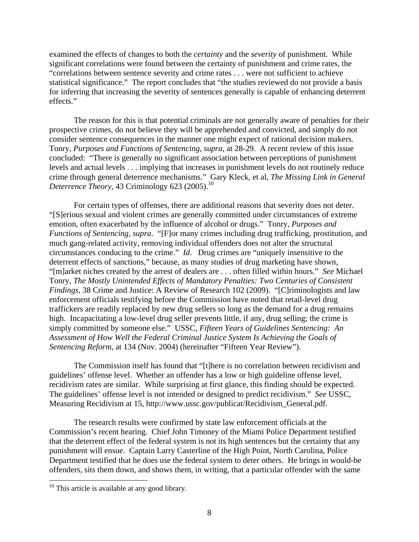examined the effects of changes to both the *certainty* and the *severity* of punishment. While significant correlations were found between the certainty of punishment and crime rates, the "correlations between sentence severity and crime rates . . . were not sufficient to achieve statistical significance." The report concludes that "the studies reviewed do not provide a basis for inferring that increasing the severity of sentences generally is capable of enhancing deterrent effects."

The reason for this is that potential criminals are not generally aware of penalties for their prospective crimes, do not believe they will be apprehended and convicted, and simply do not consider sentence consequences in the manner one might expect of rational decision makers. Tonry, *Purposes and Functions of Sentencing*, *supra*, at 28-29. A recent review of this issue concluded: "There is generally no significant association between perceptions of punishment levels and actual levels . . . implying that increases in punishment levels do not routinely reduce crime through general deterrence mechanisms." Gary Kleck, et al, *The Missing Link in General Deterrence Theory*, 43 Criminology 623 (2005).<sup>10</sup>

For certain types of offenses, there are additional reasons that severity does not deter. "[S]erious sexual and violent crimes are generally committed under circumstances of extreme emotion, often exacerbated by the influence of alcohol or drugs." Tonry, *Purposes and Functions of Sentencing*, *supra*. "[F]or many crimes including drug trafficking, prostitution, and much gang-related activity, removing individual offenders does not alter the structural circumstances conducing to the crime." *Id*. Drug crimes are "uniquely insensitive to the deterrent effects of sanctions," because, as many studies of drug marketing have shown, "[m]arket niches created by the arrest of dealers are . . . often filled within hours." *See* Michael Tonry, *The Mostly Unintended Effects of Mandatory Penalties: Two Centuries of Consistent Findings*, 38 Crime and Justice: A Review of Research 102 (2009). "[C]riminologists and law enforcement officials testifying before the Commission have noted that retail-level drug traffickers are readily replaced by new drug sellers so long as the demand for a drug remains high. Incapacitating a low-level drug seller prevents little, if any, drug selling; the crime is simply committed by someone else." USSC, *Fifteen Years of Guidelines Sentencing: An Assessment of How Well the Federal Criminal Justice System Is Achieving the Goals of Sentencing Reform*, at 134 (Nov. 2004) (hereinafter "Fifteen Year Review").

The Commission itself has found that "[t]here is no correlation between recidivism and guidelines' offense level. Whether an offender has a low or high guideline offense level, recidivism rates are similar. While surprising at first glance, this finding should be expected. The guidelines' offense level is not intended or designed to predict recidivism." *See* USSC, Measuring Recidivism at 15, http://www.ussc.gov/publicat/Recidivism\_General.pdf.

 The research results were confirmed by state law enforcement officials at the Commission's recent hearing. Chief John Timoney of the Miami Police Department testified that the deterrent effect of the federal system is not its high sentences but the certainty that any punishment will ensue. Captain Larry Casterline of the High Point, North Carolina, Police Department testified that he does use the federal system to deter others. He brings in would-be offenders, sits them down, and shows them, in writing, that a particular offender with the same

 $10$  This article is available at any good library.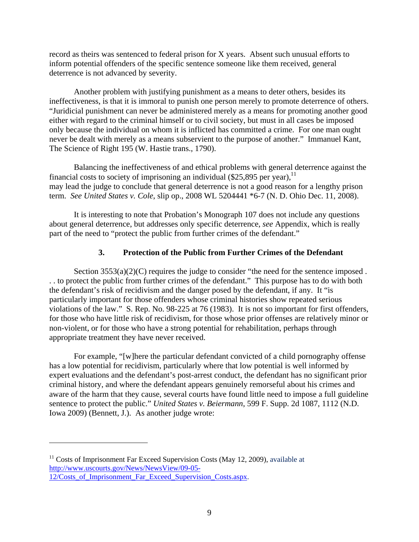record as theirs was sentenced to federal prison for X years. Absent such unusual efforts to inform potential offenders of the specific sentence someone like them received, general deterrence is not advanced by severity.

 Another problem with justifying punishment as a means to deter others, besides its ineffectiveness, is that it is immoral to punish one person merely to promote deterrence of others. "Juridicial punishment can never be administered merely as a means for promoting another good either with regard to the criminal himself or to civil society, but must in all cases be imposed only because the individual on whom it is inflicted has committed a crime. For one man ought never be dealt with merely as a means subservient to the purpose of another." Immanuel Kant, The Science of Right 195 (W. Hastie trans., 1790).

Balancing the ineffectiveness of and ethical problems with general deterrence against the financial costs to society of imprisoning an individual  $(\$25,895$  per year), <sup>11</sup> may lead the judge to conclude that general deterrence is not a good reason for a lengthy prison term. *See United States v. Cole*, slip op., 2008 WL 5204441 \*6-7 (N. D. Ohio Dec. 11, 2008).

 It is interesting to note that Probation's Monograph 107 does not include any questions about general deterrence, but addresses only specific deterrence, *see* Appendix, which is really part of the need to "protect the public from further crimes of the defendant."

## **3. Protection of the Public from Further Crimes of the Defendant**

Section  $3553(a)(2)(C)$  requires the judge to consider "the need for the sentence imposed. . . to protect the public from further crimes of the defendant." This purpose has to do with both the defendant's risk of recidivism and the danger posed by the defendant, if any. It "is particularly important for those offenders whose criminal histories show repeated serious violations of the law." S. Rep. No. 98-225 at 76 (1983). It is not so important for first offenders, for those who have little risk of recidivism, for those whose prior offenses are relatively minor or non-violent, or for those who have a strong potential for rehabilitation, perhaps through appropriate treatment they have never received.

For example, "[w]here the particular defendant convicted of a child pornography offense has a low potential for recidivism, particularly where that low potential is well informed by expert evaluations and the defendant's post-arrest conduct, the defendant has no significant prior criminal history, and where the defendant appears genuinely remorseful about his crimes and aware of the harm that they cause, several courts have found little need to impose a full guideline sentence to protect the public." *United States v. Beiermann*, 599 F. Supp. 2d 1087, 1112 (N.D. Iowa 2009) (Bennett, J.). As another judge wrote:

 $11$  Costs of Imprisonment Far Exceed Supervision Costs (May 12, 2009), available at http://www.uscourts.gov/News/NewsView/09-05- 12/Costs\_of\_Imprisonment\_Far\_Exceed\_Supervision\_Costs.aspx.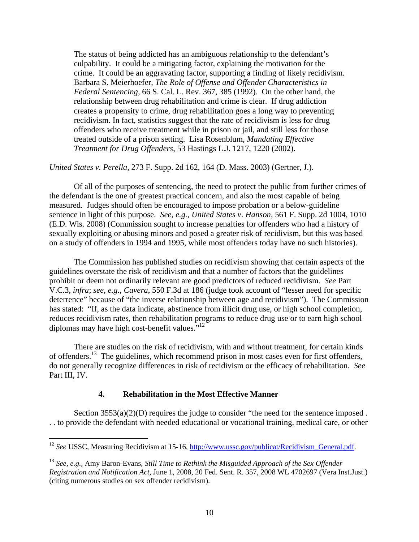The status of being addicted has an ambiguous relationship to the defendant's culpability. It could be a mitigating factor, explaining the motivation for the crime. It could be an aggravating factor, supporting a finding of likely recidivism. Barbara S. Meierhoefer, *The Role of Offense and Offender Characteristics in Federal Sentencing*, 66 S. Cal. L. Rev. 367, 385 (1992). On the other hand, the relationship between drug rehabilitation and crime is clear. If drug addiction creates a propensity to crime, drug rehabilitation goes a long way to preventing recidivism. In fact, statistics suggest that the rate of recidivism is less for drug offenders who receive treatment while in prison or jail, and still less for those treated outside of a prison setting. Lisa Rosenblum, *Mandating Effective Treatment for Drug Offenders*, 53 Hastings L.J. 1217, 1220 (2002).

*United States v. Perella,* 273 F. Supp. 2d 162, 164 (D. Mass. 2003) (Gertner, J.).

Of all of the purposes of sentencing, the need to protect the public from further crimes of the defendant is the one of greatest practical concern, and also the most capable of being measured. Judges should often be encouraged to impose probation or a below-guideline sentence in light of this purpose. *See, e.g., United States v*. *Hanson*, 561 F. Supp. 2d 1004, 1010 (E.D. Wis. 2008) (Commission sought to increase penalties for offenders who had a history of sexually exploiting or abusing minors and posed a greater risk of recidivism, but this was based on a study of offenders in 1994 and 1995, while most offenders today have no such histories).

The Commission has published studies on recidivism showing that certain aspects of the guidelines overstate the risk of recidivism and that a number of factors that the guidelines prohibit or deem not ordinarily relevant are good predictors of reduced recidivism. *See* Part V.C.3, *infra*; *see, e.g., Cavera*, 550 F.3d at 186 (judge took account of "lesser need for specific deterrence" because of "the inverse relationship between age and recidivism"). The Commission has stated: "If, as the data indicate, abstinence from illicit drug use, or high school completion, reduces recidivism rates, then rehabilitation programs to reduce drug use or to earn high school diplomas may have high cost-benefit values."<sup>12</sup>

There are studies on the risk of recidivism, with and without treatment, for certain kinds of offenders.13 The guidelines, which recommend prison in most cases even for first offenders, do not generally recognize differences in risk of recidivism or the efficacy of rehabilitation. *See*  Part III, IV.

#### **4. Rehabilitation in the Most Effective Manner**

 $\overline{a}$ 

Section  $3553(a)(2)(D)$  requires the judge to consider "the need for the sentence imposed. . . to provide the defendant with needed educational or vocational training, medical care, or other

<sup>&</sup>lt;sup>12</sup> See USSC, Measuring Recidivism at 15-16, http://www.ussc.gov/publicat/Recidivism\_General.pdf.

<sup>13</sup> *See, e.g.,* Amy Baron-Evans, *Still Time to Rethink the Misguided Approach of the Sex Offender Registration and Notification Act*, June 1, 2008, 20 Fed. Sent. R. 357, 2008 WL 4702697 (Vera Inst.Just.) (citing numerous studies on sex offender recidivism).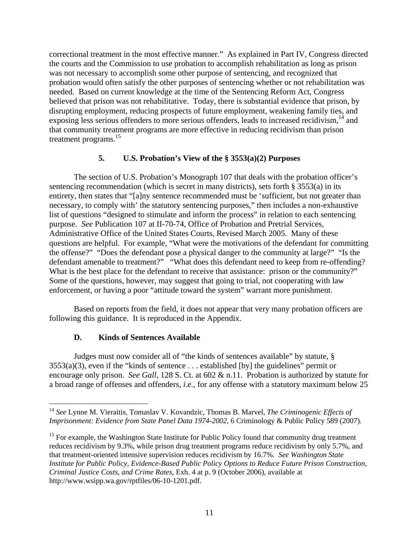correctional treatment in the most effective manner." As explained in Part IV, Congress directed the courts and the Commission to use probation to accomplish rehabilitation as long as prison was not necessary to accomplish some other purpose of sentencing, and recognized that probation would often satisfy the other purposes of sentencing whether or not rehabilitation was needed. Based on current knowledge at the time of the Sentencing Reform Act, Congress believed that prison was not rehabilitative. Today, there is substantial evidence that prison, by disrupting employment, reducing prospects of future employment, weakening family ties, and exposing less serious offenders to more serious offenders, leads to increased recidivism, <sup>14</sup> and that community treatment programs are more effective in reducing recidivism than prison treatment programs.<sup>15</sup>

### **5. U.S. Probation's View of the § 3553(a)(2) Purposes**

 The section of U.S. Probation's Monograph 107 that deals with the probation officer's sentencing recommendation (which is secret in many districts), sets forth § 3553(a) in its entirety, then states that "[a]ny sentence recommended must be 'sufficient, but not greater than necessary, to comply with' the statutory sentencing purposes," then includes a non-exhaustive list of questions "designed to stimulate and inform the process" in relation to each sentencing purpose. *See* Publication 107 at II-70-74, Office of Probation and Pretrial Services, Administrative Office of the United States Courts, Revised March 2005. Many of these questions are helpful. For example, "What were the motivations of the defendant for committing the offense?" "Does the defendant pose a physical danger to the community at large?" "Is the defendant amenable to treatment?" "What does this defendant need to keep from re-offending? What is the best place for the defendant to receive that assistance: prison or the community?" Some of the questions, however, may suggest that going to trial, not cooperating with law enforcement, or having a poor "attitude toward the system" warrant more punishment.

Based on reports from the field, it does not appear that very many probation officers are following this guidance. It is reproduced in the Appendix.

### **D. Kinds of Sentences Available**

1

Judges must now consider all of "the kinds of sentences available" by statute, §  $3553(a)(3)$ , even if the "kinds of sentence . . . established [by] the guidelines" permit or encourage only prison. *See Gall*, 128 S. Ct. at 602 & n.11. Probation is authorized by statute for a broad range of offenses and offenders, *i.e.*, for any offense with a statutory maximum below 25

<sup>14</sup> *See* Lynne M. Vieraitis, Tomaslav V. Kovandzic, Thomas B. Marvel, *The Criminogenic Effects of Imprisonment: Evidence from State Panel Data 1974-2002*, 6 Criminology & Public Policy 589 (2007).

<sup>&</sup>lt;sup>15</sup> For example, the Washington State Institute for Public Policy found that community drug treatment reduces recidivism by 9.3%, while prison drug treatment programs reduce recidivism by only 5.7%, and that treatment-oriented intensive supervision reduces recidivism by 16.7%. *See Washington State Institute for Public Policy, Evidence-Based Public Policy Options to Reduce Future Prison Construction, Criminal Justice Costs, and Crime Rates*, Exh. 4 at p. 9 (October 2006), available at http://www.wsipp.wa.gov/rptfiles/06-10-1201.pdf.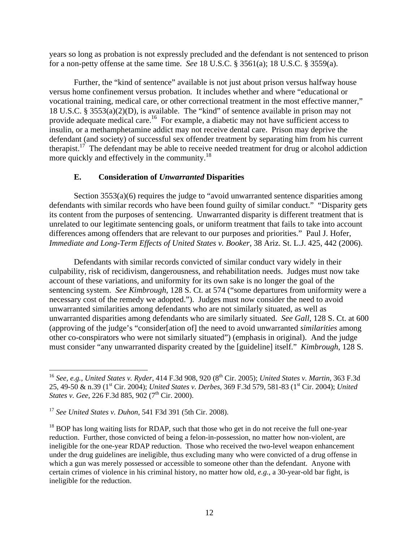years so long as probation is not expressly precluded and the defendant is not sentenced to prison for a non-petty offense at the same time. *See* 18 U.S.C. § 3561(a); 18 U.S.C. § 3559(a).

Further, the "kind of sentence" available is not just about prison versus halfway house versus home confinement versus probation. It includes whether and where "educational or vocational training, medical care, or other correctional treatment in the most effective manner," 18 U.S.C. § 3553(a)(2)(D), is available. The "kind" of sentence available in prison may not provide adequate medical care.<sup>16</sup> For example, a diabetic may not have sufficient access to insulin, or a methamphetamine addict may not receive dental care. Prison may deprive the defendant (and society) of successful sex offender treatment by separating him from his current therapist.<sup>17</sup> The defendant may be able to receive needed treatment for drug or alcohol addiction more quickly and effectively in the community.<sup>18</sup>

### **E. Consideration of** *Unwarranted* **Disparities**

Section 3553(a)(6) requires the judge to "avoid unwarranted sentence disparities among defendants with similar records who have been found guilty of similar conduct." "Disparity gets its content from the purposes of sentencing. Unwarranted disparity is different treatment that is unrelated to our legitimate sentencing goals, or uniform treatment that fails to take into account differences among offenders that are relevant to our purposes and priorities." Paul J. Hofer, *Immediate and Long-Term Effects of United States v. Booker*, 38 Ariz. St. L.J. 425, 442 (2006).

Defendants with similar records convicted of similar conduct vary widely in their culpability, risk of recidivism, dangerousness, and rehabilitation needs. Judges must now take account of these variations, and uniformity for its own sake is no longer the goal of the sentencing system. *See Kimbrough*, 128 S. Ct. at 574 ("some departures from uniformity were a necessary cost of the remedy we adopted."). Judges must now consider the need to avoid unwarranted similarities among defendants who are not similarly situated, as well as unwarranted disparities among defendants who are similarly situated. *See Gall*, 128 S. Ct. at 600 (approving of the judge's "consider[ation of] the need to avoid unwarranted *similarities* among other co-conspirators who were not similarly situated") (emphasis in original). And the judge must consider "any unwarranted disparity created by the [guideline] itself." *Kimbrough*, 128 S.

<sup>&</sup>lt;sup>16</sup> See, e.g., United States v. Ryder, 414 F.3d 908, 920 (8<sup>th</sup> Cir. 2005); *United States v. Martin*, 363 F.3d 25, 49-50 & n.39 (1st Cir. 2004); *United States v. Derbes*, 369 F.3d 579, 581-83 (1st Cir. 2004); *United States v. Gee, 226 F.3d 885, 902 (7<sup>th</sup> Cir. 2000).* 

<sup>17</sup> *See United States v. Duhon*, 541 F3d 391 (5th Cir. 2008).

 $<sup>18</sup>$  BOP has long waiting lists for RDAP, such that those who get in do not receive the full one-year</sup> reduction. Further, those convicted of being a felon-in-possession, no matter how non-violent, are ineligible for the one-year RDAP reduction. Those who received the two-level weapon enhancement under the drug guidelines are ineligible, thus excluding many who were convicted of a drug offense in which a gun was merely possessed or accessible to someone other than the defendant. Anyone with certain crimes of violence in his criminal history, no matter how old, *e.g.*, a 30-year-old bar fight, is ineligible for the reduction.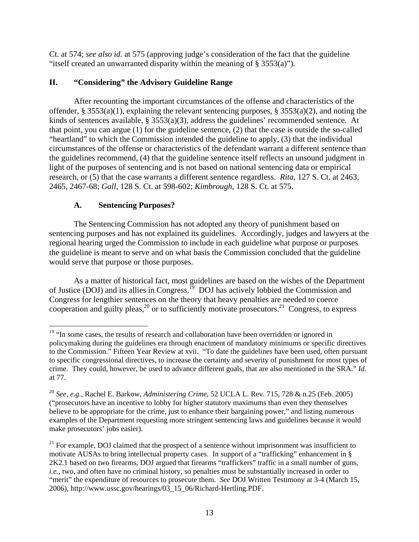Ct. at 574; *see also id.* at 575 (approving judge's consideration of the fact that the guideline "itself created an unwarranted disparity within the meaning of  $\S$  3553(a)").

## **II. "Considering" the Advisory Guideline Range**

After recounting the important circumstances of the offense and characteristics of the offender, § 3553(a)(1), explaining the relevant sentencing purposes, § 3553(a)(2), and noting the kinds of sentences available, § 3553(a)(3), address the guidelines' recommended sentence. At that point, you can argue (1) for the guideline sentence, (2) that the case is outside the so-called "heartland" to which the Commission intended the guideline to apply, (3) that the individual circumstances of the offense or characteristics of the defendant warrant a different sentence than the guidelines recommend, (4) that the guideline sentence itself reflects an unsound judgment in light of the purposes of sentencing and is not based on national sentencing data or empirical research, or (5) that the case warrants a different sentence regardless. *Rita*, 127 S. Ct. at 2463, 2465, 2467-68; *Gall*, 128 S. Ct. at 598-602; *Kimbrough*, 128 S. Ct. at 575.

# **A. Sentencing Purposes?**

 $\overline{a}$ 

The Sentencing Commission has not adopted any theory of punishment based on sentencing purposes and has not explained its guidelines. Accordingly, judges and lawyers at the regional hearing urged the Commission to include in each guideline what purpose or purposes the guideline is meant to serve and on what basis the Commission concluded that the guideline would serve that purpose or those purposes.

As a matter of historical fact, most guidelines are based on the wishes of the Department of Justice (DOJ) and its allies in Congress.19 DOJ has actively lobbied the Commission and Congress for lengthier sentences on the theory that heavy penalties are needed to coerce cooperation and guilty pleas,  $^{20}$  or to sufficiently motivate prosecutors. <sup>21</sup> Congress, to express

 $19$  "In some cases, the results of research and collaboration have been overridden or ignored in policymaking during the guidelines era through enactment of mandatory minimums or specific directives to the Commission." Fifteen Year Review at xvii. "To date the guidelines have been used, often pursuant to specific congressional directives, to increase the certainty and severity of punishment for most types of crime. They could, however, be used to advance different goals, that are also mentioned in the SRA." *Id.*  at 77.

<sup>20</sup> *See, e.g.,* Rachel E. Barkow, *Administering Crime*, 52 UCLA L. Rev. 715, 728 & n.25 (Feb. 2005) ("prosecutors have an incentive to lobby for higher statutory maximums than even they themselves believe to be appropriate for the crime, just to enhance their bargaining power," and listing numerous examples of the Department requesting more stringent sentencing laws and guidelines because it would make prosecutors' jobs easier).

 $21$  For example, DOJ claimed that the prospect of a sentence without imprisonment was insufficient to motivate AUSAs to bring intellectual property cases. In support of a "trafficking" enhancement in § 2K2.1 based on two firearms, DOJ argued that firearms "traffickers" traffic in a small number of guns, *i.e.*, two, and often have no criminal history, so penalties must be substantially increased in order to "merit" the expenditure of resources to prosecute them. *See* DOJ Written Testimony at 3-4 (March 15, 2006), http://www.ussc.gov/hearings/03\_15\_06/Richard-Hertling.PDF.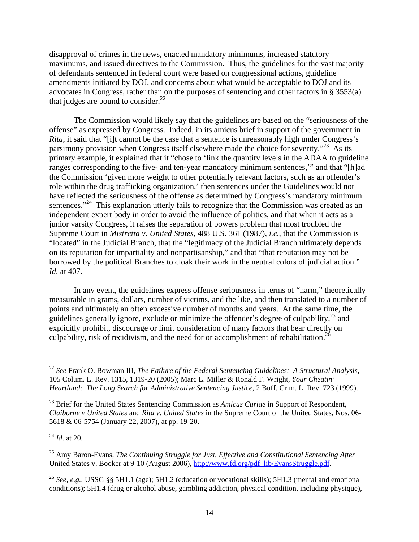disapproval of crimes in the news, enacted mandatory minimums, increased statutory maximums, and issued directives to the Commission. Thus, the guidelines for the vast majority of defendants sentenced in federal court were based on congressional actions, guideline amendments initiated by DOJ, and concerns about what would be acceptable to DOJ and its advocates in Congress, rather than on the purposes of sentencing and other factors in § 3553(a) that judges are bound to consider. $^{22}$ 

The Commission would likely say that the guidelines are based on the "seriousness of the offense" as expressed by Congress. Indeed, in its amicus brief in support of the government in *Rita*, it said that "[i]t cannot be the case that a sentence is unreasonably high under Congress's parsimony provision when Congress itself elsewhere made the choice for severity."<sup>23</sup> As its primary example, it explained that it "chose to 'link the quantity levels in the ADAA to guideline ranges corresponding to the five- and ten-year mandatory minimum sentences,'" and that "[h]ad the Commission 'given more weight to other potentially relevant factors, such as an offender's role within the drug trafficking organization,' then sentences under the Guidelines would not have reflected the seriousness of the offense as determined by Congress's mandatory minimum sentences."<sup>24</sup> This explanation utterly fails to recognize that the Commission was created as an independent expert body in order to avoid the influence of politics, and that when it acts as a junior varsity Congress, it raises the separation of powers problem that most troubled the Supreme Court in *Mistretta v. United States*, 488 U.S. 361 (1987), *i.e.*, that the Commission is "located" in the Judicial Branch, that the "legitimacy of the Judicial Branch ultimately depends on its reputation for impartiality and nonpartisanship," and that "that reputation may not be borrowed by the political Branches to cloak their work in the neutral colors of judicial action." *Id.* at 407.

In any event, the guidelines express offense seriousness in terms of "harm," theoretically measurable in grams, dollars, number of victims, and the like, and then translated to a number of points and ultimately an often excessive number of months and years. At the same time, the guidelines generally ignore, exclude or minimize the offender's degree of culpability,  $^{25}$  and explicitly prohibit, discourage or limit consideration of many factors that bear directly on culpability, risk of recidivism, and the need for or accomplishment of rehabilitation.<sup>26</sup>

<sup>23</sup> Brief for the United States Sentencing Commission as *Amicus Curiae* in Support of Respondent, *Claiborne v United States* and *Rita v. United States* in the Supreme Court of the United States, Nos. 06- 5618 & 06-5754 (January 22, 2007), at pp. 19-20.

<sup>24</sup> *Id*. at 20.

 $\overline{a}$ 

25 Amy Baron-Evans, *The Continuing Struggle for Just, Effective and Constitutional Sentencing After*  United States v. Booker at 9-10 (August 2006), http://www.fd.org/pdf\_lib/EvansStruggle.pdf.

<sup>26</sup> *See, e.g.,* USSG §§ 5H1.1 (age); 5H1.2 (education or vocational skills); 5H1.3 (mental and emotional conditions); 5H1.4 (drug or alcohol abuse, gambling addiction, physical condition, including physique),

<sup>22</sup> *See* Frank O. Bowman III, *The Failure of the Federal Sentencing Guidelines: A Structural Analysis*, 105 Colum. L. Rev. 1315, 1319-20 (2005); Marc L. Miller & Ronald F. Wright, *Your Cheatin' Heartland: The Long Search for Administrative Sentencing Justice*, 2 Buff. Crim. L. Rev. 723 (1999).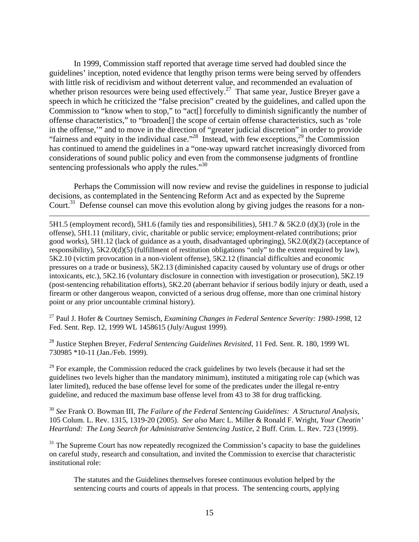In 1999, Commission staff reported that average time served had doubled since the guidelines' inception, noted evidence that lengthy prison terms were being served by offenders with little risk of recidivism and without deterrent value, and recommended an evaluation of whether prison resources were being used effectively.<sup>27</sup> That same year, Justice Breyer gave a speech in which he criticized the "false precision" created by the guidelines, and called upon the Commission to "know when to stop," to "act[] forcefully to diminish significantly the number of offense characteristics," to "broaden[] the scope of certain offense characteristics, such as 'role in the offense,'" and to move in the direction of "greater judicial discretion" in order to provide "fairness and equity in the individual case."<sup>28</sup> Instead, with few exceptions,<sup>29</sup> the Commission has continued to amend the guidelines in a "one-way upward ratchet increasingly divorced from considerations of sound public policy and even from the commonsense judgments of frontline sentencing professionals who apply the rules. $^{330}$ 

Perhaps the Commission will now review and revise the guidelines in response to judicial decisions, as contemplated in the Sentencing Reform Act and as expected by the Supreme Court.<sup>31</sup> Defense counsel can move this evolution along by giving judges the reasons for a non-

 $\overline{a}$ 

5H1.5 (employment record), 5H1.6 (family ties and responsibilities), 5H1.7 & 5K2.0 (d)(3) (role in the offense), 5H1.11 (military, civic, charitable or public service; employment-related contributions; prior good works), 5H1.12 (lack of guidance as a youth, disadvantaged upbringing), 5K2.0(d)(2) (acceptance of responsibility), 5K2.0(d)(5) (fulfillment of restitution obligations "only" to the extent required by law), 5K2.10 (victim provocation in a non-violent offense), 5K2.12 (financial difficulties and economic pressures on a trade or business), 5K2.13 (diminished capacity caused by voluntary use of drugs or other intoxicants, etc.), 5K2.16 (voluntary disclosure in connection with investigation or prosecution), 5K2.19 (post-sentencing rehabilitation efforts), 5K2.20 (aberrant behavior if serious bodily injury or death, used a firearm or other dangerous weapon, convicted of a serious drug offense, more than one criminal history point or any prior uncountable criminal history).

27 Paul J. Hofer & Courtney Semisch, *Examining Changes in Federal Sentence Severity: 1980-1998*, 12 Fed. Sent. Rep. 12, 1999 WL 1458615 (July/August 1999).

28 Justice Stephen Breyer, *Federal Sentencing Guidelines Revisited*, 11 Fed. Sent. R. 180, 1999 WL 730985 \*10-11 (Jan./Feb. 1999).

 $29$  For example, the Commission reduced the crack guidelines by two levels (because it had set the guidelines two levels higher than the mandatory minimum), instituted a mitigating role cap (which was later limited), reduced the base offense level for some of the predicates under the illegal re-entry guideline, and reduced the maximum base offense level from 43 to 38 for drug trafficking.

<sup>30</sup> *See* Frank O. Bowman III, *The Failure of the Federal Sentencing Guidelines: A Structural Analysis*, 105 Colum. L. Rev. 1315, 1319-20 (2005). *See also* Marc L. Miller & Ronald F. Wright, *Your Cheatin' Heartland: The Long Search for Administrative Sentencing Justice*, 2 Buff. Crim. L. Rev. 723 (1999).

 $31$  The Supreme Court has now repeatedly recognized the Commission's capacity to base the guidelines on careful study, research and consultation, and invited the Commission to exercise that characteristic institutional role:

The statutes and the Guidelines themselves foresee continuous evolution helped by the sentencing courts and courts of appeals in that process. The sentencing courts, applying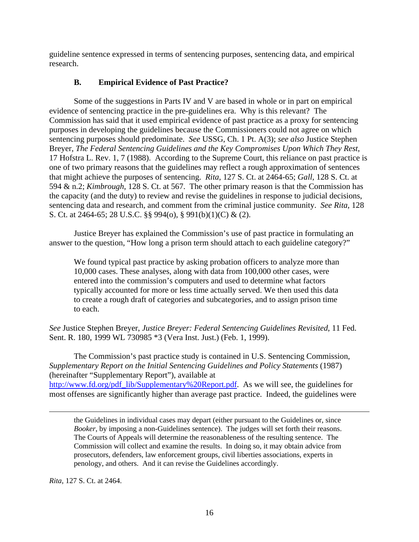guideline sentence expressed in terms of sentencing purposes, sentencing data, and empirical research.

# **B. Empirical Evidence of Past Practice?**

Some of the suggestions in Parts IV and V are based in whole or in part on empirical evidence of sentencing practice in the pre-guidelines era. Why is this relevant? The Commission has said that it used empirical evidence of past practice as a proxy for sentencing purposes in developing the guidelines because the Commissioners could not agree on which sentencing purposes should predominate. *See* USSG, Ch. 1 Pt. A(3); *see also* Justice Stephen Breyer, *The Federal Sentencing Guidelines and the Key Compromises Upon Which They Rest*, 17 Hofstra L. Rev. 1, 7 (1988). According to the Supreme Court, this reliance on past practice is one of two primary reasons that the guidelines may reflect a rough approximation of sentences that might achieve the purposes of sentencing. *Rita*, 127 S. Ct. at 2464-65; *Gall*, 128 S. Ct. at 594 & n.2; *Kimbrough*, 128 S. Ct. at 567. The other primary reason is that the Commission has the capacity (and the duty) to review and revise the guidelines in response to judicial decisions, sentencing data and research, and comment from the criminal justice community. *See Rita*, 128 S. Ct. at 2464-65; 28 U.S.C. §§ 994(o), § 991(b)(1)(C) & (2).

Justice Breyer has explained the Commission's use of past practice in formulating an answer to the question, "How long a prison term should attach to each guideline category?"

We found typical past practice by asking probation officers to analyze more than 10,000 cases. These analyses, along with data from 100,000 other cases, were entered into the commission's computers and used to determine what factors typically accounted for more or less time actually served. We then used this data to create a rough draft of categories and subcategories, and to assign prison time to each.

*See* Justice Stephen Breyer, *Justice Breyer: Federal Sentencing Guidelines Revisited*, 11 Fed. Sent. R. 180, 1999 WL 730985 \*3 (Vera Inst. Just.) (Feb. 1, 1999).

The Commission's past practice study is contained in U.S. Sentencing Commission, *Supplementary Report on the Initial Sentencing Guidelines and Policy Statements (1987)* (hereinafter "Supplementary Report"), available at http://www.fd.org/pdf\_lib/Supplementary%20Report.pdf. As we will see, the guidelines for most offenses are significantly higher than average past practice. Indeed, the guidelines were

the Guidelines in individual cases may depart (either pursuant to the Guidelines or, since *Booker*, by imposing a non-Guidelines sentence). The judges will set forth their reasons. The Courts of Appeals will determine the reasonableness of the resulting sentence. The Commission will collect and examine the results. In doing so, it may obtain advice from prosecutors, defenders, law enforcement groups, civil liberties associations, experts in penology, and others. And it can revise the Guidelines accordingly.

*Rita*, 127 S. Ct. at 2464.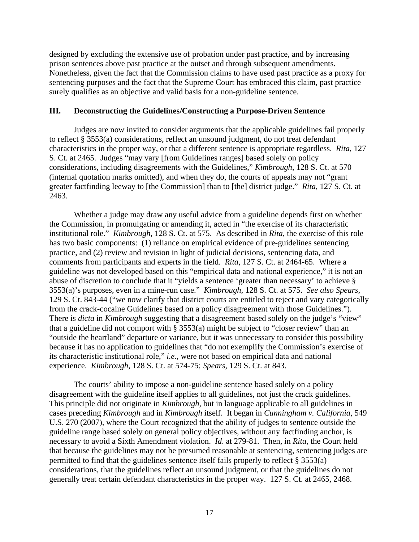designed by excluding the extensive use of probation under past practice, and by increasing prison sentences above past practice at the outset and through subsequent amendments. Nonetheless, given the fact that the Commission claims to have used past practice as a proxy for sentencing purposes and the fact that the Supreme Court has embraced this claim, past practice surely qualifies as an objective and valid basis for a non-guideline sentence.

#### **III. Deconstructing the Guidelines/Constructing a Purpose-Driven Sentence**

Judges are now invited to consider arguments that the applicable guidelines fail properly to reflect § 3553(a) considerations, reflect an unsound judgment, do not treat defendant characteristics in the proper way, or that a different sentence is appropriate regardless. *Rita*, 127 S. Ct. at 2465. Judges "may vary [from Guidelines ranges] based solely on policy considerations, including disagreements with the Guidelines," *Kimbrough*, 128 S. Ct. at 570 (internal quotation marks omitted), and when they do, the courts of appeals may not "grant greater factfinding leeway to [the Commission] than to [the] district judge." *Rita*, 127 S. Ct. at 2463.

Whether a judge may draw any useful advice from a guideline depends first on whether the Commission, in promulgating or amending it, acted in "the exercise of its characteristic institutional role." *Kimbrough*, 128 S. Ct. at 575. As described in *Rita*, the exercise of this role has two basic components: (1) reliance on empirical evidence of pre-guidelines sentencing practice, and (2) review and revision in light of judicial decisions, sentencing data, and comments from participants and experts in the field. *Rita*, 127 S. Ct. at 2464-65. Where a guideline was not developed based on this "empirical data and national experience," it is not an abuse of discretion to conclude that it "yields a sentence 'greater than necessary' to achieve § 3553(a)'s purposes, even in a mine-run case." *Kimbrough*, 128 S. Ct. at 575. *See also Spears*, 129 S. Ct. 843-44 ("we now clarify that district courts are entitled to reject and vary categorically from the crack-cocaine Guidelines based on a policy disagreement with those Guidelines."). There is *dicta* in *Kimbrough* suggesting that a disagreement based solely on the judge's "view" that a guideline did not comport with  $\S$  3553(a) might be subject to "closer review" than an "outside the heartland" departure or variance, but it was unnecessary to consider this possibility because it has no application to guidelines that "do not exemplify the Commission's exercise of its characteristic institutional role," *i.e.*, were not based on empirical data and national experience. *Kimbrough*, 128 S. Ct. at 574-75; *Spears*, 129 S. Ct. at 843.

The courts' ability to impose a non-guideline sentence based solely on a policy disagreement with the guideline itself applies to all guidelines, not just the crack guidelines. This principle did not originate in *Kimbrough*, but in language applicable to all guidelines in cases preceding *Kimbrough* and in *Kimbrough* itself. It began in *Cunningham v. California*, 549 U.S. 270 (2007), where the Court recognized that the ability of judges to sentence outside the guideline range based solely on general policy objectives, without any factfinding anchor, is necessary to avoid a Sixth Amendment violation. *Id*. at 279-81. Then, in *Rita*, the Court held that because the guidelines may not be presumed reasonable at sentencing, sentencing judges are permitted to find that the guidelines sentence itself fails properly to reflect § 3553(a) considerations, that the guidelines reflect an unsound judgment, or that the guidelines do not generally treat certain defendant characteristics in the proper way. 127 S. Ct. at 2465, 2468.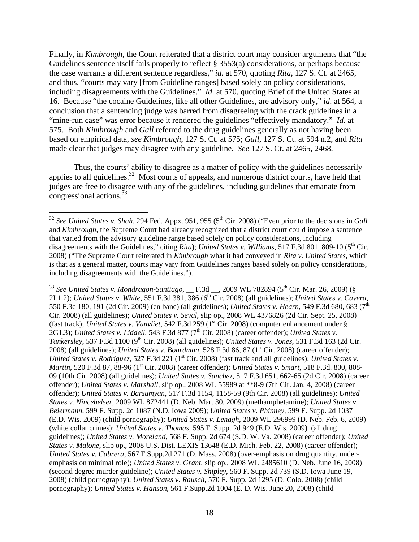Finally, in *Kimbrough*, the Court reiterated that a district court may consider arguments that "the Guidelines sentence itself fails properly to reflect § 3553(a) considerations, or perhaps because the case warrants a different sentence regardless," *id.* at 570, quoting *Rita*, 127 S. Ct. at 2465, and thus, "courts may vary [from Guideline ranges] based solely on policy considerations, including disagreements with the Guidelines." *Id*. at 570, quoting Brief of the United States at 16. Because "the cocaine Guidelines, like all other Guidelines, are advisory only," *id*. at 564, a conclusion that a sentencing judge was barred from disagreeing with the crack guidelines in a "mine-run case" was error because it rendered the guidelines "effectively mandatory." *Id*. at 575. Both *Kimbrough* and *Gall* referred to the drug guidelines generally as not having been based on empirical data, *see Kimbrough*, 127 S. Ct. at 575; *Gall*, 127 S. Ct. at 594 n.2, and *Rita*  made clear that judges may disagree with any guideline. *See* 127 S. Ct. at 2465, 2468.

Thus, the courts' ability to disagree as a matter of policy with the guidelines necessarily applies to all guidelines.<sup>32</sup> Most courts of appeals, and numerous district courts, have held that judges are free to disagree with any of the guidelines, including guidelines that emanate from congressional actions.<sup>33</sup>

 $\overline{a}$ 

<sup>33</sup> See United States v. Mondragon-Santiago, \_\_ F.3d \_\_, 2009 WL 782894 (5<sup>th</sup> Cir. Mar. 26, 2009) (§ 2L1.2); *United States v. White*, 551 F.3d 381, 386 (6th Cir. 2008) (all guidelines); *United States v. Cavera*, 550 F.3d 180, 191 (2d Cir. 2009) (en banc) (all guidelines); *United States v. Hearn*, 549 F.3d 680, 683 (7th Cir. 2008) (all guidelines); *United States v. Seval*, slip op., 2008 WL 4376826 (2d Cir. Sept. 25, 2008) (fast track); *United States v. Vanvliet*, 542 F.3d 259 ( $1<sup>st</sup> Cir. 2008$ ) (computer enhancement under § 2G1.3); *United States v. Liddell*, 543 F.3d 877 (7<sup>th</sup> Cir. 2008) (career offender); *United States v. Tankersley*, 537 F.3d 1100 (9<sup>th</sup> Cir. 2008) (all guidelines); *United States v. Jones*, 531 F.3d 163 (2d Cir. 2008) (all guidelines); *United States v. Boardman*, 528 F.3d 86, 87 (1<sup>st</sup> Cir. 2008) (career offender); *United States v. Rodriguez, 527 F.3d 221 (1<sup>st</sup> Cir. 2008) (fast track and all guidelines); <i>United States v. Martin*, 520 F.3d 87, 88-96 (1<sup>st</sup> Cir. 2008) (career offender); *United States v. Smart*, 518 F.3d. 800, 808-09 (10th Cir. 2008) (all guidelines); *United States v. Sanchez*, 517 F.3d 651, 662-65 (2d Cir. 2008) (career offender); *United States v. Marshall*, slip op., 2008 WL 55989 at \*\*8-9 (7th Cir. Jan. 4, 2008) (career offender); *United States v. Barsumyan*, 517 F.3d 1154, 1158-59 (9th Cir. 2008) (all guidelines); *United States v. Nincehelser*, 2009 WL 872441 (D. Neb. Mar. 30, 2009) (methamphetamine); *United States v. Beiermann*, 599 F. Supp. 2d 1087 (N.D. Iowa 2009); *United States v. Phinney*, 599 F. Supp. 2d 1037 (E.D. Wis. 2009) (child pornography); *United States v. Lenagh*, 2009 WL 296999 (D. Neb. Feb. 6, 2009) (white collar crimes); *United States v. Thomas*, 595 F. Supp. 2d 949 (E.D. Wis. 2009) (all drug guidelines); *United States v. Moreland*, 568 F. Supp. 2d 674 (S.D. W. Va. 2008) (career offender); *United States v. Malone*, slip op., 2008 U.S. Dist. LEXIS 13648 (E.D. Mich. Feb. 22, 2008) (career offender); *United States v. Cabrera*, 567 F.Supp.2d 271 (D. Mass. 2008) (over-emphasis on drug quantity, underemphasis on minimal role); *United States v. Grant*, slip op., 2008 WL 2485610 (D. Neb. June 16, 2008) (second degree murder guideline); *United States v. Shipley*, 560 F. Supp. 2d 739 (S.D. Iowa June 19, 2008) (child pornography); *United States v. Rausch*, 570 F. Supp. 2d 1295 (D. Colo. 2008) (child pornography); *United States v. Hanson*, 561 F.Supp.2d 1004 (E. D. Wis. June 20, 2008) (child

<sup>&</sup>lt;sup>32</sup> *See United States v. Shah*, 294 Fed. Appx. 951, 955 (5<sup>th</sup> Cir. 2008) ("Even prior to the decisions in *Gall* and *Kimbrough*, the Supreme Court had already recognized that a district court could impose a sentence that varied from the advisory guideline range based solely on policy considerations, including disagreements with the Guidelines," citing *Rita*); *United States v. Williams*, 517 F.3d 801, 809-10 (5<sup>th</sup> Cir. 2008) ("The Supreme Court reiterated in *Kimbrough* what it had conveyed in *Rita v. United States*, which is that as a general matter, courts may vary from Guidelines ranges based solely on policy considerations, including disagreements with the Guidelines.").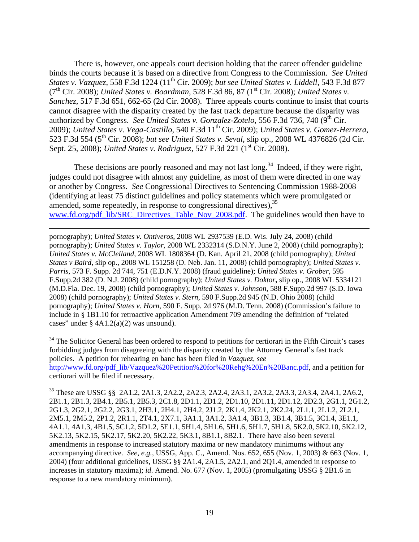There is, however, one appeals court decision holding that the career offender guideline binds the courts because it is based on a directive from Congress to the Commission. *See United States v. Vazquez*, 558 F.3d 1224 (11th Cir. 2009); *but see United States v. Liddell*, 543 F.3d 877 (7th Cir. 2008); *United States v. Boardman*, 528 F.3d 86, 87 (1st Cir. 2008); *United States v. Sanchez*, 517 F.3d 651, 662-65 (2d Cir. 2008). Three appeals courts continue to insist that courts cannot disagree with the disparity created by the fast track departure because the disparity was authorized by Congress. *See United States v. Gonzalez-Zotelo*, 556 F.3d 736, 740 (9<sup>th</sup> Cir. 2009); *United States v. Vega-Castillo*, 540 F.3d 11th Cir. 2009); *United States v. Gomez-Herrera*, 523 F.3d 554 (5th Cir. 2008); *but see United States v. Seval*, slip op., 2008 WL 4376826 (2d Cir. Sept. 25, 2008); *United States v. Rodriguez*, 527 F.3d 221 (1<sup>st</sup> Cir. 2008).

These decisions are poorly reasoned and may not last  $\log$ <sup>34</sup>. Indeed, if they were right, judges could not disagree with almost any guideline, as most of them were directed in one way or another by Congress. *See* Congressional Directives to Sentencing Commission 1988-2008 (identifying at least 75 distinct guidelines and policy statements which were promulgated or amended, some repeatedly, in response to congressional directives), <sup>35</sup> www.fd.org/pdf\_lib/SRC\_Directives\_Table\_Nov\_2008.pdf. The guidelines would then have to

 $\overline{a}$ 

pornography); *United States v. Ontiveros*, 2008 WL 2937539 (E.D. Wis. July 24, 2008) (child pornography); *United States v. Taylor*, 2008 WL 2332314 (S.D.N.Y. June 2, 2008) (child pornography); *United States v. McClelland*, 2008 WL 1808364 (D. Kan. April 21, 2008 (child pornography); *United States v Baird*, slip op., 2008 WL 151258 (D. Neb. Jan. 11, 2008) (child pornography); *United States v. Parris*, 573 F. Supp. 2d 744, 751 (E.D.N.Y. 2008) (fraud guideline); *United States v. Grober*, 595 F.Supp.2d 382 (D. N.J. 2008) (child pornography); *United States v. Doktor***,** slip op., 2008 WL 5334121 (M.D.Fla. Dec. 19, 2008) (child pornography); *United States v. Johnson*, 588 F.Supp.2d 997 (S.D. Iowa 2008) (child pornography); *United States v. Stern*, 590 F.Supp.2d 945 (N.D. Ohio 2008) (child pornography); *United States v. Horn*, 590 F. Supp. 2d 976 (M.D. Tenn. 2008) (Commission's failure to include in § 1B1.10 for retroactive application Amendment 709 amending the definition of "related cases" under  $\S$  4A1.2(a)(2) was unsound).

<sup>34</sup> The Solicitor General has been ordered to respond to petitions for certiorari in the Fifth Circuit's cases forbidding judges from disagreeing with the disparity created by the Attorney General's fast track policies. A petition for rehearing en banc has been filed in *Vazquez*, *see*  http://www.fd.org/pdf\_lib/Vazquez%20Petition%20for%20Rehg%20En%20Banc.pdf, and a petition for certiorari will be filed if necessary.

35 These are USSG §§ 2A1.2, 2A1.3, 2A2.2, 2A2.3, 2A2.4, 2A3.1, 2A3.2, 2A3.3, 2A3.4, 2A4.1, 2A6.2, 2B1.1, 2B1.3, 2B4.1, 2B5.1, 2B5.3, 2C1.8, 2D1.1, 2D1.2, 2D1.10, 2D1.11, 2D1.12, 2D2.3, 2G1.1, 2G1.2, 2G1.3, 2G2.1, 2G2.2, 2G3.1, 2H3.1, 2H4.1, 2H4.2, 2J1.2, 2K1.4, 2K2.1, 2K2.24, 2L1.1, 2L1.2, 2L2.1, 2M5.1, 2M5.2, 2P1.2, 2R1.1, 2T4.1, 2X7.1, 3A1.1, 3A1.2, 3A1.4, 3B1.3, 3B1.4, 3B1.5, 3C1.4, 3E1.1, 4A1.1, 4A1.3, 4B1.5, 5C1.2, 5D1.2, 5E1.1, 5H1.4, 5H1.6, 5H1.6, 5H1.7, 5H1.8, 5K2.0, 5K2.10, 5K2.12, 5K2.13, 5K2.15, 5K2.17, 5K2.20, 5K2.22, 5K3.1, 8B1.1, 8B2.1. There have also been several amendments in response to increased statutory maxima or new mandatory minimums without any accompanying directive. *See, e.g.*, USSG, App. C., Amend. Nos. 652, 655 (Nov. 1, 2003) & 663 (Nov. 1, 2004) (four additional guidelines, USSG §§ 2A1.4, 2A1.5, 2A2.1, and 2Q1.4, amended in response to increases in statutory maxima); *id*. Amend. No. 677 (Nov. 1, 2005) (promulgating USSG § 2B1.6 in response to a new mandatory minimum).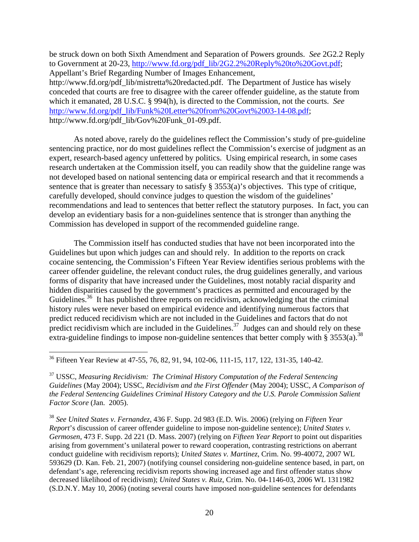be struck down on both Sixth Amendment and Separation of Powers grounds. *See* 2G2.2 Reply to Government at 20-23, http://www.fd.org/pdf\_lib/2G2.2%20Reply%20to%20Govt.pdf; Appellant's Brief Regarding Number of Images Enhancement,

http://www.fd.org/pdf lib/mistretta%20redacted.pdf. The Department of Justice has wisely conceded that courts are free to disagree with the career offender guideline, as the statute from which it emanated, 28 U.S.C. § 994(h), is directed to the Commission, not the courts. *See*  http://www.fd.org/pdf\_lib/Funk%20Letter%20from%20Govt%2003-14-08.pdf; http://www.fd.org/pdf\_lib/Gov%20Funk\_01-09.pdf.

As noted above, rarely do the guidelines reflect the Commission's study of pre-guideline sentencing practice, nor do most guidelines reflect the Commission's exercise of judgment as an expert, research-based agency unfettered by politics. Using empirical research, in some cases research undertaken at the Commission itself, you can readily show that the guideline range was not developed based on national sentencing data or empirical research and that it recommends a sentence that is greater than necessary to satisfy § 3553(a)'s objectives. This type of critique, carefully developed, should convince judges to question the wisdom of the guidelines' recommendations and lead to sentences that better reflect the statutory purposes. In fact, you can develop an evidentiary basis for a non-guidelines sentence that is stronger than anything the Commission has developed in support of the recommended guideline range.

The Commission itself has conducted studies that have not been incorporated into the Guidelines but upon which judges can and should rely. In addition to the reports on crack cocaine sentencing, the Commission's Fifteen Year Review identifies serious problems with the career offender guideline, the relevant conduct rules, the drug guidelines generally, and various forms of disparity that have increased under the Guidelines, most notably racial disparity and hidden disparities caused by the government's practices as permitted and encouraged by the Guidelines.<sup>36</sup> It has published three reports on recidivism, acknowledging that the criminal history rules were never based on empirical evidence and identifying numerous factors that predict reduced recidivism which are not included in the Guidelines and factors that do not predict recidivism which are included in the Guidelines.<sup>37</sup> Judges can and should rely on these extra-guideline findings to impose non-guideline sentences that better comply with  $\S 3553(a)$ .<sup>38</sup>

1

<sup>&</sup>lt;sup>36</sup> Fifteen Year Review at 47-55, 76, 82, 91, 94, 102-06, 111-15, 117, 122, 131-35, 140-42.

<sup>37</sup> USSC, *Measuring Recidivism: The Criminal History Computation of the Federal Sentencing Guidelines* (May 2004); USSC, *Recidivism and the First Offender* (May 2004); USSC, *A Comparison of the Federal Sentencing Guidelines Criminal History Category and the U.S. Parole Commission Salient Factor Score* (Jan. 2005).

<sup>38</sup> *See United States v. Fernandez*, 436 F. Supp. 2d 983 (E.D. Wis. 2006) (relying on *Fifteen Year Report*'s discussion of career offender guideline to impose non-guideline sentence); *United States v. Germosen*, 473 F. Supp. 2d 221 (D. Mass. 2007) (relying on *Fifteen Year Report* to point out disparities arising from government's unilateral power to reward cooperation, contrasting restrictions on aberrant conduct guideline with recidivism reports); *United States v. Martinez*, Crim. No. 99-40072, 2007 WL 593629 (D. Kan. Feb. 21, 2007) (notifying counsel considering non-guideline sentence based, in part, on defendant's age, referencing recidivism reports showing increased age and first offender status show decreased likelihood of recidivism); *United States v. Ruiz*, Crim. No. 04-1146-03, 2006 WL 1311982 (S.D.N.Y. May 10, 2006) (noting several courts have imposed non-guideline sentences for defendants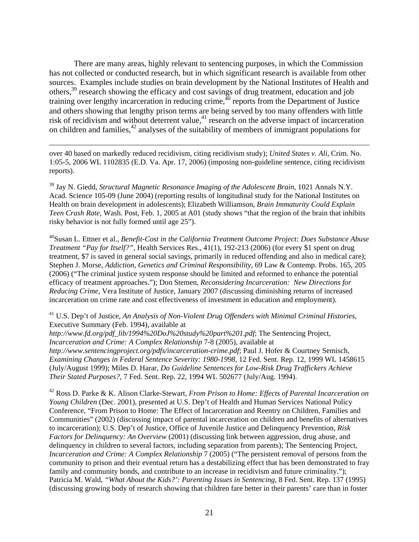There are many areas, highly relevant to sentencing purposes, in which the Commission has not collected or conducted research, but in which significant research is available from other sources. Examples include studies on brain development by the National Institutes of Health and others,<sup>39</sup> research showing the efficacy and cost savings of drug treatment, education and job training over lengthy incarceration in reducing crime,  $40$  reports from the Department of Justice and others showing that lengthy prison terms are being served by too many offenders with little risk of recidivism and without deterrent value,<sup>41</sup> research on the adverse impact of incarceration on children and families, $^{42}$  analyses of the suitability of members of immigrant populations for

over 40 based on markedly reduced recidivism, citing recidivism study); *United States v. Ali*, Crim. No. 1:05-5, 2006 WL 1102835 (E.D. Va. Apr. 17, 2006) (imposing non-guideline sentence, citing recidivism reports).

 $\overline{a}$ 

39 Jay N. Giedd, *Structural Magnetic Resonance Imaging of the Adolescent Brain*, 1021 Annals N.Y. Acad. Science 105-09 (June 2004) (reporting results of longitudinal study for the National Institutes on Health on brain development in adolescents); Elizabeth Williamson, *Brain Immaturity Could Explain Teen Crash Rate*, Wash. Post, Feb. 1, 2005 at A01 (study shows "that the region of the brain that inhibits risky behavior is not fully formed until age 25").

40Susan L. Ettner et al., *Benefit-Cost in the California Treatment Outcome Project: Does Substance Abuse Treatment "Pay for Itself?"*, Health Services Res., 41(1), 192-213 (2006) (for every \$1 spent on drug treatment, \$7 is saved in general social savings, primarily in reduced offending and also in medical care); Stephen J. Morse, *Addiction, Genetics and Criminal Responsibility*, 69 Law & Contemp. Probs. 165, 205 (2006) ("The criminal justice system response should be limited and reformed to enhance the potential efficacy of treatment approaches."); Don Stemen, *Reconsidering Incarceration: New Directions for Reducing Crime*, Vera Institute of Justice, January 2007 (discussing diminishing returns of increased incarceration on crime rate and cost effectiveness of investment in education and employment).

41 U.S. Dep't of Justice, *An Analysis of Non-Violent Drug Offenders with Minimal Criminal Histories*, Executive Summary (Feb. 1994), available at

*http://www.fd.org/pdf\_lib/1994%20DoJ%20study%20part%201.pdf*; The Sentencing Project, *Incarceration and Crime: A Complex Relationship* 7-8 (2005), available at *http://www.sentencingproject.org/pdfs/incarceration-crime.pdf*; Paul J. Hofer & Courtney Semisch, *Examining Changes in Federal Sentence Severity: 1980-1998*, 12 Fed. Sent. Rep. 12, 1999 WL 1458615 (July/August 1999); Miles D. Harar, *Do Guideline Sentences for Low-Risk Drug Traffickers Achieve Their Stated Purposes?*, 7 Fed. Sent. Rep. 22, 1994 WL 502677 (July/Aug. 1994).

42 Ross D. Parke & K. Alison Clarke-Stewart*, From Prison to Home: Effects of Parental Incarceration on Young Children* (Dec. 2001), presented at U.S. Dep't of Health and Human Services National Policy Conference, "From Prison to Home: The Effect of Incarceration and Reentry on Children, Families and Communities" (2002) (discussing impact of parental incarceration on children and benefits of alternatives to incarceration); U.S. Dep't of Justice, Office of Juvenile Justice and Delinquency Prevention, *Risk Factors for Delinquency: An Overview* (2001) (discussing link between aggression, drug abuse, and delinquency in children to several factors, including separation from parents); The Sentencing Project, *Incarceration and Crime: A Complex Relationship* 7 (2005) ("The persistent removal of persons from the community to prison and their eventual return has a destabilizing effect that has been demonstrated to fray family and community bonds, and contribute to an increase in recidivism and future criminality."); Patricia M. Wald, *"What About the Kids?': Parenting Issues in Sentencing*, 8 Fed. Sent. Rep. 137 (1995) (discussing growing body of research showing that children fare better in their parents' care than in foster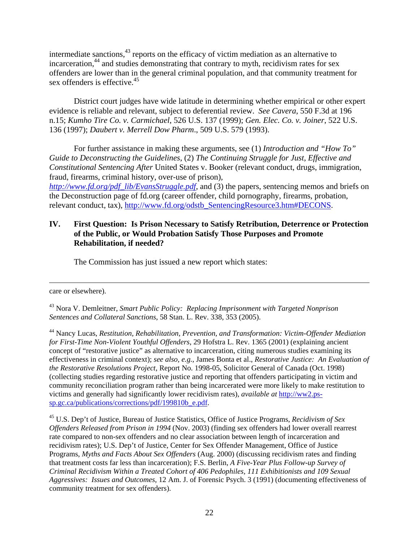intermediate sanctions,<sup>43</sup> reports on the efficacy of victim mediation as an alternative to incarceration, $44$  and studies demonstrating that contrary to myth, recidivism rates for sex offenders are lower than in the general criminal population, and that community treatment for sex offenders is effective.<sup>45</sup>

District court judges have wide latitude in determining whether empirical or other expert evidence is reliable and relevant, subject to deferential review. *See Cavera*, 550 F.3d at 196 n.15; *Kumho Tire Co. v. Carmichael*, 526 U.S. 137 (1999); *Gen. Elec. Co. v. Joiner*, 522 U.S. 136 (1997); *Daubert v. Merrell Dow Pharm*., 509 U.S. 579 (1993).

For further assistance in making these arguments, see (1) *Introduction and "How To" Guide to Deconstructing the Guidelines*, (2) *The Continuing Struggle for Just, Effective and Constitutional Sentencing After* United States v. Booker (relevant conduct, drugs, immigration, fraud, firearms, criminal history, over-use of prison)*,* 

*http://www.fd.org/pdf\_lib/EvansStruggle.pdf*, and (3) the papers, sentencing memos and briefs on the Deconstruction page of fd.org (career offender, child pornography, firearms, probation, relevant conduct, tax), http://www.fd.org/odstb\_SentencingResource3.htm#DECONS.

### **IV. First Question: Is Prison Necessary to Satisfy Retribution, Deterrence or Protection of the Public, or Would Probation Satisfy Those Purposes and Promote Rehabilitation, if needed?**

The Commission has just issued a new report which states:

care or elsewhere).

<sup>43</sup> Nora V. Demleitner, *Smart Public Policy: Replacing Imprisonment with Targeted Nonprison Sentences and Collateral Sanctions*, 58 Stan. L. Rev. 338, 353 (2005).

<sup>44</sup> Nancy Lucas, *Restitution, Rehabilitation, Prevention, and Transformation: Victim-Offender Mediation for First-Time Non-Violent Youthful Offenders*, 29 Hofstra L. Rev. 1365 (2001) (explaining ancient concept of "restorative justice" as alternative to incarceration, citing numerous studies examining its effectiveness in criminal context); *see also*, *e.g.*, James Bonta et al., *Restorative Justice: An Evaluation of the Restorative Resolutions Project*, Report No. 1998-05, Solicitor General of Canada (Oct. 1998) (collecting studies regarding restorative justice and reporting that offenders participating in victim and community reconciliation program rather than being incarcerated were more likely to make restitution to victims and generally had significantly lower recidivism rates), *available at* http://ww2.pssp.gc.ca/publications/corrections/pdf/199810b\_e.pdf.

<sup>45</sup> U.S. Dep't of Justice, Bureau of Justice Statistics, Office of Justice Programs, *Recidivism of Sex Offenders Released from Prison in 1994* (Nov. 2003) (finding sex offenders had lower overall rearrest rate compared to non-sex offenders and no clear association between length of incarceration and recidivism rates); U.S. Dep't of Justice, Center for Sex Offender Management, Office of Justice Programs, *Myths and Facts About Sex Offenders* (Aug. 2000) (discussing recidivism rates and finding that treatment costs far less than incarceration); F.S. Berlin, *A Five-Year Plus Follow-up Survey of Criminal Recidivism Within a Treated Cohort of 406 Pedophiles, 111 Exhibitionists and 109 Sexual Aggressives: Issues and Outcomes*, 12 Am. J. of Forensic Psych. 3 (1991) (documenting effectiveness of community treatment for sex offenders).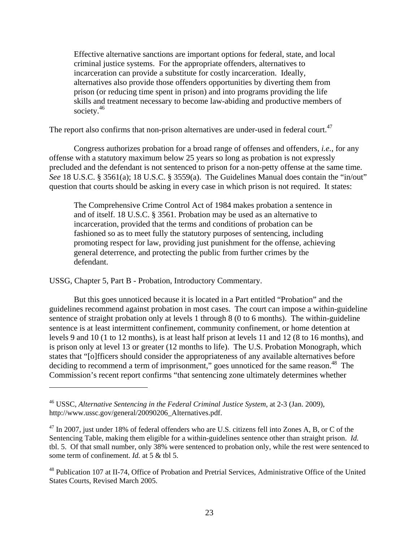Effective alternative sanctions are important options for federal, state, and local criminal justice systems. For the appropriate offenders, alternatives to incarceration can provide a substitute for costly incarceration. Ideally, alternatives also provide those offenders opportunities by diverting them from prison (or reducing time spent in prison) and into programs providing the life skills and treatment necessary to become law-abiding and productive members of society.<sup>46</sup>

The report also confirms that non-prison alternatives are under-used in federal court.<sup>47</sup>

Congress authorizes probation for a broad range of offenses and offenders, *i.e.*, for any offense with a statutory maximum below 25 years so long as probation is not expressly precluded and the defendant is not sentenced to prison for a non-petty offense at the same time. *See* 18 U.S.C. § 3561(a); 18 U.S.C. § 3559(a). The Guidelines Manual does contain the "in/out" question that courts should be asking in every case in which prison is not required. It states:

The Comprehensive Crime Control Act of 1984 makes probation a sentence in and of itself. 18 U.S.C. § 3561. Probation may be used as an alternative to incarceration, provided that the terms and conditions of probation can be fashioned so as to meet fully the statutory purposes of sentencing, including promoting respect for law, providing just punishment for the offense, achieving general deterrence, and protecting the public from further crimes by the defendant.

USSG, Chapter 5, Part B - Probation, Introductory Commentary.

1

But this goes unnoticed because it is located in a Part entitled "Probation" and the guidelines recommend against probation in most cases. The court can impose a within-guideline sentence of straight probation only at levels 1 through 8 (0 to 6 months). The within-guideline sentence is at least intermittent confinement, community confinement, or home detention at levels 9 and 10 (1 to 12 months), is at least half prison at levels 11 and 12 (8 to 16 months), and is prison only at level 13 or greater (12 months to life). The U.S. Probation Monograph, which states that "[o]fficers should consider the appropriateness of any available alternatives before deciding to recommend a term of imprisonment," goes unnoticed for the same reason.<sup>48</sup> The Commission's recent report confirms "that sentencing zone ultimately determines whether

<sup>46</sup> USSC, *Alternative Sentencing in the Federal Criminal Justice System*, at 2-3 (Jan. 2009), http://www.ussc.gov/general/20090206\_Alternatives.pdf.

 $47$  In 2007, just under 18% of federal offenders who are U.S. citizens fell into Zones A, B, or C of the Sentencing Table, making them eligible for a within-guidelines sentence other than straight prison. *Id.* tbl. 5. Of that small number, only 38% were sentenced to probation only, while the rest were sentenced to some term of confinement. *Id.* at 5 & tbl 5.

<sup>48</sup> Publication 107 at II-74, Office of Probation and Pretrial Services, Administrative Office of the United States Courts, Revised March 2005.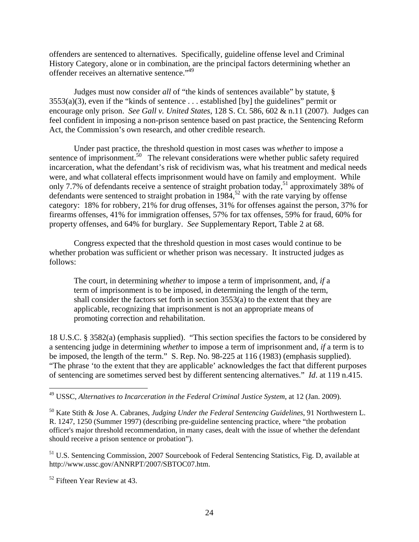offenders are sentenced to alternatives. Specifically, guideline offense level and Criminal History Category, alone or in combination, are the principal factors determining whether an offender receives an alternative sentence."<sup>49</sup>

Judges must now consider *all* of "the kinds of sentences available" by statute, §  $3553(a)(3)$ , even if the "kinds of sentence . . . established [by] the guidelines" permit or encourage only prison. *See Gall v. United States*, 128 S. Ct. 586, 602 & n.11 (2007). Judges can feel confident in imposing a non-prison sentence based on past practice, the Sentencing Reform Act, the Commission's own research, and other credible research.

Under past practice, the threshold question in most cases was *whether* to impose a sentence of imprisonment.<sup>50</sup> The relevant considerations were whether public safety required incarceration, what the defendant's risk of recidivism was, what his treatment and medical needs were, and what collateral effects imprisonment would have on family and employment. While only 7.7% of defendants receive a sentence of straight probation today,<sup>51</sup> approximately 38% of defendants were sentenced to straight probation in  $1984$ <sup>52</sup> with the rate varying by offense category: 18% for robbery, 21% for drug offenses, 31% for offenses against the person, 37% for firearms offenses, 41% for immigration offenses, 57% for tax offenses, 59% for fraud, 60% for property offenses, and 64% for burglary. *See* Supplementary Report, Table 2 at 68.

Congress expected that the threshold question in most cases would continue to be whether probation was sufficient or whether prison was necessary. It instructed judges as follows:

The court, in determining *whether* to impose a term of imprisonment, and, *if* a term of imprisonment is to be imposed, in determining the length of the term, shall consider the factors set forth in section 3553(a) to the extent that they are applicable, recognizing that imprisonment is not an appropriate means of promoting correction and rehabilitation.

18 U.S.C. § 3582(a) (emphasis supplied). "This section specifies the factors to be considered by a sentencing judge in determining *whether* to impose a term of imprisonment and, *if* a term is to be imposed, the length of the term." S. Rep. No. 98-225 at 116 (1983) (emphasis supplied). "The phrase 'to the extent that they are applicable' acknowledges the fact that different purposes of sentencing are sometimes served best by different sentencing alternatives." *Id*. at 119 n.415.

<sup>51</sup> U.S. Sentencing Commission, 2007 Sourcebook of Federal Sentencing Statistics, Fig. D, available at http://www.ussc.gov/ANNRPT/2007/SBTOC07.htm.

 $52$  Fifteen Year Review at 43.

 $\overline{a}$ 49 USSC, *Alternatives to Incarceration in the Federal Criminal Justice System*, at 12 (Jan. 2009).

<sup>50</sup> Kate Stith & Jose A. Cabranes, *Judging Under the Federal Sentencing Guidelines*, 91 Northwestern L. R. 1247, 1250 (Summer 1997) (describing pre-guideline sentencing practice, where "the probation officer's major threshold recommendation, in many cases, dealt with the issue of whether the defendant should receive a prison sentence or probation").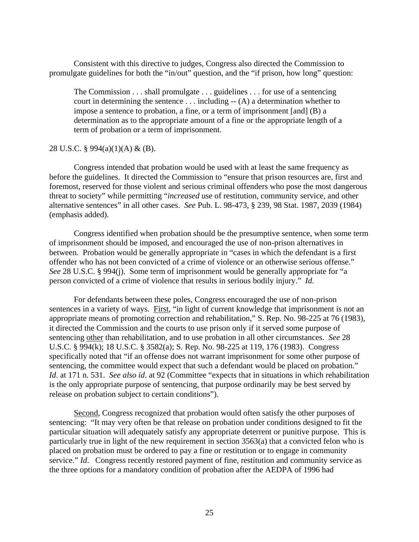Consistent with this directive to judges, Congress also directed the Commission to promulgate guidelines for both the "in/out" question, and the "if prison, how long" question:

The Commission . . . shall promulgate . . . guidelines . . . for use of a sentencing court in determining the sentence  $\ldots$  including -- (A) a determination whether to impose a sentence to probation, a fine, or a term of imprisonment [and] (B) a determination as to the appropriate amount of a fine or the appropriate length of a term of probation or a term of imprisonment.

#### 28 U.S.C. § 994(a)(1)(A) & (B).

Congress intended that probation would be used with at least the same frequency as before the guidelines. It directed the Commission to "ensure that prison resources are, first and foremost, reserved for those violent and serious criminal offenders who pose the most dangerous threat to society" while permitting "*increased* use of restitution, community service, and other alternative sentences" in all other cases. *See* Pub. L. 98-473, § 239, 98 Stat. 1987, 2039 (1984) (emphasis added).

Congress identified when probation should be the presumptive sentence, when some term of imprisonment should be imposed, and encouraged the use of non-prison alternatives in between. Probation would be generally appropriate in "cases in which the defendant is a first offender who has not been convicted of a crime of violence or an otherwise serious offense." *See* 28 U.S.C. § 994(j). Some term of imprisonment would be generally appropriate for "a person convicted of a crime of violence that results in serious bodily injury." *Id*.

For defendants between these poles, Congress encouraged the use of non-prison sentences in a variety of ways. First, "in light of current knowledge that imprisonment is not an appropriate means of promoting correction and rehabilitation," S. Rep. No. 98-225 at 76 (1983), it directed the Commission and the courts to use prison only if it served some purpose of sentencing other than rehabilitation, and to use probation in all other circumstances. *See* 28 U.S.C. § 994(k); 18 U.S.C. § 3582(a); S. Rep. No. 98-225 at 119, 176 (1983). Congress specifically noted that "if an offense does not warrant imprisonment for some other purpose of sentencing, the committee would expect that such a defendant would be placed on probation." *Id*. at 171 n. 531. *See also id*. at 92 (Committee "expects that in situations in which rehabilitation is the only appropriate purpose of sentencing, that purpose ordinarily may be best served by release on probation subject to certain conditions").

Second, Congress recognized that probation would often satisfy the other purposes of sentencing: "It may very often be that release on probation under conditions designed to fit the particular situation will adequately satisfy any appropriate deterrent or punitive purpose. This is particularly true in light of the new requirement in section 3563(a) that a convicted felon who is placed on probation must be ordered to pay a fine or restitution or to engage in community service." *Id*. Congress recently restored payment of fine, restitution and community service as the three options for a mandatory condition of probation after the AEDPA of 1996 had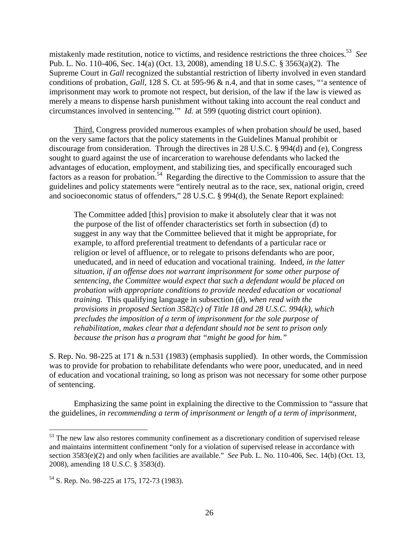mistakenly made restitution, notice to victims, and residence restrictions the three choices.53 *See*  Pub. L. No. 110-406, Sec. 14(a) (Oct. 13, 2008), amending 18 U.S.C. § 3563(a)(2). The Supreme Court in *Gall* recognized the substantial restriction of liberty involved in even standard conditions of probation, *Gall*, 128 S. Ct. at 595-96 & n.4, and that in some cases, "'a sentence of imprisonment may work to promote not respect, but derision, of the law if the law is viewed as merely a means to dispense harsh punishment without taking into account the real conduct and circumstances involved in sentencing.'" *Id.* at 599 (quoting district court opinion).

Third, Congress provided numerous examples of when probation *should* be used, based on the very same factors that the policy statements in the Guidelines Manual prohibit or discourage from consideration. Through the directives in 28 U.S.C. § 994(d) and (e), Congress sought to guard against the use of incarceration to warehouse defendants who lacked the advantages of education, employment, and stabilizing ties, and specifically encouraged such factors as a reason for probation.<sup>54</sup> Regarding the directive to the Commission to assure that the guidelines and policy statements were "entirely neutral as to the race, sex, national origin, creed and socioeconomic status of offenders," 28 U.S.C. § 994(d), the Senate Report explained:

The Committee added [this] provision to make it absolutely clear that it was not the purpose of the list of offender characteristics set forth in subsection (d) to suggest in any way that the Committee believed that it might be appropriate, for example, to afford preferential treatment to defendants of a particular race or religion or level of affluence, or to relegate to prisons defendants who are poor, uneducated, and in need of education and vocational training. Indeed, *in the latter situation, if an offense does not warrant imprisonment for some other purpose of sentencing, the Committee would expect that such a defendant would be placed on probation with appropriate conditions to provide needed education or vocational training*. This qualifying language in subsection (d), *when read with the provisions in proposed Section 3582(c) of Title 18 and 28 U.S.C. 994(k), which precludes the imposition of a term of imprisonment for the sole purpose of rehabilitation, makes clear that a defendant should not be sent to prison only because the prison has a program that "might be good for him."*

S. Rep. No. 98-225 at 171  $\&$  n.531 (1983) (emphasis supplied). In other words, the Commission was to provide for probation to rehabilitate defendants who were poor, uneducated, and in need of education and vocational training, so long as prison was not necessary for some other purpose of sentencing.

Emphasizing the same point in explaining the directive to the Commission to "assure that the guidelines, *in recommending a term of imprisonment or length of a term of imprisonment*,

 $53$  The new law also restores community confinement as a discretionary condition of supervised release and maintains intermittent confinement "only for a violation of supervised release in accordance with section 3583(e)(2) and only when facilities are available." *See* Pub. L. No. 110-406, Sec. 14(b) (Oct. 13, 2008), amending 18 U.S.C. § 3583(d).

<sup>&</sup>lt;sup>54</sup> S. Rep. No. 98-225 at 175, 172-73 (1983).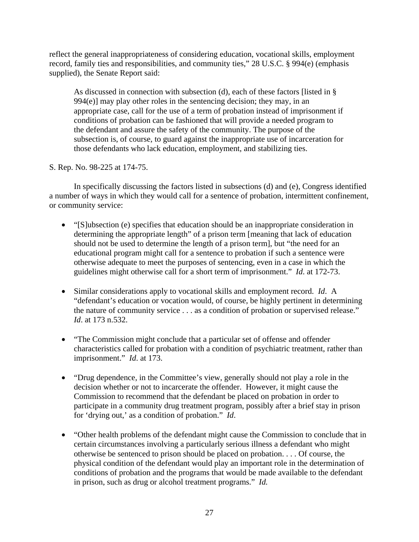reflect the general inappropriateness of considering education, vocational skills, employment record, family ties and responsibilities, and community ties," 28 U.S.C. § 994(e) (emphasis supplied), the Senate Report said:

As discussed in connection with subsection (d), each of these factors [listed in §  $994(e)$ ] may play other roles in the sentencing decision; they may, in an appropriate case, call for the use of a term of probation instead of imprisonment if conditions of probation can be fashioned that will provide a needed program to the defendant and assure the safety of the community. The purpose of the subsection is, of course, to guard against the inappropriate use of incarceration for those defendants who lack education, employment, and stabilizing ties.

S. Rep. No. 98-225 at 174-75.

In specifically discussing the factors listed in subsections (d) and (e), Congress identified a number of ways in which they would call for a sentence of probation, intermittent confinement, or community service:

- "[S]ubsection (e) specifies that education should be an inappropriate consideration in determining the appropriate length" of a prison term [meaning that lack of education should not be used to determine the length of a prison term], but "the need for an educational program might call for a sentence to probation if such a sentence were otherwise adequate to meet the purposes of sentencing, even in a case in which the guidelines might otherwise call for a short term of imprisonment." *Id*. at 172-73.
- Similar considerations apply to vocational skills and employment record. *Id*. A "defendant's education or vocation would, of course, be highly pertinent in determining the nature of community service . . . as a condition of probation or supervised release." *Id*. at 173 n.532.
- "The Commission might conclude that a particular set of offense and offender characteristics called for probation with a condition of psychiatric treatment, rather than imprisonment." *Id*. at 173.
- "Drug dependence, in the Committee's view, generally should not play a role in the decision whether or not to incarcerate the offender. However, it might cause the Commission to recommend that the defendant be placed on probation in order to participate in a community drug treatment program, possibly after a brief stay in prison for 'drying out,' as a condition of probation." *Id*.
- "Other health problems of the defendant might cause the Commission to conclude that in certain circumstances involving a particularly serious illness a defendant who might otherwise be sentenced to prison should be placed on probation. . . . Of course, the physical condition of the defendant would play an important role in the determination of conditions of probation and the programs that would be made available to the defendant in prison, such as drug or alcohol treatment programs." *Id.*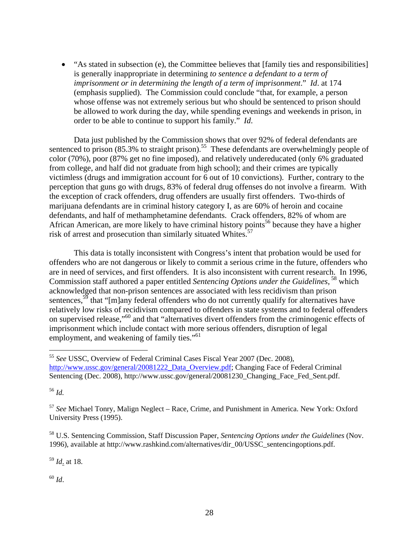"As stated in subsection (e), the Committee believes that [family ties and responsibilities] is generally inappropriate in determining *to sentence a defendant to a term of imprisonment or in determining the length of a term of imprisonment*." *Id*. at 174 (emphasis supplied). The Commission could conclude "that, for example, a person whose offense was not extremely serious but who should be sentenced to prison should be allowed to work during the day, while spending evenings and weekends in prison, in order to be able to continue to support his family." *Id*.

Data just published by the Commission shows that over 92% of federal defendants are sentenced to prison (85.3% to straight prison).<sup>55</sup> These defendants are overwhelmingly people of color (70%), poor (87% get no fine imposed), and relatively undereducated (only 6% graduated from college, and half did not graduate from high school); and their crimes are typically victimless (drugs and immigration account for 6 out of 10 convictions). Further, contrary to the perception that guns go with drugs, 83% of federal drug offenses do not involve a firearm. With the exception of crack offenders, drug offenders are usually first offenders. Two-thirds of marijuana defendants are in criminal history category I, as are 60% of heroin and cocaine defendants, and half of methamphetamine defendants. Crack offenders, 82% of whom are African American, are more likely to have criminal history points<sup>56</sup> because they have a higher risk of arrest and prosecution than similarly situated Whites.<sup>57</sup>

This data is totally inconsistent with Congress's intent that probation would be used for offenders who are not dangerous or likely to commit a serious crime in the future, offenders who are in need of services, and first offenders. It is also inconsistent with current research. In 1996, Commission staff authored a paper entitled *Sentencing Options under the Guidelines*, <sup>58</sup> which acknowledged that non-prison sentences are associated with less recidivism than prison sentences, $5<sup>5</sup>$  that "[m]any federal offenders who do not currently qualify for alternatives have relatively low risks of recidivism compared to offenders in state systems and to federal offenders on supervised release,"<sup>60</sup> and that "alternatives divert offenders from the criminogenic effects of imprisonment which include contact with more serious offenders, disruption of legal employment, and weakening of family ties."<sup>61</sup>

<sup>56</sup> *Id.* 

 $\overline{a}$ 

58 U.S. Sentencing Commission, Staff Discussion Paper, *Sentencing Options under the Guidelines* (Nov. 1996), available at http://www.rashkind.com/alternatives/dir\_00/USSC\_sentencingoptions.pdf.

<sup>59</sup> *Id*. at 18.

<sup>60</sup> *Id*.

<sup>55</sup> *See* USSC, Overview of Federal Criminal Cases Fiscal Year 2007 (Dec. 2008), http://www.ussc.gov/general/20081222\_Data\_Overview.pdf; Changing Face of Federal Criminal Sentencing (Dec. 2008), http://www.ussc.gov/general/20081230\_Changing\_Face\_Fed\_Sent.pdf.

<sup>57</sup> *See* Michael Tonry, Malign Neglect – Race, Crime, and Punishment in America. New York: Oxford University Press (1995).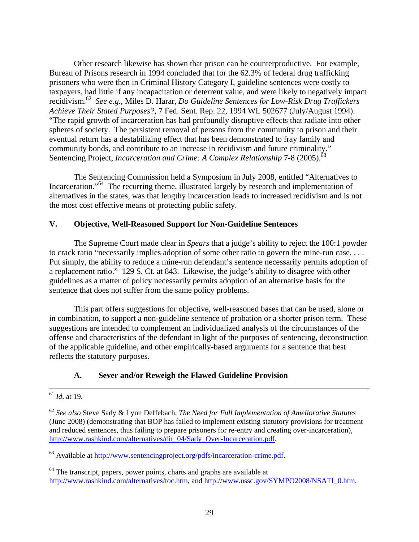Other research likewise has shown that prison can be counterproductive. For example, Bureau of Prisons research in 1994 concluded that for the 62.3% of federal drug trafficking prisoners who were then in Criminal History Category I, guideline sentences were costly to taxpayers, had little if any incapacitation or deterrent value, and were likely to negatively impact recidivism.62 *See e.g.*, Miles D. Harar, *Do Guideline Sentences for Low-Risk Drug Traffickers Achieve Their Stated Purposes?,* 7 Fed. Sent. Rep. 22, 1994 WL 502677 (July/August 1994). "The rapid growth of incarceration has had profoundly disruptive effects that radiate into other spheres of society. The persistent removal of persons from the community to prison and their eventual return has a destabilizing effect that has been demonstrated to fray family and community bonds, and contribute to an increase in recidivism and future criminality." Sentencing Project, *Incarceration and Crime: A Complex Relationship* 7-8 (2005).<sup>63</sup>

The Sentencing Commission held a Symposium in July 2008, entitled "Alternatives to Incarceration."64 The recurring theme, illustrated largely by research and implementation of alternatives in the states, was that lengthy incarceration leads to increased recidivism and is not the most cost effective means of protecting public safety.

## **V. Objective, Well-Reasoned Support for Non-Guideline Sentences**

 The Supreme Court made clear in *Spears* that a judge's ability to reject the 100:1 powder to crack ratio "necessarily implies adoption of some other ratio to govern the mine-run case. . . . Put simply, the ability to reduce a mine-run defendant's sentence necessarily permits adoption of a replacement ratio." 129 S. Ct. at 843. Likewise, the judge's ability to disagree with other guidelines as a matter of policy necessarily permits adoption of an alternative basis for the sentence that does not suffer from the same policy problems.

This part offers suggestions for objective, well-reasoned bases that can be used, alone or in combination, to support a non-guideline sentence of probation or a shorter prison term. These suggestions are intended to complement an individualized analysis of the circumstances of the offense and characteristics of the defendant in light of the purposes of sentencing, deconstruction of the applicable guideline, and other empirically-based arguments for a sentence that best reflects the statutory purposes.

## **A. Sever and/or Reweigh the Flawed Guideline Provision**

 <sup>61</sup> *Id*. at 19.

<sup>62</sup> *See also* Steve Sady & Lynn Deffebach, *The Need for Full Implementation of Ameliorative Statutes* (June 2008) (demonstrating that BOP has failed to implement existing statutory provisions for treatment and reduced sentences, thus failing to prepare prisoners for re-entry and creating over-incarceration), http://www.rashkind.com/alternatives/dir\_04/Sady\_Over-Incarceration.pdf.

<sup>63</sup> Available at http://www.sentencingproject.org/pdfs/incarceration-crime.pdf.

 $64$  The transcript, papers, power points, charts and graphs are available at http://www.rashkind.com/alternatives/toc.htm, and http://www.ussc.gov/SYMPO2008/NSATI\_0.htm.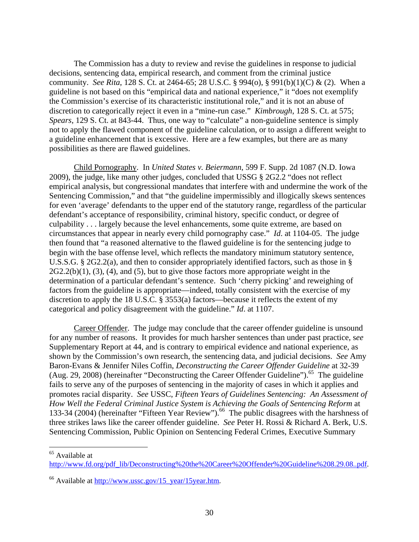The Commission has a duty to review and revise the guidelines in response to judicial decisions, sentencing data, empirical research, and comment from the criminal justice community. *See Rita*, 128 S. Ct. at 2464-65; 28 U.S.C. § 994(o), § 991(b)(1)(C) & (2). When a guideline is not based on this "empirical data and national experience," it "does not exemplify the Commission's exercise of its characteristic institutional role," and it is not an abuse of discretion to categorically reject it even in a "mine-run case." *Kimbrough*, 128 S. Ct. at 575; *Spears*, 129 S. Ct. at 843-44. Thus, one way to "calculate" a non-guideline sentence is simply not to apply the flawed component of the guideline calculation, or to assign a different weight to a guideline enhancement that is excessive. Here are a few examples, but there are as many possibilities as there are flawed guidelines.

Child Pornography. In *United States v. Beiermann*, 599 F. Supp. 2d 1087 (N.D. Iowa 2009), the judge, like many other judges, concluded that USSG § 2G2.2 "does not reflect empirical analysis, but congressional mandates that interfere with and undermine the work of the Sentencing Commission," and that "the guideline impermissibly and illogically skews sentences for even 'average' defendants to the upper end of the statutory range, regardless of the particular defendant's acceptance of responsibility, criminal history, specific conduct, or degree of culpability . . . largely because the level enhancements, some quite extreme, are based on circumstances that appear in nearly every child pornography case." *Id*. at 1104-05. The judge then found that "a reasoned alternative to the flawed guideline is for the sentencing judge to begin with the base offense level, which reflects the mandatory minimum statutory sentence, U.S.S.G. § 2G2.2(a), and then to consider appropriately identified factors, such as those in §  $2G2.2(b)(1)$ ,  $(3)$ ,  $(4)$ , and  $(5)$ , but to give those factors more appropriate weight in the determination of a particular defendant's sentence. Such 'cherry picking' and reweighing of factors from the guideline is appropriate—indeed, totally consistent with the exercise of my discretion to apply the 18 U.S.C. § 3553(a) factors—because it reflects the extent of my categorical and policy disagreement with the guideline." *Id*. at 1107.

Career Offender. The judge may conclude that the career offender guideline is unsound for any number of reasons. It provides for much harsher sentences than under past practice, s*ee*  Supplementary Report at 44, and is contrary to empirical evidence and national experience, as shown by the Commission's own research, the sentencing data, and judicial decisions. *See* Amy Baron-Evans & Jennifer Niles Coffin, *Deconstructing the Career Offender Guideline* at 32-39 (Aug. 29, 2008) (hereinafter "Deconstructing the Career Offender Guideline").<sup>65</sup> The guideline fails to serve any of the purposes of sentencing in the majority of cases in which it applies and promotes racial disparity. *See* USSC, *Fifteen Years of Guidelines Sentencing: An Assessment of How Well the Federal Criminal Justice System is Achieving the Goals of Sentencing Reform* at 133-34 (2004) (hereinafter "Fifteen Year Review").<sup>66</sup> The public disagrees with the harshness of three strikes laws like the career offender guideline. *See* Peter H. Rossi & Richard A. Berk, U.S. Sentencing Commission, Public Opinion on Sentencing Federal Crimes, Executive Summary

 $\overline{a}$ 

http://www.fd.org/pdf\_lib/Deconstructing%20the%20Career%20Offender%20Guideline%208.29.08..pdf.

<sup>&</sup>lt;sup>65</sup> Available at

 $66$  Available at http://www.ussc.gov/15 year/15year.htm.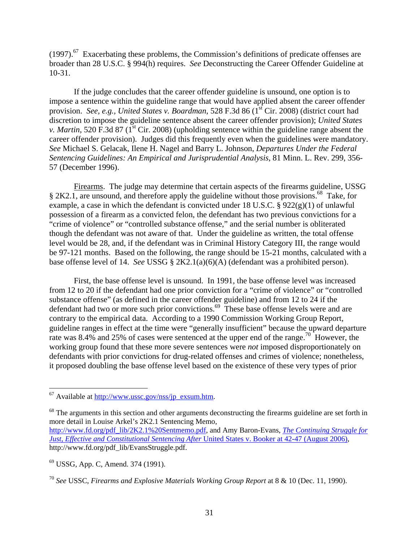$(1997)$ .<sup>67</sup> Exacerbating these problems, the Commission's definitions of predicate offenses are broader than 28 U.S.C. § 994(h) requires. *See* Deconstructing the Career Offender Guideline at 10-31.

If the judge concludes that the career offender guideline is unsound, one option is to impose a sentence within the guideline range that would have applied absent the career offender provision. *See, e.g., United States v. Boardman*, 528 F.3d 86 (1<sup>st</sup> Cir. 2008) (district court had discretion to impose the guideline sentence absent the career offender provision); *United States v. Martin*, 520 F.3d 87 ( $1<sup>st</sup>$  Cir. 2008) (upholding sentence within the guideline range absent the career offender provision). Judges did this frequently even when the guidelines were mandatory. *See* Michael S. Gelacak, Ilene H. Nagel and Barry L. Johnson, *Departures Under the Federal Sentencing Guidelines: An Empirical and Jurisprudential Analysis*, 81 Minn. L. Rev. 299, 356- 57 (December 1996).

Firearms. The judge may determine that certain aspects of the firearms guideline, USSG  $§$  2K2.1, are unsound, and therefore apply the guideline without those provisions.<sup>68</sup> Take, for example, a case in which the defendant is convicted under 18 U.S.C. § 922(g)(1) of unlawful possession of a firearm as a convicted felon, the defendant has two previous convictions for a "crime of violence" or "controlled substance offense," and the serial number is obliterated though the defendant was not aware of that. Under the guideline as written, the total offense level would be 28, and, if the defendant was in Criminal History Category III, the range would be 97-121 months. Based on the following, the range should be 15-21 months, calculated with a base offense level of 14. *See* USSG § 2K2.1(a)(6)(A) (defendant was a prohibited person).

First, the base offense level is unsound. In 1991, the base offense level was increased from 12 to 20 if the defendant had one prior conviction for a "crime of violence" or "controlled substance offense" (as defined in the career offender guideline) and from 12 to 24 if the defendant had two or more such prior convictions.<sup>69</sup> These base offense levels were and are contrary to the empirical data. According to a 1990 Commission Working Group Report, guideline ranges in effect at the time were "generally insufficient" because the upward departure rate was 8.4% and 25% of cases were sentenced at the upper end of the range.<sup>70</sup> However, the working group found that these more severe sentences were *not* imposed disproportionately on defendants with prior convictions for drug-related offenses and crimes of violence; nonetheless, it proposed doubling the base offense level based on the existence of these very types of prior

 $^{67}$  Available at http://www.ussc.gov/nss/ip\_exsum.htm.

 $68$  The arguments in this section and other arguments deconstructing the firearms guideline are set forth in more detail in Louise Arkel's 2K2.1 Sentencing Memo,

http://www.fd.org/pdf\_lib/2K2.1%20Sentmemo.pdf, and Amy Baron-Evans, *The Continuing Struggle for Just, Effective and Constitutional Sentencing After United States v. Booker at 42-47 (August 2006),* http://www.fd.org/pdf\_lib/EvansStruggle.pdf.

<sup>69</sup> USSG, App. C, Amend. 374 (1991).

<sup>70</sup> *See* USSC, *Firearms and Explosive Materials Working Group Report* at 8 & 10 (Dec. 11, 1990).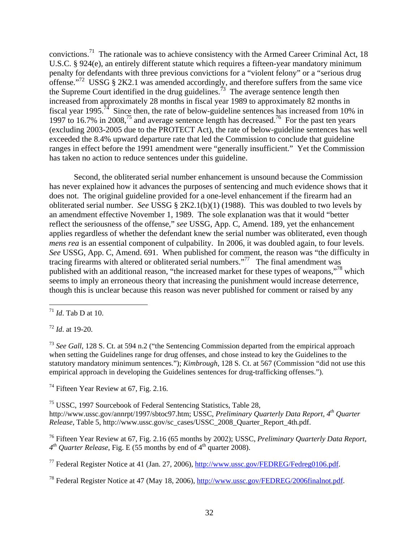convictions.71 The rationale was to achieve consistency with the Armed Career Criminal Act, 18 U.S.C. § 924(e), an entirely different statute which requires a fifteen-year mandatory minimum penalty for defendants with three previous convictions for a "violent felony" or a "serious drug offense."<sup>72</sup> USSG § 2K2.1 was amended accordingly, and therefore suffers from the same vice the Supreme Court identified in the drug guidelines.<sup> $73$ </sup> The average sentence length then increased from approximately 28 months in fiscal year 1989 to approximately 82 months in fiscal year 1995.<sup>74</sup> Since then, the rate of below-guideline sentences has increased from 10% in 1997 to 16.7% in 2008,<sup>75</sup> and average sentence length has decreased.<sup>76</sup> For the past ten years (excluding 2003-2005 due to the PROTECT Act), the rate of below-guideline sentences has well exceeded the 8.4% upward departure rate that led the Commission to conclude that guideline ranges in effect before the 1991 amendment were "generally insufficient." Yet the Commission has taken no action to reduce sentences under this guideline.

Second, the obliterated serial number enhancement is unsound because the Commission has never explained how it advances the purposes of sentencing and much evidence shows that it does not. The original guideline provided for a one-level enhancement if the firearm had an obliterated serial number. *See* USSG § 2K2.1(b)(1) (1988). This was doubled to two levels by an amendment effective November 1, 1989. The sole explanation was that it would "better reflect the seriousness of the offense," *see* USSG, App. C, Amend. 189, yet the enhancement applies regardless of whether the defendant knew the serial number was obliterated, even though *mens rea* is an essential component of culpability. In 2006, it was doubled again, to four levels. *See* USSG, App. C, Amend. 691. When published for comment, the reason was "the difficulty in tracing firearms with altered or obliterated serial numbers."<sup>77</sup> The final amendment was published with an additional reason, "the increased market for these types of weapons,"78 which seems to imply an erroneous theory that increasing the punishment would increase deterrence, though this is unclear because this reason was never published for comment or raised by any

<sup>72</sup> *Id*. at 19-20.

 $\overline{a}$ 

<sup>73</sup> *See Gall*, 128 S. Ct. at 594 n.2 ("the Sentencing Commission departed from the empirical approach when setting the Guidelines range for drug offenses, and chose instead to key the Guidelines to the statutory mandatory minimum sentences."); *Kimbrough*, 128 S. Ct. at 567 (Commission "did not use this empirical approach in developing the Guidelines sentences for drug-trafficking offenses.").

 $74$  Fifteen Year Review at 67, Fig. 2.16.

75 USSC, 1997 Sourcebook of Federal Sentencing Statistics, Table 28, http://www.ussc.gov/annrpt/1997/sbtoc97.htm; USSC, *Preliminary Quarterly Data Report, 4th Quarter Release*, Table 5, http://www.ussc.gov/sc\_cases/USSC\_2008\_Quarter\_Report\_4th.pdf.

76 Fifteen Year Review at 67, Fig. 2.16 (65 months by 2002); USSC, *Preliminary Quarterly Data Report,*   $4^{th}$  *Quarter Release*, Fig. E (55 months by end of  $4^{th}$  quarter 2008).

 $^{77}$  Federal Register Notice at 41 (Jan. 27, 2006), http://www.ussc.gov/FEDREG/Fedreg0106.pdf.

78 Federal Register Notice at 47 (May 18, 2006), http://www.ussc.gov/FEDREG/2006finalnot.pdf.

<sup>71</sup> *Id*. Tab D at 10.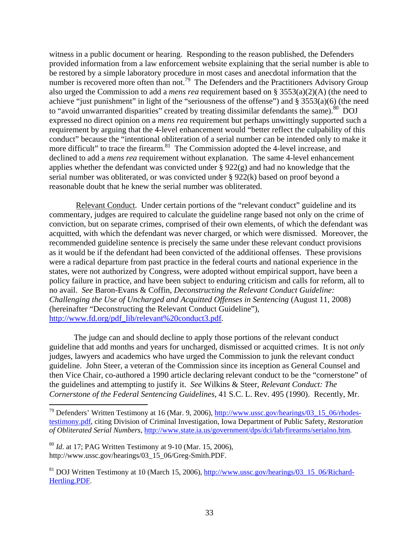witness in a public document or hearing. Responding to the reason published, the Defenders provided information from a law enforcement website explaining that the serial number is able to be restored by a simple laboratory procedure in most cases and anecdotal information that the number is recovered more often than not.<sup>79</sup> The Defenders and the Practitioners Advisory Group also urged the Commission to add a *mens rea* requirement based on § 3553(a)(2)(A) (the need to achieve "just punishment" in light of the "seriousness of the offense") and  $\S 3553(a)(6)$  (the need to "avoid unwarranted disparities" created by treating dissimilar defendants the same).<sup>80</sup> DOJ expressed no direct opinion on a *mens rea* requirement but perhaps unwittingly supported such a requirement by arguing that the 4-level enhancement would "better reflect the culpability of this conduct" because the "intentional obliteration of a serial number can be intended only to make it more difficult" to trace the firearm.<sup>81</sup> The Commission adopted the 4-level increase, and declined to add a *mens rea* requirement without explanation. The same 4-level enhancement applies whether the defendant was convicted under  $\S 922(g)$  and had no knowledge that the serial number was obliterated, or was convicted under § 922(k) based on proof beyond a reasonable doubt that he knew the serial number was obliterated.

 Relevant Conduct. Under certain portions of the "relevant conduct" guideline and its commentary, judges are required to calculate the guideline range based not only on the crime of conviction, but on separate crimes, comprised of their own elements, of which the defendant was acquitted, with which the defendant was never charged, or which were dismissed. Moreover, the recommended guideline sentence is precisely the same under these relevant conduct provisions as it would be if the defendant had been convicted of the additional offenses. These provisions were a radical departure from past practice in the federal courts and national experience in the states, were not authorized by Congress, were adopted without empirical support, have been a policy failure in practice, and have been subject to enduring criticism and calls for reform, all to no avail. *See* Baron-Evans & Coffin, *Deconstructing the Relevant Conduct Guideline: Challenging the Use of Uncharged and Acquitted Offenses in Sentencing* (August 11, 2008) (hereinafter "Deconstructing the Relevant Conduct Guideline"), http://www.fd.org/pdf\_lib/relevant%20conduct3.pdf.

The judge can and should decline to apply those portions of the relevant conduct guideline that add months and years for uncharged, dismissed or acquitted crimes. It is not *only*  judges, lawyers and academics who have urged the Commission to junk the relevant conduct guideline. John Steer, a veteran of the Commission since its inception as General Counsel and then Vice Chair, co-authored a 1990 article declaring relevant conduct to be the "cornerstone" of the guidelines and attempting to justify it. *See* Wilkins & Steer, *Relevant Conduct: The Cornerstone of the Federal Sentencing Guidelines*, 41 S.C. L. Rev. 495 (1990). Recently, Mr.

<sup>80</sup> *Id*. at 17; PAG Written Testimony at 9-10 (Mar. 15, 2006), http://www.ussc.gov/hearings/03\_15\_06/Greg-Smith.PDF.

1

 $^{79}$  Defenders' Written Testimony at 16 (Mar. 9, 2006), http://www.ussc.gov/hearings/03\_15\_06/rhodestestimony.pdf, citing Division of Criminal Investigation, Iowa Department of Public Safety, *Restoration of Obliterated Serial Numbers*, http://www.state.ia.us/government/dps/dci/lab/firearms/serialno.htm.

 $81$  DOJ Written Testimony at 10 (March 15, 2006), http://www.ussc.gov/hearings/03\_15\_06/Richard-Hertling.PDF.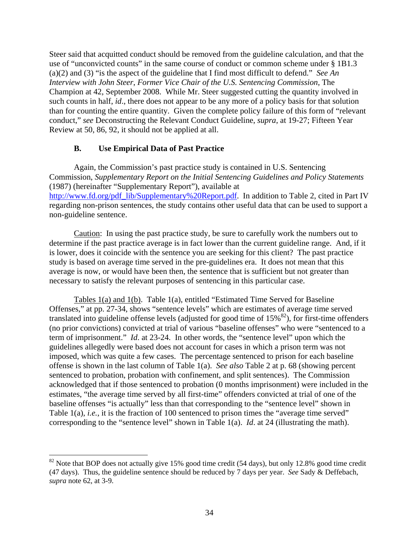Steer said that acquitted conduct should be removed from the guideline calculation, and that the use of "unconvicted counts" in the same course of conduct or common scheme under § 1B1.3 (a)(2) and (3) "is the aspect of the guideline that I find most difficult to defend." *See An Interview with John Steer*, *Former Vice Chair of the U.S. Sentencing Commission*, The Champion at 42, September 2008. While Mr. Steer suggested cutting the quantity involved in such counts in half, *id*., there does not appear to be any more of a policy basis for that solution than for counting the entire quantity. Given the complete policy failure of this form of "relevant conduct," *see* Deconstructing the Relevant Conduct Guideline, *supra*, at 19-27; Fifteen Year Review at 50, 86, 92, it should not be applied at all.

### **B. Use Empirical Data of Past Practice**

 $\overline{a}$ 

Again, the Commission's past practice study is contained in U.S. Sentencing Commission, *Supplementary Report on the Initial Sentencing Guidelines and Policy Statements*  (1987) (hereinafter "Supplementary Report"), available at http://www.fd.org/pdf\_lib/Supplementary%20Report.pdf. In addition to Table 2, cited in Part IV regarding non-prison sentences, the study contains other useful data that can be used to support a non-guideline sentence.

Caution: In using the past practice study, be sure to carefully work the numbers out to determine if the past practice average is in fact lower than the current guideline range. And, if it is lower, does it coincide with the sentence you are seeking for this client? The past practice study is based on average time served in the pre-guidelines era. It does not mean that this average is now, or would have been then, the sentence that is sufficient but not greater than necessary to satisfy the relevant purposes of sentencing in this particular case.

Tables 1(a) and 1(b). Table 1(a), entitled "Estimated Time Served for Baseline Offenses," at pp. 27-34, shows "sentence levels" which are estimates of average time served translated into guideline offense levels (adjusted for good time of  $15\%^{82}$ ), for first-time offenders (no prior convictions) convicted at trial of various "baseline offenses" who were "sentenced to a term of imprisonment." *Id*. at 23-24. In other words, the "sentence level" upon which the guidelines allegedly were based does not account for cases in which a prison term was not imposed, which was quite a few cases. The percentage sentenced to prison for each baseline offense is shown in the last column of Table 1(a). *See also* Table 2 at p. 68 (showing percent sentenced to probation, probation with confinement, and split sentences). The Commission acknowledged that if those sentenced to probation (0 months imprisonment) were included in the estimates, "the average time served by all first-time" offenders convicted at trial of one of the baseline offenses "is actually" less than that corresponding to the "sentence level" shown in Table 1(a), *i.e.*, it is the fraction of 100 sentenced to prison times the "average time served" corresponding to the "sentence level" shown in Table 1(a). *Id*. at 24 (illustrating the math).

<sup>&</sup>lt;sup>82</sup> Note that BOP does not actually give 15% good time credit (54 days), but only 12.8% good time credit (47 days). Thus, the guideline sentence should be reduced by 7 days per year. *See* Sady & Deffebach, *supra* note 62, at 3-9.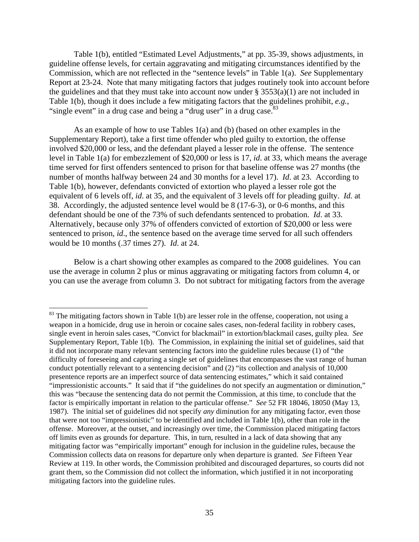Table 1(b), entitled "Estimated Level Adjustments," at pp. 35-39, shows adjustments, in guideline offense levels, for certain aggravating and mitigating circumstances identified by the Commission, which are not reflected in the "sentence levels" in Table 1(a). *See* Supplementary Report at 23-24. Note that many mitigating factors that judges routinely took into account before the guidelines and that they must take into account now under  $\S 3553(a)(1)$  are not included in Table 1(b), though it does include a few mitigating factors that the guidelines prohibit, *e.g.*, "single event" in a drug case and being a "drug user" in a drug case.<sup>83</sup>

As an example of how to use Tables 1(a) and (b) (based on other examples in the Supplementary Report), take a first time offender who pled guilty to extortion, the offense involved \$20,000 or less, and the defendant played a lesser role in the offense. The sentence level in Table 1(a) for embezzlement of \$20,000 or less is 17, *id*. at 33, which means the average time served for first offenders sentenced to prison for that baseline offense was 27 months (the number of months halfway between 24 and 30 months for a level 17). *Id*. at 23. According to Table 1(b), however, defendants convicted of extortion who played a lesser role got the equivalent of 6 levels off, *id*. at 35, and the equivalent of 3 levels off for pleading guilty. *Id.* at 38. Accordingly, the adjusted sentence level would be 8 (17-6-3), or 0-6 months, and this defendant should be one of the 73% of such defendants sentenced to probation. *Id*. at 33. Alternatively, because only 37% of offenders convicted of extortion of \$20,000 or less were sentenced to prison, *id*., the sentence based on the average time served for all such offenders would be 10 months (.37 times 27). *Id*. at 24.

Below is a chart showing other examples as compared to the 2008 guidelines. You can use the average in column 2 plus or minus aggravating or mitigating factors from column 4, or you can use the average from column 3. Do not subtract for mitigating factors from the average

<sup>&</sup>lt;sup>83</sup> The mitigating factors shown in Table 1(b) are lesser role in the offense, cooperation, not using a weapon in a homicide, drug use in heroin or cocaine sales cases, non-federal facility in robbery cases, single event in heroin sales cases, "Convict for blackmail" in extortion/blackmail cases, guilty plea. *See*  Supplementary Report, Table 1(b). The Commission, in explaining the initial set of guidelines, said that it did not incorporate many relevant sentencing factors into the guideline rules because (1) of "the difficulty of foreseeing and capturing a single set of guidelines that encompasses the vast range of human conduct potentially relevant to a sentencing decision" and (2) "its collection and analysis of 10,000 presentence reports are an imperfect source of data sentencing estimates," which it said contained "impressionistic accounts." It said that if "the guidelines do not specify an augmentation or diminution," this was "because the sentencing data do not permit the Commission, at this time, to conclude that the factor is empirically important in relation to the particular offense." *See* 52 FR 18046, 18050 (May 13, 1987). The initial set of guidelines did not specify *any* diminution for any mitigating factor, even those that were not too "impressionistic" to be identified and included in Table 1(b), other than role in the offense. Moreover, at the outset, and increasingly over time, the Commission placed mitigating factors off limits even as grounds for departure. This, in turn, resulted in a lack of data showing that any mitigating factor was "empirically important" enough for inclusion in the guideline rules, because the Commission collects data on reasons for departure only when departure is granted. *See* Fifteen Year Review at 119. In other words, the Commission prohibited and discouraged departures, so courts did not grant them, so the Commission did not collect the information, which justified it in not incorporating mitigating factors into the guideline rules.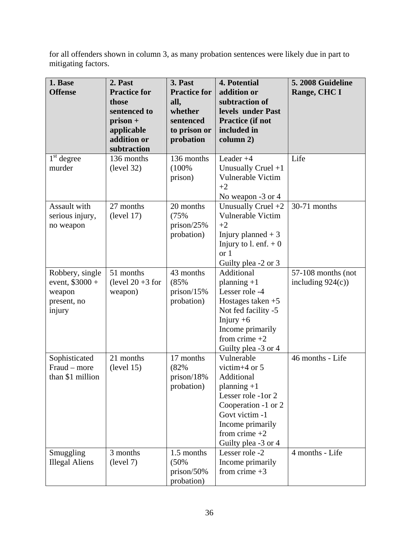for all offenders shown in column 3, as many probation sentences were likely due in part to mitigating factors.

| 1. Base               | 2. Past             | 3. Past             | <b>4. Potential</b>      | 5. 2008 Guideline    |
|-----------------------|---------------------|---------------------|--------------------------|----------------------|
| <b>Offense</b>        | <b>Practice for</b> | <b>Practice for</b> | addition or              | Range, CHC I         |
|                       | those               | all,                | subtraction of           |                      |
|                       | sentenced to        | whether             | levels under Past        |                      |
|                       | prison +            | sentenced           | Practice (if not         |                      |
|                       | applicable          | to prison or        | included in              |                      |
|                       | addition or         | probation           | column 2)                |                      |
|                       | subtraction         |                     |                          |                      |
| $1st$ degree          | 136 months          | 136 months          | Leader $+4$              | Life                 |
| murder                | (level 32)          | (100%               | Unusually Cruel $+1$     |                      |
|                       |                     | prison)             | <b>Vulnerable Victim</b> |                      |
|                       |                     |                     | $+2$                     |                      |
|                       |                     |                     | No weapon -3 or 4        |                      |
| Assault with          | 27 months           | 20 months           | Unusually Cruel $+2$     | 30-71 months         |
| serious injury,       | (level 17)          | (75%                | <b>Vulnerable Victim</b> |                      |
| no weapon             |                     | prison/25%          | $+2$                     |                      |
|                       |                     | probation)          | Injury planned $+3$      |                      |
|                       |                     |                     | Injury to l. enf. $+0$   |                      |
|                       |                     |                     | or 1                     |                      |
|                       |                     |                     | Guilty plea -2 or 3      |                      |
| Robbery, single       | 51 months           | 43 months           | Additional               | 57-108 months (not   |
| event, $$3000 +$      | (level $20 + 3$ for | (85%                | planning $+1$            | including $924(c)$ ) |
| weapon                | weapon)             | prison/15%          | Lesser role -4           |                      |
| present, no           |                     | probation)          | Hostages taken $+5$      |                      |
| injury                |                     |                     | Not fed facility -5      |                      |
|                       |                     |                     | Injury $+6$              |                      |
|                       |                     |                     | Income primarily         |                      |
|                       |                     |                     | from crime $+2$          |                      |
|                       |                     |                     | Guilty plea -3 or 4      |                      |
| Sophisticated         | 21 months           | 17 months           | Vulnerable               | 46 months - Life     |
| Fraud - more          | (level 15)          | (82%                | victim+4 or $5$          |                      |
| than \$1 million      |                     | prison/18%          | Additional               |                      |
|                       |                     | probation)          | planning $+1$            |                      |
|                       |                     |                     | Lesser role -1or 2       |                      |
|                       |                     |                     | Cooperation -1 or 2      |                      |
|                       |                     |                     | Govt victim -1           |                      |
|                       |                     |                     | Income primarily         |                      |
|                       |                     |                     | from crime $+2$          |                      |
|                       |                     |                     | Guilty plea -3 or 4      |                      |
| Smuggling             | 3 months            | 1.5 months          | Lesser role -2           | 4 months - Life      |
| <b>Illegal Aliens</b> | (level 7)           | (50%                | Income primarily         |                      |
|                       |                     | prison/50%          | from crime $+3$          |                      |
|                       |                     | probation)          |                          |                      |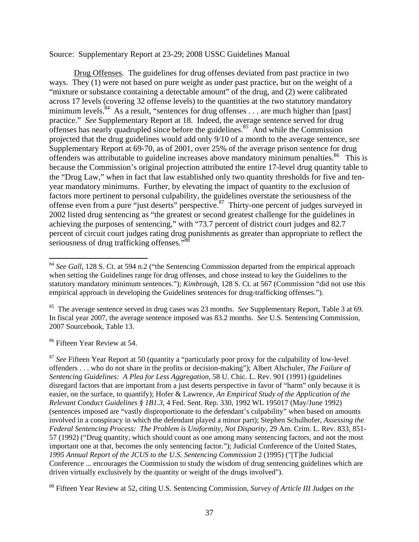#### Source: Supplementary Report at 23-29; 2008 USSC Guidelines Manual

Drug Offenses. The guidelines for drug offenses deviated from past practice in two ways. They (1) were not based on pure weight as under past practice, but on the weight of a "mixture or substance containing a detectable amount" of the drug, and (2) were calibrated across 17 levels (covering 32 offense levels) to the quantities at the two statutory mandatory minimum levels.  $84$  As a result, "sentences for drug offenses . . . are much higher than [past] practice." *See* Supplementary Report at 18. Indeed, the average sentence served for drug offenses has nearly quadrupled since before the guidelines.<sup>85</sup> And while the Commission projected that the drug guidelines would add only 9/10 of a month to the average sentence, *see*  Supplementary Report at 69-70, as of 2001, over 25% of the average prison sentence for drug offenders was attributable to guideline increases above mandatory minimum penalties. $86$  This is because the Commission's original projection attributed the entire 17-level drug quantity table to the "Drug Law," when in fact that law established only two quantity thresholds for five and tenyear mandatory minimums. Further, by elevating the impact of quantity to the exclusion of factors more pertinent to personal culpability, the guidelines overstate the seriousness of the offense even from a pure "just deserts" perspective.87 Thirty-one percent of judges surveyed in 2002 listed drug sentencing as "the greatest or second greatest challenge for the guidelines in achieving the purposes of sentencing," with "73.7 percent of district court judges and 82.7 percent of circuit court judges rating drug punishments as greater than appropriate to reflect the seriousness of drug trafficking offenses."<sup>88</sup>

86 Fifteen Year Review at 54.

<sup>&</sup>lt;sup>84</sup> See Gall, 128 S. Ct. at 594 n.2 ("the Sentencing Commission departed from the empirical approach when setting the Guidelines range for drug offenses, and chose instead to key the Guidelines to the statutory mandatory minimum sentences."); *Kimbrough*, 128 S. Ct. at 567 (Commission "did not use this empirical approach in developing the Guidelines sentences for drug-trafficking offenses.").

<sup>85</sup> The average sentence served in drug cases was 23 months. *See* Supplementary Report, Table 3 at 69. In fiscal year 2007, the average sentence imposed was 83.2 months. *See* U.S. Sentencing Commission, 2007 Sourcebook, Table 13.

<sup>87</sup> *See* Fifteen Year Report at 50 (quantity a "particularly poor proxy for the culpability of low-level offenders . . . who do not share in the profits or decision-making"); Albert Alschuler, *The Failure of Sentencing Guidelines: A Plea for Less Aggregation*, 58 U. Chic. L. Rev. 901 (1991) (guidelines disregard factors that are important from a just deserts perspective in favor of "harm" only because it is easier, on the surface, to quantify); Hofer & Lawrence, *An Empirical Study of the Application of the Relevant Conduct Guidelines § 1B1.3*, 4 Fed. Sent. Rep. 330, 1992 WL 195017 (May/June 1992) (sentences imposed are "vastly disproportionate to the defendant's culpability" when based on amounts involved in a conspiracy in which the defendant played a minor part); Stephen Schulhofer, *Assessing the Federal Sentencing Process: The Problem is Uniformity, Not Disparity*, 29 Am. Crim. L. Rev. 833, 851- 57 (1992) ("Drug quantity, which should count as one among many sentencing factors, and not the most important one at that, becomes the only sentencing factor."); Judicial Conference of the United States, *1995 Annual Report of the JCUS to the U.S. Sentencing Commission* 2 (1995) ("[T]he Judicial Conference ... encourages the Commission to study the wisdom of drug sentencing guidelines which are driven virtually exclusively by the quantity or weight of the drugs involved").

<sup>88</sup> Fifteen Year Review at 52, citing U.S. Sentencing Commission, *Survey of Article III Judges on the*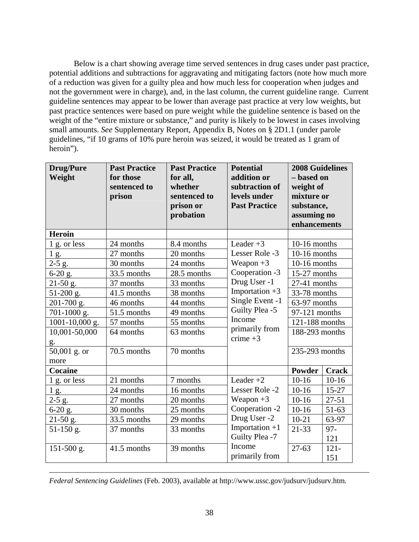Below is a chart showing average time served sentences in drug cases under past practice, potential additions and subtractions for aggravating and mitigating factors (note how much more of a reduction was given for a guilty plea and how much less for cooperation when judges and not the government were in charge), and, in the last column, the current guideline range. Current guideline sentences may appear to be lower than average past practice at very low weights, but past practice sentences were based on pure weight while the guideline sentence is based on the weight of the "entire mixture or substance," and purity is likely to be lowest in cases involving small amounts. *See* Supplementary Report, Appendix B, Notes on § 2D1.1 (under parole guidelines, "if 10 grams of 10% pure heroin was seized, it would be treated as 1 gram of heroin").

| <b>Drug/Pure</b><br>Weight | <b>Past Practice</b><br>for those<br>sentenced to<br>prison | <b>Past Practice</b><br>for all,<br>whether<br>sentenced to<br>prison or<br>probation | <b>Potential</b><br>addition or<br>subtraction of<br>levels under<br><b>Past Practice</b> | <b>2008 Guidelines</b><br>- based on<br>weight of<br>mixture or<br>substance,<br>assuming no<br>enhancements |              |
|----------------------------|-------------------------------------------------------------|---------------------------------------------------------------------------------------|-------------------------------------------------------------------------------------------|--------------------------------------------------------------------------------------------------------------|--------------|
| <b>Heroin</b>              |                                                             |                                                                                       |                                                                                           |                                                                                                              |              |
| 1 g. or less               | 24 months                                                   | 8.4 months                                                                            | Leader $+3$                                                                               | 10-16 months                                                                                                 |              |
| 1 g.                       | 27 months                                                   | 20 months                                                                             | Lesser Role -3                                                                            | $10-16$ months                                                                                               |              |
| $2-5 g.$                   | 30 months                                                   | 24 months                                                                             | Weapon $+3$                                                                               | $10-16$ months                                                                                               |              |
| $6-20$ g.                  | 33.5 months                                                 | 28.5 months                                                                           | Cooperation -3                                                                            | 15-27 months                                                                                                 |              |
| $21-50$ g.                 | 37 months                                                   | 33 months                                                                             | Drug User -1                                                                              | 27-41 months                                                                                                 |              |
| 51-200 g.                  | 41.5 months                                                 | 38 months                                                                             | Importation $+3$                                                                          | 33-78 months                                                                                                 |              |
| 201-700 g.                 | 46 months                                                   | 44 months                                                                             | Single Event -1                                                                           | $\overline{6}$ 3-97 months                                                                                   |              |
| 701-1000 g.                | 51.5 months                                                 | 49 months                                                                             | Guilty Plea -5                                                                            | 97-121 months                                                                                                |              |
| 1001-10,000 g.             | 57 months                                                   | 55 months                                                                             | Income                                                                                    | 121-188 months                                                                                               |              |
| 10,001-50,000              | 64 months                                                   | 63 months                                                                             | primarily from<br>crime $+3$                                                              | 188-293 months                                                                                               |              |
| g.                         | 70.5 months                                                 | 70 months                                                                             |                                                                                           |                                                                                                              |              |
| 50,001 g. or<br>more       |                                                             |                                                                                       |                                                                                           | 235-293 months                                                                                               |              |
| <b>Cocaine</b>             |                                                             |                                                                                       |                                                                                           | <b>Powder</b>                                                                                                | <b>Crack</b> |
| 1 g. or less               | 21 months                                                   | 7 months                                                                              | Leader $+2$                                                                               | $10-16$                                                                                                      | $10-16$      |
| 1 g.                       | 24 months                                                   | 16 months                                                                             | Lesser Role -2                                                                            | $10-16$                                                                                                      | $15 - 27$    |
| $2-5$ g.                   | 27 months                                                   | 20 months                                                                             | Weapon $+3$                                                                               | $10-16$                                                                                                      | $27 - 51$    |
| $6-20$ g.                  | 30 months                                                   | 25 months                                                                             | Cooperation -2                                                                            | $10-16$                                                                                                      | $51 - 63$    |
| $21-50$ g.                 | 33.5 months                                                 | 29 months                                                                             | Drug User -2                                                                              | $10 - 21$                                                                                                    | 63-97        |
| 51-150 g.                  | 37 months                                                   | 33 months                                                                             | Importation $+1$                                                                          | $21 - 33$                                                                                                    | $97 -$       |
|                            |                                                             |                                                                                       | Guilty Plea -7                                                                            |                                                                                                              | 121          |
| $151-500$ g.               | 41.5 months                                                 | 39 months                                                                             | Income                                                                                    | $27 - 63$                                                                                                    | $121 -$      |
|                            |                                                             |                                                                                       | primarily from                                                                            |                                                                                                              | 151          |

*Federal Sentencing Guidelines* (Feb. 2003), available at http://www.ussc.gov/judsurv/judsurv.htm*.*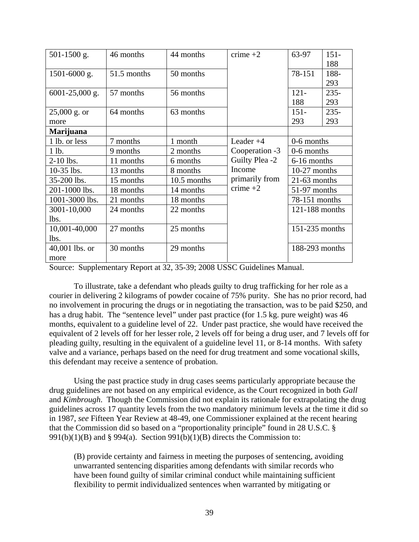| 501-1500 g.      | 46 months   | 44 months   | crime $+2$     | 63-97          | $151 -$ |
|------------------|-------------|-------------|----------------|----------------|---------|
|                  |             |             |                |                | 188     |
| 1501-6000 g.     | 51.5 months | 50 months   |                | 78-151         | 188-    |
|                  |             |             |                |                | 293     |
| $6001-25,000$ g. | 57 months   | 56 months   |                | $121 -$        | $235 -$ |
|                  |             |             |                | 188            | 293     |
| $25,000$ g. or   | 64 months   | 63 months   |                | $151 -$        | $235 -$ |
| more             |             |             |                | 293            | 293     |
| <b>Marijuana</b> |             |             |                |                |         |
| 1 lb. or less    | 7 months    | 1 month     | Leader $+4$    | 0-6 months     |         |
| 1 lb.            | 9 months    | 2 months    | Cooperation -3 | 0-6 months     |         |
| $2-10$ lbs.      | 11 months   | 6 months    | Guilty Plea -2 | 6-16 months    |         |
| 10-35 lbs.       | 13 months   | 8 months    | Income         | 10-27 months   |         |
| 35-200 lbs.      | 15 months   | 10.5 months | primarily from | $21-63$ months |         |
| 201-1000 lbs.    | 18 months   | 14 months   | crime $+2$     | 51-97 months   |         |
| 1001-3000 lbs.   | 21 months   | 18 months   |                | 78-151 months  |         |
| 3001-10,000      | 24 months   | 22 months   |                | 121-188 months |         |
| lbs.             |             |             |                |                |         |
| 10,001-40,000    | 27 months   | 25 months   |                | 151-235 months |         |
| lbs.             |             |             |                |                |         |
| $40,001$ lbs. or | 30 months   | 29 months   |                | 188-293 months |         |
| more             |             |             |                |                |         |

Source: Supplementary Report at 32, 35-39; 2008 USSC Guidelines Manual.

 To illustrate, take a defendant who pleads guilty to drug trafficking for her role as a courier in delivering 2 kilograms of powder cocaine of 75% purity. She has no prior record, had no involvement in procuring the drugs or in negotiating the transaction, was to be paid \$250, and has a drug habit. The "sentence level" under past practice (for 1.5 kg. pure weight) was 46 months, equivalent to a guideline level of 22. Under past practice, she would have received the equivalent of 2 levels off for her lesser role, 2 levels off for being a drug user, and 7 levels off for pleading guilty, resulting in the equivalent of a guideline level 11, or 8-14 months. With safety valve and a variance, perhaps based on the need for drug treatment and some vocational skills, this defendant may receive a sentence of probation.

 Using the past practice study in drug cases seems particularly appropriate because the drug guidelines are not based on any empirical evidence, as the Court recognized in both *Gall* and *Kimbrough*. Though the Commission did not explain its rationale for extrapolating the drug guidelines across 17 quantity levels from the two mandatory minimum levels at the time it did so in 1987, *see* Fifteen Year Review at 48-49, one Commissioner explained at the recent hearing that the Commission did so based on a "proportionality principle" found in 28 U.S.C. § 991(b)(1)(B) and § 994(a). Section 991(b)(1)(B) directs the Commission to:

(B) provide certainty and fairness in meeting the purposes of sentencing, avoiding unwarranted sentencing disparities among defendants with similar records who have been found guilty of similar criminal conduct while maintaining sufficient flexibility to permit individualized sentences when warranted by mitigating or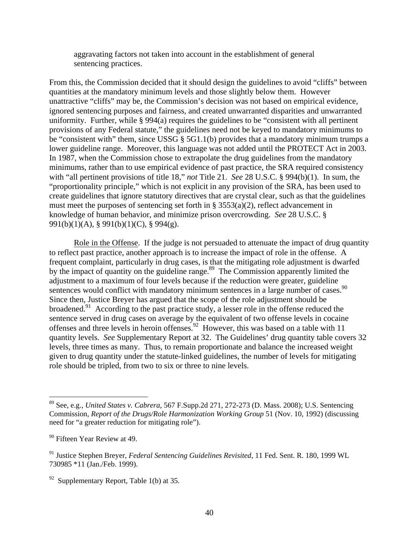aggravating factors not taken into account in the establishment of general sentencing practices.

From this, the Commission decided that it should design the guidelines to avoid "cliffs" between quantities at the mandatory minimum levels and those slightly below them. However unattractive "cliffs" may be, the Commission's decision was not based on empirical evidence, ignored sentencing purposes and fairness, and created unwarranted disparities and unwarranted uniformity. Further, while § 994(a) requires the guidelines to be "consistent with all pertinent provisions of any Federal statute," the guidelines need not be keyed to mandatory minimums to be "consistent with" them, since USSG § 5G1.1(b) provides that a mandatory minimum trumps a lower guideline range. Moreover, this language was not added until the PROTECT Act in 2003. In 1987, when the Commission chose to extrapolate the drug guidelines from the mandatory minimums, rather than to use empirical evidence of past practice, the SRA required consistency with "all pertinent provisions of title 18," *not* Title 21. *See* 28 U.S.C. § 994(b)(1). In sum, the "proportionality principle," which is not explicit in any provision of the SRA, has been used to create guidelines that ignore statutory directives that are crystal clear, such as that the guidelines must meet the purposes of sentencing set forth in § 3553(a)(2), reflect advancement in knowledge of human behavior, and minimize prison overcrowding. *See* 28 U.S.C. § 991(b)(1)(A), § 991(b)(1)(C), § 994(g).

Role in the Offense. If the judge is not persuaded to attenuate the impact of drug quantity to reflect past practice, another approach is to increase the impact of role in the offense. A frequent complaint, particularly in drug cases, is that the mitigating role adjustment is dwarfed by the impact of quantity on the guideline range.<sup>89</sup> The Commission apparently limited the adjustment to a maximum of four levels because if the reduction were greater, guideline sentences would conflict with mandatory minimum sentences in a large number of cases.<sup>90</sup> Since then, Justice Breyer has argued that the scope of the role adjustment should be broadened.<sup>91</sup> According to the past practice study, a lesser role in the offense reduced the sentence served in drug cases on average by the equivalent of two offense levels in cocaine offenses and three levels in heroin offenses.<sup>92</sup> However, this was based on a table with 11 quantity levels. *See* Supplementary Report at 32. The Guidelines' drug quantity table covers 32 levels, three times as many. Thus, to remain proportionate and balance the increased weight given to drug quantity under the statute-linked guidelines, the number of levels for mitigating role should be tripled, from two to six or three to nine levels.

<u>.</u>

<sup>89</sup> See, e.g., *United States v. Cabrera*, 567 F.Supp.2d 271, 272-273 (D. Mass. 2008); U.S. Sentencing Commission, *Report of the Drugs/Role Harmonization Working Group* 51 (Nov. 10, 1992) (discussing need for "a greater reduction for mitigating role").

<sup>&</sup>lt;sup>90</sup> Fifteen Year Review at 49.

<sup>91</sup> Justice Stephen Breyer, *Federal Sentencing Guidelines Revisited*, 11 Fed. Sent. R. 180, 1999 WL 730985 \*11 (Jan./Feb. 1999).

 $92$  Supplementary Report, Table 1(b) at 35.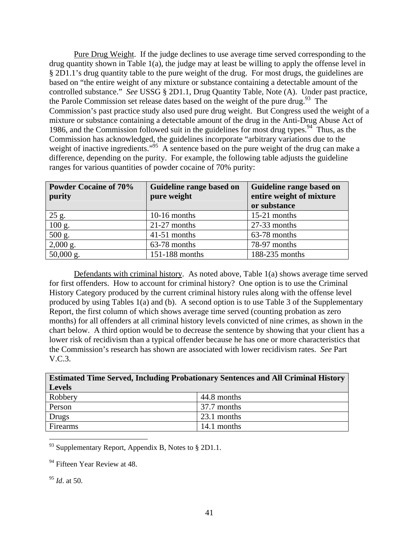Pure Drug Weight. If the judge declines to use average time served corresponding to the drug quantity shown in Table 1(a), the judge may at least be willing to apply the offense level in § 2D1.1's drug quantity table to the pure weight of the drug. For most drugs, the guidelines are based on "the entire weight of any mixture or substance containing a detectable amount of the controlled substance." *See* USSG § 2D1.1, Drug Quantity Table, Note (A). Under past practice, the Parole Commission set release dates based on the weight of the pure drug.<sup>93</sup> The Commission's past practice study also used pure drug weight. But Congress used the weight of a mixture or substance containing a detectable amount of the drug in the Anti-Drug Abuse Act of 1986, and the Commission followed suit in the guidelines for most drug types.<sup>94</sup> Thus, as the Commission has acknowledged, the guidelines incorporate "arbitrary variations due to the weight of inactive ingredients."<sup>95</sup> A sentence based on the pure weight of the drug can make a difference, depending on the purity. For example, the following table adjusts the guideline ranges for various quantities of powder cocaine of 70% purity:

| <b>Powder Cocaine of 70%</b><br>purity | Guideline range based on<br>pure weight | Guideline range based on<br>entire weight of mixture |
|----------------------------------------|-----------------------------------------|------------------------------------------------------|
|                                        |                                         | or substance                                         |
| 25 g.                                  | $10-16$ months                          | 15-21 months                                         |
| 100 g.                                 | $21-27$ months                          | 27-33 months                                         |
| 500 g.                                 | 41-51 months                            | 63-78 months                                         |
| $2,000$ g.                             | 63-78 months                            | 78-97 months                                         |
| $50,000$ g.                            | 151-188 months                          | 188-235 months                                       |

Defendants with criminal history. As noted above, Table 1(a) shows average time served for first offenders. How to account for criminal history? One option is to use the Criminal History Category produced by the current criminal history rules along with the offense level produced by using Tables 1(a) and (b). A second option is to use Table 3 of the Supplementary Report, the first column of which shows average time served (counting probation as zero months) for all offenders at all criminal history levels convicted of nine crimes, as shown in the chart below. A third option would be to decrease the sentence by showing that your client has a lower risk of recidivism than a typical offender because he has one or more characteristics that the Commission's research has shown are associated with lower recidivism rates. *See* Part V.C.3.

| <b>Estimated Time Served, Including Probationary Sentences and All Criminal History</b> |             |  |  |
|-----------------------------------------------------------------------------------------|-------------|--|--|
| <b>Levels</b>                                                                           |             |  |  |
| Robbery                                                                                 | 44.8 months |  |  |
| Person                                                                                  | 37.7 months |  |  |
| Drugs                                                                                   | 23.1 months |  |  |
| Firearms                                                                                | 14.1 months |  |  |

 $93$  Supplementary Report, Appendix B, Notes to § 2D1.1.

<sup>94</sup> Fifteen Year Review at 48.

<sup>95</sup> *Id*. at 50.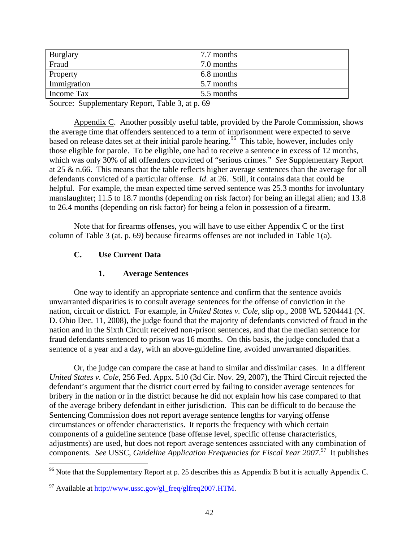| Burglary    | 7.7 months |
|-------------|------------|
| Fraud       | 7.0 months |
| Property    | 6.8 months |
| Immigration | 5.7 months |
| Income Tax  | 5.5 months |

Source: Supplementary Report, Table 3, at p. 69

Appendix C. Another possibly useful table, provided by the Parole Commission, shows the average time that offenders sentenced to a term of imprisonment were expected to serve based on release dates set at their initial parole hearing.<sup>96</sup> This table, however, includes only those eligible for parole. To be eligible, one had to receive a sentence in excess of 12 months, which was only 30% of all offenders convicted of "serious crimes." *See* Supplementary Report at 25 & n.66. This means that the table reflects higher average sentences than the average for all defendants convicted of a particular offense. *Id*. at 26. Still, it contains data that could be helpful. For example, the mean expected time served sentence was 25.3 months for involuntary manslaughter; 11.5 to 18.7 months (depending on risk factor) for being an illegal alien; and 13.8 to 26.4 months (depending on risk factor) for being a felon in possession of a firearm.

Note that for firearms offenses, you will have to use either Appendix C or the first column of Table 3 (at. p. 69) because firearms offenses are not included in Table 1(a).

### **C. Use Current Data**

### **1. Average Sentences**

One way to identify an appropriate sentence and confirm that the sentence avoids unwarranted disparities is to consult average sentences for the offense of conviction in the nation, circuit or district. For example, in *United States v. Cole*, slip op., 2008 WL 5204441 (N. D. Ohio Dec. 11, 2008), the judge found that the majority of defendants convicted of fraud in the nation and in the Sixth Circuit received non-prison sentences, and that the median sentence for fraud defendants sentenced to prison was 16 months. On this basis, the judge concluded that a sentence of a year and a day, with an above-guideline fine, avoided unwarranted disparities.

Or, the judge can compare the case at hand to similar and dissimilar cases. In a different *United States v. Cole*, 256 Fed. Appx. 510 (3d Cir. Nov. 29, 2007), the Third Circuit rejected the defendant's argument that the district court erred by failing to consider average sentences for bribery in the nation or in the district because he did not explain how his case compared to that of the average bribery defendant in either jurisdiction. This can be difficult to do because the Sentencing Commission does not report average sentence lengths for varying offense circumstances or offender characteristics. It reports the frequency with which certain components of a guideline sentence (base offense level, specific offense characteristics, adjustments) are used, but does not report average sentences associated with any combination of components. *See* USSC, *Guideline Application Frequencies for Fiscal Year 2007*. 97 It publishes

<sup>&</sup>lt;sup>96</sup> Note that the Supplementary Report at p. 25 describes this as Appendix B but it is actually Appendix C.

 $^{97}$  Available at http://www.ussc.gov/gl\_freq/glfreq2007.HTM.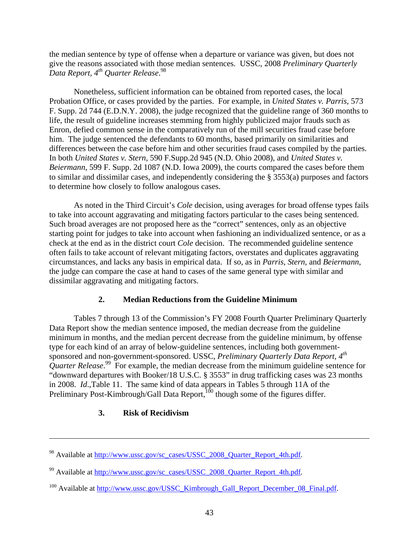the median sentence by type of offense when a departure or variance was given, but does not give the reasons associated with those median sentences. USSC, 2008 *Preliminary Quarterly Data Report, 4th Quarter Release*. 98

Nonetheless, sufficient information can be obtained from reported cases, the local Probation Office, or cases provided by the parties. For example, in *United States v. Parris*, 573 F. Supp. 2d 744 (E.D.N.Y. 2008), the judge recognized that the guideline range of 360 months to life, the result of guideline increases stemming from highly publicized major frauds such as Enron, defied common sense in the comparatively run of the mill securities fraud case before him. The judge sentenced the defendants to 60 months, based primarily on similarities and differences between the case before him and other securities fraud cases compiled by the parties. In both *United States v. Stern*, 590 F.Supp.2d 945 (N.D. Ohio 2008), and *United States v. Beiermann*, 599 F. Supp. 2d 1087 (N.D. Iowa 2009), the courts compared the cases before them to similar and dissimilar cases, and independently considering the § 3553(a) purposes and factors to determine how closely to follow analogous cases.

 As noted in the Third Circuit's *Cole* decision, using averages for broad offense types fails to take into account aggravating and mitigating factors particular to the cases being sentenced. Such broad averages are not proposed here as the "correct" sentences, only as an objective starting point for judges to take into account when fashioning an individualized sentence, or as a check at the end as in the district court *Cole* decision. The recommended guideline sentence often fails to take account of relevant mitigating factors, overstates and duplicates aggravating circumstances, and lacks any basis in empirical data. If so, as in *Parris*, *Stern*, and *Beiermann*, the judge can compare the case at hand to cases of the same general type with similar and dissimilar aggravating and mitigating factors.

### **2. Median Reductions from the Guideline Minimum**

 Tables 7 through 13 of the Commission's FY 2008 Fourth Quarter Preliminary Quarterly Data Report show the median sentence imposed, the median decrease from the guideline minimum in months, and the median percent decrease from the guideline minimum, by offense type for each kind of an array of below-guideline sentences, including both governmentsponsored and non-government-sponsored. USSC, *Preliminary Quarterly Data Report, 4th Quarter Release*. 99 For example, the median decrease from the minimum guideline sentence for "downward departures with Booker/18 U.S.C. § 3553" in drug trafficking cases was 23 months in 2008. *Id*.,Table 11. The same kind of data appears in Tables 5 through 11A of the Preliminary Post-Kimbrough/Gall Data Report,<sup>100</sup> though some of the figures differ.

## **3. Risk of Recidivism**

<sup>&</sup>lt;sup>98</sup> Available at http://www.ussc.gov/sc\_cases/USSC\_2008\_Quarter\_Report\_4th.pdf.

<sup>&</sup>lt;sup>99</sup> Available at http://www.ussc.gov/sc\_cases/USSC\_2008\_Quarter\_Report\_4th.pdf.

<sup>&</sup>lt;sup>100</sup> Available at http://www.ussc.gov/USSC\_Kimbrough\_Gall\_Report\_December\_08\_Final.pdf.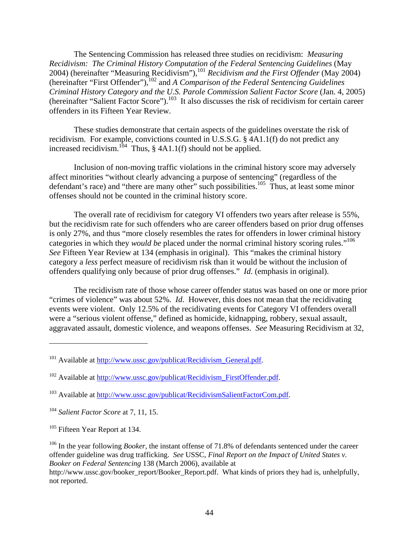The Sentencing Commission has released three studies on recidivism: *Measuring Recidivism: The Criminal History Computation of the Federal Sentencing Guidelines* (May 2004) (hereinafter "Measuring Recidivism"),<sup>101</sup> *Recidivism and the First Offender* (May 2004) (hereinafter "First Offender"),<sup>102</sup> and *A Comparison of the Federal Sentencing Guidelines Criminal History Category and the U.S. Parole Commission Salient Factor Score* (Jan. 4, 2005) (hereinafter "Salient Factor Score").<sup>103</sup> It also discusses the risk of recidivism for certain career offenders in its Fifteen Year Review.

These studies demonstrate that certain aspects of the guidelines overstate the risk of recidivism. For example, convictions counted in U.S.S.G. § 4A1.1(f) do not predict any increased recidivism.<sup>104</sup> Thus, § 4A1.1(f) should not be applied.

Inclusion of non-moving traffic violations in the criminal history score may adversely affect minorities "without clearly advancing a purpose of sentencing" (regardless of the defendant's race) and "there are many other" such possibilities.<sup>105</sup> Thus, at least some minor offenses should not be counted in the criminal history score.

The overall rate of recidivism for category VI offenders two years after release is 55%, but the recidivism rate for such offenders who are career offenders based on prior drug offenses is only 27%, and thus "more closely resembles the rates for offenders in lower criminal history categories in which they *would be* placed under the normal criminal history scoring rules."<sup>106</sup> *See* Fifteen Year Review at 134 (emphasis in original). This "makes the criminal history category a *less* perfect measure of recidivism risk than it would be without the inclusion of offenders qualifying only because of prior drug offenses." *Id*. (emphasis in original).

The recidivism rate of those whose career offender status was based on one or more prior "crimes of violence" was about 52%. *Id*. However, this does not mean that the recidivating events were violent. Only 12.5% of the recidivating events for Category VI offenders overall were a "serious violent offense," defined as homicide, kidnapping, robbery, sexual assault, aggravated assault, domestic violence, and weapons offenses. *See* Measuring Recidivism at 32,

1

106 In the year following *Booker*, the instant offense of 71.8% of defendants sentenced under the career offender guideline was drug trafficking. *See* USSC, *Final Report on the Impact of United States v. Booker on Federal Sentencing* 138 (March 2006), available at http://www.ussc.gov/booker\_report/Booker\_Report.pdf. What kinds of priors they had is, unhelpfully, not reported.

 $101$  Available at http://www.ussc.gov/publicat/Recidivism General.pdf.

 $102$  Available at http://www.ussc.gov/publicat/Recidivism\_FirstOffender.pdf.

<sup>103</sup> Available at http://www.ussc.gov/publicat/RecidivismSalientFactorCom.pdf.

<sup>104</sup> *Salient Factor Score* at 7, 11, 15.

<sup>&</sup>lt;sup>105</sup> Fifteen Year Report at 134.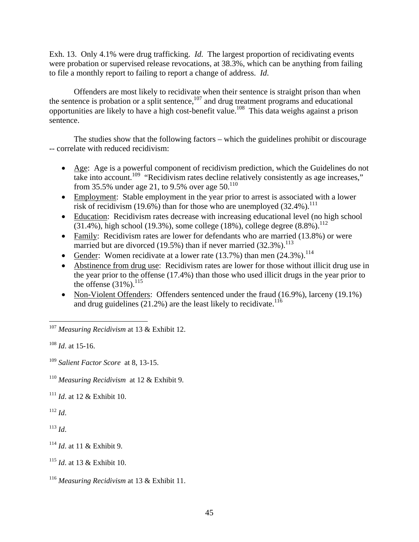Exh. 13. Only 4.1% were drug trafficking. *Id.* The largest proportion of recidivating events were probation or supervised release revocations, at 38.3%, which can be anything from failing to file a monthly report to failing to report a change of address. *Id*.

Offenders are most likely to recidivate when their sentence is straight prison than when the sentence is probation or a split sentence, $107$  and drug treatment programs and educational opportunities are likely to have a high cost-benefit value.108 This data weighs against a prison sentence.

The studies show that the following factors – which the guidelines prohibit or discourage -- correlate with reduced recidivism:

- Age: Age is a powerful component of recidivism prediction, which the Guidelines do not take into account.<sup>109</sup> "Recidivism rates decline relatively consistently as age increases," from 35.5% under age 21, to 9.5% over age  $50^{110}$
- Employment: Stable employment in the year prior to arrest is associated with a lower risk of recidivism (19.6%) than for those who are unemployed  $(32.4\%)$ .<sup>111</sup>
- Education: Recidivism rates decrease with increasing educational level (no high school  $(31.4\%)$ , high school (19.3%), some college (18%), college degree (8.8%).<sup>112</sup>
- Family: Recidivism rates are lower for defendants who are married (13.8%) or were married but are divorced (19.5%) than if never married  $(32.3\%)$ <sup>113</sup>
- Gender: Women recidivate at a lower rate  $(13.7%)$  than men  $(24.3%)$ .<sup>114</sup>
- Abstinence from drug use: Recidivism rates are lower for those without illicit drug use in the year prior to the offense (17.4%) than those who used illicit drugs in the year prior to the offense  $(31\%)$ .<sup>115</sup>
- Non-Violent Offenders: Offenders sentenced under the fraud (16.9%), larceny (19.1%) and drug guidelines  $(21.2\%)$  are the least likely to recidivate.<sup>116</sup>

 $\overline{a}$ <sup>107</sup> *Measuring Recidivism* at 13 & Exhibit 12.

<sup>108</sup> *Id*. at 15-16.

<sup>109</sup> *Salient Factor Score* at 8, 13-15.

<sup>110</sup> *Measuring Recidivism* at 12 & Exhibit 9.

<sup>111</sup> *Id*. at 12 & Exhibit 10.

 $112$  *Id*.

<sup>113</sup> *Id*.

<sup>114</sup> *Id*. at 11 & Exhibit 9.

<sup>115</sup> *Id*. at 13 & Exhibit 10.

<sup>116</sup> *Measuring Recidivism* at 13 & Exhibit 11.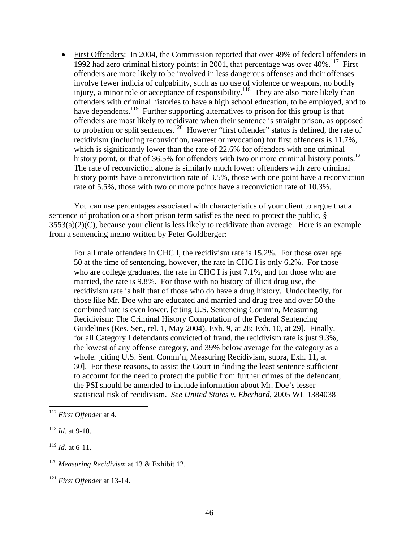• First Offenders: In 2004, the Commission reported that over 49% of federal offenders in 1992 had zero criminal history points; in 2001, that percentage was over  $40\%$ .<sup>117</sup> First offenders are more likely to be involved in less dangerous offenses and their offenses involve fewer indicia of culpability, such as no use of violence or weapons, no bodily injury, a minor role or acceptance of responsibility.<sup>118</sup> They are also more likely than offenders with criminal histories to have a high school education, to be employed, and to have dependents.<sup>119</sup> Further supporting alternatives to prison for this group is that offenders are most likely to recidivate when their sentence is straight prison, as opposed to probation or split sentences.<sup>120</sup> However "first offender" status is defined, the rate of recidivism (including reconviction, rearrest or revocation) for first offenders is 11.7%, which is significantly lower than the rate of 22.6% for offenders with one criminal history point, or that of 36.5% for offenders with two or more criminal history points.<sup>121</sup> The rate of reconviction alone is similarly much lower: offenders with zero criminal history points have a reconviction rate of 3.5%, those with one point have a reconviction rate of 5.5%, those with two or more points have a reconviction rate of 10.3%.

You can use percentages associated with characteristics of your client to argue that a sentence of probation or a short prison term satisfies the need to protect the public, §  $3553(a)(2)(C)$ , because your client is less likely to recidivate than average. Here is an example from a sentencing memo written by Peter Goldberger:

For all male offenders in CHC I, the recidivism rate is 15.2%. For those over age 50 at the time of sentencing, however, the rate in CHC I is only 6.2%. For those who are college graduates, the rate in CHC I is just 7.1%, and for those who are married, the rate is 9.8%. For those with no history of illicit drug use, the recidivism rate is half that of those who do have a drug history. Undoubtedly, for those like Mr. Doe who are educated and married and drug free and over 50 the combined rate is even lower. [citing U.S. Sentencing Comm'n, Measuring Recidivism: The Criminal History Computation of the Federal Sentencing Guidelines (Res. Ser., rel. 1, May 2004), Exh. 9, at 28; Exh. 10, at 29]. Finally, for all Category I defendants convicted of fraud, the recidivism rate is just 9.3%, the lowest of any offense category, and 39% below average for the category as a whole. [citing U.S. Sent. Comm'n, Measuring Recidivism, supra, Exh. 11, at 30]. For these reasons, to assist the Court in finding the least sentence sufficient to account for the need to protect the public from further crimes of the defendant, the PSI should be amended to include information about Mr. Doe's lesser statistical risk of recidivism. *See United States v. Eberhard*, 2005 WL 1384038

1

<sup>117</sup> *First Offender* at 4.

<sup>118</sup> *Id.* at 9-10.

<sup>119</sup> *Id*. at 6-11.

<sup>120</sup> *Measuring Recidivism* at 13 & Exhibit 12.

<sup>121</sup> *First Offender* at 13-14.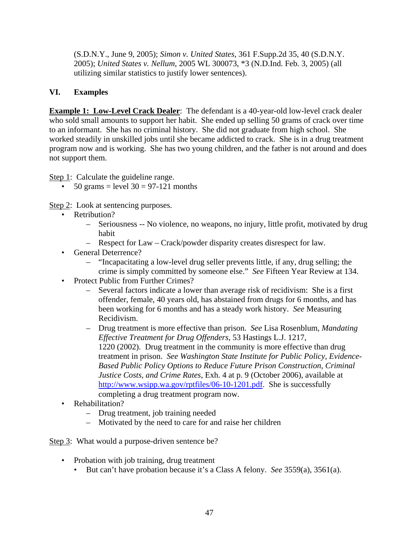(S.D.N.Y., June 9, 2005); *Simon v. United States*, 361 F.Supp.2d 35, 40 (S.D.N.Y. 2005); *United States v. Nellum*, 2005 WL 300073, \*3 (N.D.Ind. Feb. 3, 2005) (all utilizing similar statistics to justify lower sentences).

# **VI. Examples**

**Example 1: Low-Level Crack Dealer:** The defendant is a 40-year-old low-level crack dealer who sold small amounts to support her habit. She ended up selling 50 grams of crack over time to an informant. She has no criminal history. She did not graduate from high school. She worked steadily in unskilled jobs until she became addicted to crack. She is in a drug treatment program now and is working. She has two young children, and the father is not around and does not support them.

Step 1: Calculate the guideline range.

• 50 grams = level  $30 = 97-121$  months

Step 2: Look at sentencing purposes.

- Retribution?
	- Seriousness -- No violence, no weapons, no injury, little profit, motivated by drug habit
	- Respect for Law Crack/powder disparity creates disrespect for law.
- General Deterrence?
	- "Incapacitating a low-level drug seller prevents little, if any, drug selling; the crime is simply committed by someone else." *See* Fifteen Year Review at 134.
- Protect Public from Further Crimes?
	- Several factors indicate a lower than average risk of recidivism: She is a first offender, female, 40 years old, has abstained from drugs for 6 months, and has been working for 6 months and has a steady work history. *See* Measuring Recidivism.
	- Drug treatment is more effective than prison. *See* Lisa Rosenblum, *Mandating Effective Treatment for Drug Offenders*, 53 Hastings L.J. 1217, 1220 (2002). Drug treatment in the community is more effective than drug treatment in prison. *See Washington State Institute for Public Policy, Evidence-Based Public Policy Options to Reduce Future Prison Construction, Criminal Justice Costs, and Crime Rates*, Exh. 4 at p. 9 (October 2006), available at http://www.wsipp.wa.gov/rptfiles/06-10-1201.pdf. She is successfully completing a drug treatment program now.
- Rehabilitation?
	- Drug treatment, job training needed
	- Motivated by the need to care for and raise her children

Step 3: What would a purpose-driven sentence be?

- Probation with job training, drug treatment
	- But can't have probation because it's a Class A felony. *See* 3559(a), 3561(a).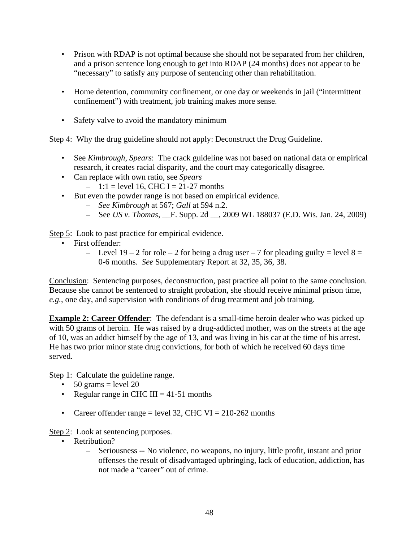- Prison with RDAP is not optimal because she should not be separated from her children, and a prison sentence long enough to get into RDAP (24 months) does not appear to be "necessary" to satisfy any purpose of sentencing other than rehabilitation.
- Home detention, community confinement, or one day or weekends in jail ("intermittent" confinement") with treatment, job training makes more sense.
- Safety valve to avoid the mandatory minimum

Step 4: Why the drug guideline should not apply: Deconstruct the Drug Guideline.

- See *Kimbrough*, *Spears*: The crack guideline was not based on national data or empirical research, it creates racial disparity, and the court may categorically disagree.
- Can replace with own ratio, see *Spears*
	- $-$  1:1 = level 16, CHC I = 21-27 months
- But even the powder range is not based on empirical evidence.
	- *See Kimbrough* at 567; *Gall* at 594 n.2.
	- See *US v. Thomas*, \_\_F. Supp. 2d \_\_, 2009 WL 188037 (E.D. Wis. Jan. 24, 2009)

Step 5: Look to past practice for empirical evidence.

- First offender:
	- Level  $19 2$  for role 2 for being a drug user 7 for pleading guilty = level  $8 =$ 0-6 months. *See* Supplementary Report at 32, 35, 36, 38.

Conclusion: Sentencing purposes, deconstruction, past practice all point to the same conclusion. Because she cannot be sentenced to straight probation, she should receive minimal prison time, *e.g.*, one day, and supervision with conditions of drug treatment and job training.

**Example 2: Career Offender**: The defendant is a small-time heroin dealer who was picked up with 50 grams of heroin. He was raised by a drug-addicted mother, was on the streets at the age of 10, was an addict himself by the age of 13, and was living in his car at the time of his arrest. He has two prior minor state drug convictions, for both of which he received 60 days time served.

Step 1: Calculate the guideline range.

- $50 \text{ grams} = \text{level } 20$
- Regular range in CHC III  $=$  41-51 months
- Career offender range = level 32, CHC VI =  $210-262$  months

Step 2: Look at sentencing purposes.

- Retribution?
	- Seriousness -- No violence, no weapons, no injury, little profit, instant and prior offenses the result of disadvantaged upbringing, lack of education, addiction, has not made a "career" out of crime.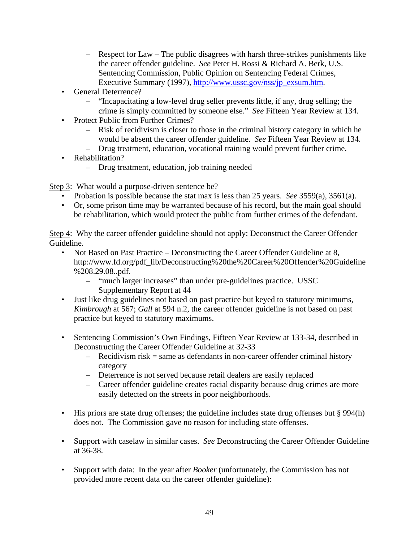- Respect for Law The public disagrees with harsh three-strikes punishments like the career offender guideline. *See* Peter H. Rossi & Richard A. Berk, U.S. Sentencing Commission, Public Opinion on Sentencing Federal Crimes, Executive Summary (1997), http://www.ussc.gov/nss/jp\_exsum.htm.
- General Deterrence?
	- "Incapacitating a low-level drug seller prevents little, if any, drug selling; the crime is simply committed by someone else." *See* Fifteen Year Review at 134.
- Protect Public from Further Crimes?
	- Risk of recidivism is closer to those in the criminal history category in which he would be absent the career offender guideline. *See* Fifteen Year Review at 134.
	- Drug treatment, education, vocational training would prevent further crime.
- Rehabilitation?
	- Drug treatment, education, job training needed

Step 3: What would a purpose-driven sentence be?

- Probation is possible because the stat max is less than 25 years. *See* 3559(a), 3561(a).
- Or, some prison time may be warranted because of his record, but the main goal should be rehabilitation, which would protect the public from further crimes of the defendant.

Step 4: Why the career offender guideline should not apply: Deconstruct the Career Offender Guideline.

- Not Based on Past Practice Deconstructing the Career Offender Guideline at 8, http://www.fd.org/pdf\_lib/Deconstructing%20the%20Career%20Offender%20Guideline %208.29.08..pdf.
	- "much larger increases" than under pre-guidelines practice. USSC Supplementary Report at 44
- Just like drug guidelines not based on past practice but keyed to statutory minimums, *Kimbrough* at 567; *Gall* at 594 n.2, the career offender guideline is not based on past practice but keyed to statutory maximums.
- Sentencing Commission's Own Findings, Fifteen Year Review at 133-34, described in Deconstructing the Career Offender Guideline at 32-33
	- $-$  Recidivism risk = same as defendants in non-career offender criminal history category
	- Deterrence is not served because retail dealers are easily replaced
	- Career offender guideline creates racial disparity because drug crimes are more easily detected on the streets in poor neighborhoods.
- His priors are state drug offenses; the guideline includes state drug offenses but § 994(h) does not. The Commission gave no reason for including state offenses.
- Support with caselaw in similar cases. *See* Deconstructing the Career Offender Guideline at 36-38.
- Support with data: In the year after *Booker* (unfortunately, the Commission has not provided more recent data on the career offender guideline):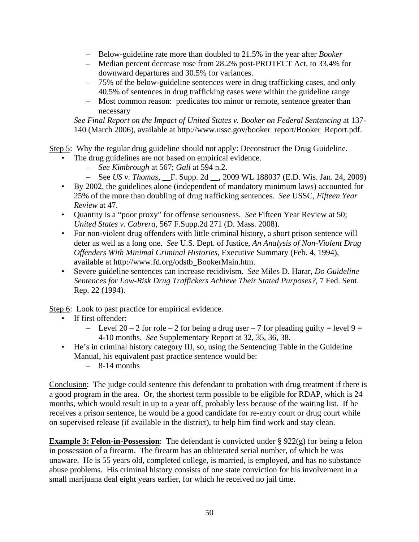- Below-guideline rate more than doubled to 21.5% in the year after *Booker*
- Median percent decrease rose from 28.2% post-PROTECT Act, to 33.4% for downward departures and 30.5% for variances.
- 75% of the below-guideline sentences were in drug trafficking cases, and only 40.5% of sentences in drug trafficking cases were within the guideline range
- Most common reason: predicates too minor or remote, sentence greater than necessary

*See Final Report on the Impact of United States v. Booker on Federal Sentencing* at 137- 140 (March 2006), available at http://www.ussc.gov/booker\_report/Booker\_Report.pdf.

## Step 5: Why the regular drug guideline should not apply: Deconstruct the Drug Guideline.

- The drug guidelines are not based on empirical evidence.
	- *See Kimbrough* at 567; *Gall* at 594 n.2.
	- See *US v. Thomas*, \_\_F. Supp. 2d \_\_, 2009 WL 188037 (E.D. Wis. Jan. 24, 2009)
- By 2002, the guidelines alone (independent of mandatory minimum laws) accounted for 25% of the more than doubling of drug trafficking sentences. *See* USSC, *Fifteen Year Review* at 47.
- Quantity is a "poor proxy" for offense seriousness. *See* Fifteen Year Review at 50; *United States v. Cabrera*, 567 F.Supp.2d 271 (D. Mass. 2008).
- For non-violent drug offenders with little criminal history, a short prison sentence will deter as well as a long one. *See* U.S. Dept. of Justice, *An Analysis of Non-Violent Drug Offenders With Minimal Criminal Histories*, Executive Summary (Feb. 4, 1994), available at http://www.fd.org/odstb\_BookerMain.htm.
- Severe guideline sentences can increase recidivism. *See* Miles D. Harar, *Do Guideline Sentences for Low-Risk Drug Traffickers Achieve Their Stated Purposes?*, 7 Fed. Sent. Rep. 22 (1994).

Step 6: Look to past practice for empirical evidence.

- If first offender:
	- Level 20 2 for role 2 for being a drug user 7 for pleading guilty = level 9 = 4-10 months. *See* Supplementary Report at 32, 35, 36, 38.
- He's in criminal history category III, so, using the Sentencing Table in the Guideline Manual, his equivalent past practice sentence would be:
	- $-$  8-14 months

Conclusion: The judge could sentence this defendant to probation with drug treatment if there is a good program in the area. Or, the shortest term possible to be eligible for RDAP, which is 24 months, which would result in up to a year off, probably less because of the waiting list. If he receives a prison sentence, he would be a good candidate for re-entry court or drug court while on supervised release (if available in the district), to help him find work and stay clean.

**Example 3: Felon-in-Possession**: The defendant is convicted under § 922(g) for being a felon in possession of a firearm. The firearm has an obliterated serial number, of which he was unaware. He is 55 years old, completed college, is married, is employed, and has no substance abuse problems. His criminal history consists of one state conviction for his involvement in a small marijuana deal eight years earlier, for which he received no jail time.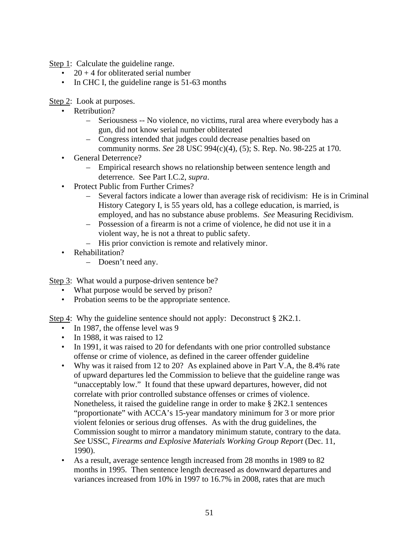Step 1: Calculate the guideline range.

- 20 + 4 for obliterated serial number
- In CHC I, the guideline range is 51-63 months

Step 2: Look at purposes.

- Retribution?
	- Seriousness -- No violence, no victims, rural area where everybody has a gun, did not know serial number obliterated
	- Congress intended that judges could decrease penalties based on community norms. *See* 28 USC 994(c)(4), (5); S. Rep. No. 98-225 at 170.
- General Deterrence?
	- Empirical research shows no relationship between sentence length and deterrence. See Part I.C.2, *supra*.
- Protect Public from Further Crimes?
	- Several factors indicate a lower than average risk of recidivism: He is in Criminal History Category I, is 55 years old, has a college education, is married, is employed, and has no substance abuse problems. *See* Measuring Recidivism.
	- Possession of a firearm is not a crime of violence, he did not use it in a violent way, he is not a threat to public safety.
	- His prior conviction is remote and relatively minor.
- Rehabilitation?
	- Doesn't need any.

Step 3: What would a purpose-driven sentence be?

- What purpose would be served by prison?
- Probation seems to be the appropriate sentence.

### Step 4: Why the guideline sentence should not apply: Deconstruct § 2K2.1.

- In 1987, the offense level was 9
- In 1988, it was raised to 12
- In 1991, it was raised to 20 for defendants with one prior controlled substance offense or crime of violence, as defined in the career offender guideline
- Why was it raised from 12 to 20? As explained above in Part V.A, the 8.4% rate of upward departures led the Commission to believe that the guideline range was "unacceptably low." It found that these upward departures, however, did not correlate with prior controlled substance offenses or crimes of violence. Nonetheless, it raised the guideline range in order to make § 2K2.1 sentences "proportionate" with ACCA's 15-year mandatory minimum for 3 or more prior violent felonies or serious drug offenses. As with the drug guidelines, the Commission sought to mirror a mandatory minimum statute, contrary to the data. *See* USSC, *Firearms and Explosive Materials Working Group Report* (Dec. 11, 1990).
- As a result, average sentence length increased from 28 months in 1989 to 82 months in 1995. Then sentence length decreased as downward departures and variances increased from 10% in 1997 to 16.7% in 2008, rates that are much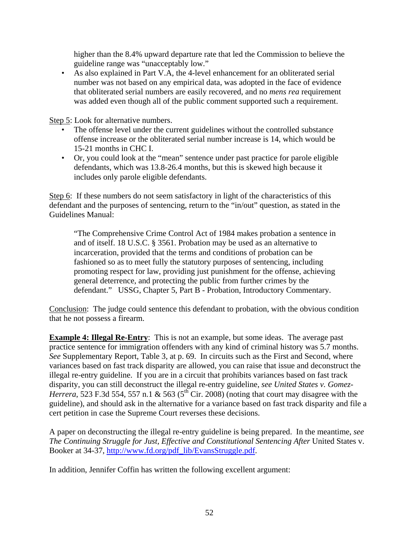higher than the 8.4% upward departure rate that led the Commission to believe the guideline range was "unacceptably low."

• As also explained in Part V.A, the 4-level enhancement for an obliterated serial number was not based on any empirical data, was adopted in the face of evidence that obliterated serial numbers are easily recovered, and no *mens rea* requirement was added even though all of the public comment supported such a requirement.

Step 5: Look for alternative numbers.

- The offense level under the current guidelines without the controlled substance offense increase or the obliterated serial number increase is 14, which would be 15-21 months in CHC I.
- Or, you could look at the "mean" sentence under past practice for parole eligible defendants, which was 13.8-26.4 months, but this is skewed high because it includes only parole eligible defendants.

Step 6: If these numbers do not seem satisfactory in light of the characteristics of this defendant and the purposes of sentencing, return to the "in/out" question, as stated in the Guidelines Manual:

"The Comprehensive Crime Control Act of 1984 makes probation a sentence in and of itself. 18 U.S.C. § 3561. Probation may be used as an alternative to incarceration, provided that the terms and conditions of probation can be fashioned so as to meet fully the statutory purposes of sentencing, including promoting respect for law, providing just punishment for the offense, achieving general deterrence, and protecting the public from further crimes by the defendant." USSG, Chapter 5, Part B - Probation, Introductory Commentary.

Conclusion: The judge could sentence this defendant to probation, with the obvious condition that he not possess a firearm.

**Example 4: Illegal Re-Entry:** This is not an example, but some ideas. The average past practice sentence for immigration offenders with any kind of criminal history was 5.7 months. *See* Supplementary Report, Table 3, at p. 69. In circuits such as the First and Second, where variances based on fast track disparity are allowed, you can raise that issue and deconstruct the illegal re-entry guideline. If you are in a circuit that prohibits variances based on fast track disparity, you can still deconstruct the illegal re-entry guideline, *see United States v. Gomez-Herrera*, 523 F.3d 554, 557 n.1 & 563 (5<sup>th</sup> Cir. 2008) (noting that court may disagree with the guideline), and should ask in the alternative for a variance based on fast track disparity and file a cert petition in case the Supreme Court reverses these decisions.

A paper on deconstructing the illegal re-entry guideline is being prepared. In the meantime, *see*  The Continuing Struggle for Just, Effective and Constitutional Sentencing After United States v. Booker at 34-37, http://www.fd.org/pdf\_lib/EvansStruggle.pdf.

In addition, Jennifer Coffin has written the following excellent argument: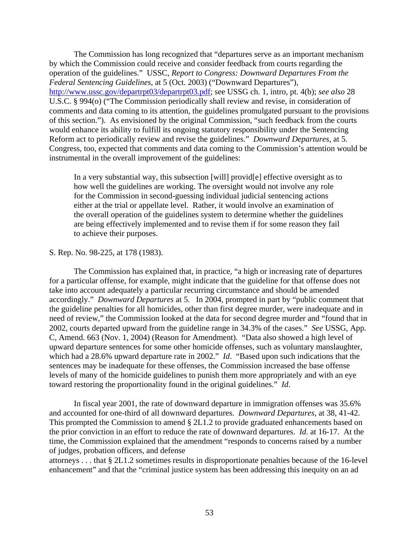The Commission has long recognized that "departures serve as an important mechanism by which the Commission could receive and consider feedback from courts regarding the operation of the guidelines." USSC, *Report to Congress: Downward Departures From the Federal Sentencing Guidelines*, at 5 (Oct. 2003) ("Downward Departures"), http://www.ussc.gov/departrpt03/departrpt03.pdf; see USSG ch. 1, intro, pt. 4(b); *see also* 28 U.S.C. § 994(o) ("The Commission periodically shall review and revise, in consideration of comments and data coming to its attention, the guidelines promulgated pursuant to the provisions of this section."). As envisioned by the original Commission, "such feedback from the courts would enhance its ability to fulfill its ongoing statutory responsibility under the Sentencing Reform act to periodically review and revise the guidelines." *Downward Departures*, at 5. Congress, too, expected that comments and data coming to the Commission's attention would be instrumental in the overall improvement of the guidelines:

In a very substantial way, this subsection [will] provid[e] effective oversight as to how well the guidelines are working. The oversight would not involve any role for the Commission in second-guessing individual judicial sentencing actions either at the trial or appellate level. Rather, it would involve an examination of the overall operation of the guidelines system to determine whether the guidelines are being effectively implemented and to revise them if for some reason they fail to achieve their purposes.

#### S. Rep. No. 98-225, at 178 (1983).

 The Commission has explained that, in practice, "a high or increasing rate of departures for a particular offense, for example, might indicate that the guideline for that offense does not take into account adequately a particular recurring circumstance and should be amended accordingly." *Downward Departures* at 5. In 2004, prompted in part by "public comment that the guideline penalties for all homicides, other than first degree murder, were inadequate and in need of review," the Commission looked at the data for second degree murder and "found that in 2002, courts departed upward from the guideline range in 34.3% of the cases." *See* USSG, App. C, Amend. 663 (Nov. 1, 2004) (Reason for Amendment). "Data also showed a high level of upward departure sentences for some other homicide offenses, such as voluntary manslaughter, which had a 28.6% upward departure rate in 2002." *Id*. "Based upon such indications that the sentences may be inadequate for these offenses, the Commission increased the base offense levels of many of the homicide guidelines to punish them more appropriately and with an eye toward restoring the proportionality found in the original guidelines." *Id*.

 In fiscal year 2001, the rate of downward departure in immigration offenses was 35.6% and accounted for one-third of all downward departures. *Downward Departures*, at 38, 41-42. This prompted the Commission to amend § 2L1.2 to provide graduated enhancements based on the prior conviction in an effort to reduce the rate of downward departures. *Id*. at 16-17. At the time, the Commission explained that the amendment "responds to concerns raised by a number of judges, probation officers, and defense

attorneys . . . that § 2L1.2 sometimes results in disproportionate penalties because of the 16-level enhancement" and that the "criminal justice system has been addressing this inequity on an ad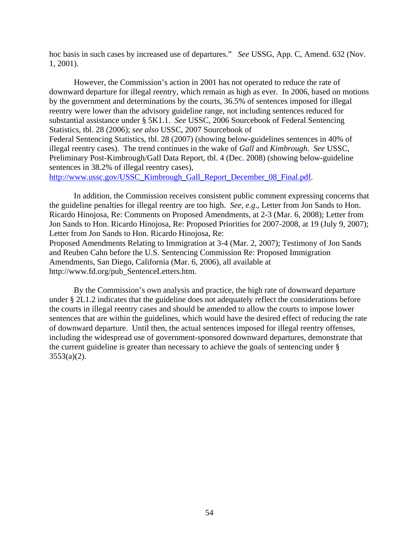hoc basis in such cases by increased use of departures." *See* USSG, App. C, Amend. 632 (Nov. 1, 2001).

 However, the Commission's action in 2001 has not operated to reduce the rate of downward departure for illegal reentry, which remain as high as ever. In 2006, based on motions by the government and determinations by the courts, 36.5% of sentences imposed for illegal reentry were lower than the advisory guideline range, not including sentences reduced for substantial assistance under § 5K1.1. *See* USSC, 2006 Sourcebook of Federal Sentencing Statistics, tbl. 28 (2006); *see also* USSC, 2007 Sourcebook of Federal Sentencing Statistics, tbl. 28 (2007) (showing below-guidelines sentences in 40% of illegal reentry cases). The trend continues in the wake of *Gall* and *Kimbrough*. *See* USSC, Preliminary Post-Kimbrough/Gall Data Report, tbl. 4 (Dec. 2008) (showing below-guideline sentences in 38.2% of illegal reentry cases),

http://www.ussc.gov/USSC\_Kimbrough\_Gall\_Report\_December\_08\_Final.pdf.

 In addition, the Commission receives consistent public comment expressing concerns that the guideline penalties for illegal reentry are too high. *See, e.g*., Letter from Jon Sands to Hon. Ricardo Hinojosa, Re: Comments on Proposed Amendments, at 2-3 (Mar. 6, 2008); Letter from Jon Sands to Hon. Ricardo Hinojosa, Re: Proposed Priorities for 2007-2008, at 19 (July 9, 2007); Letter from Jon Sands to Hon. Ricardo Hinojosa, Re: Proposed Amendments Relating to Immigration at 3-4 (Mar. 2, 2007); Testimony of Jon Sands and Reuben Cahn before the U.S. Sentencing Commission Re: Proposed Immigration Amendments, San Diego, California (Mar. 6, 2006), all available at http://www.fd.org/pub\_SentenceLetters.htm.

 By the Commission's own analysis and practice, the high rate of downward departure under § 2L1.2 indicates that the guideline does not adequately reflect the considerations before the courts in illegal reentry cases and should be amended to allow the courts to impose lower sentences that are within the guidelines, which would have the desired effect of reducing the rate of downward departure. Until then, the actual sentences imposed for illegal reentry offenses, including the widespread use of government-sponsored downward departures, demonstrate that the current guideline is greater than necessary to achieve the goals of sentencing under §  $3553(a)(2)$ .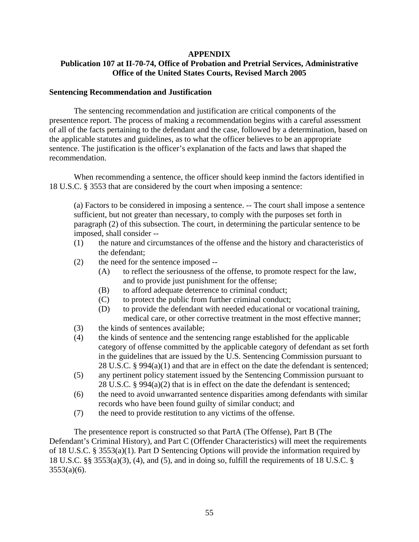### **APPENDIX**

## **Publication 107 at II-70-74, Office of Probation and Pretrial Services, Administrative Office of the United States Courts, Revised March 2005**

#### **Sentencing Recommendation and Justification**

The sentencing recommendation and justification are critical components of the presentence report. The process of making a recommendation begins with a careful assessment of all of the facts pertaining to the defendant and the case, followed by a determination, based on the applicable statutes and guidelines, as to what the officer believes to be an appropriate sentence. The justification is the officer's explanation of the facts and laws that shaped the recommendation.

When recommending a sentence, the officer should keep inmind the factors identified in 18 U.S.C. § 3553 that are considered by the court when imposing a sentence:

(a) Factors to be considered in imposing a sentence. -- The court shall impose a sentence sufficient, but not greater than necessary, to comply with the purposes set forth in paragraph (2) of this subsection. The court, in determining the particular sentence to be imposed, shall consider --

- (1) the nature and circumstances of the offense and the history and characteristics of the defendant;
- (2) the need for the sentence imposed --
	- (A) to reflect the seriousness of the offense, to promote respect for the law, and to provide just punishment for the offense;
	- (B) to afford adequate deterrence to criminal conduct;
	- (C) to protect the public from further criminal conduct;
	- (D) to provide the defendant with needed educational or vocational training, medical care, or other corrective treatment in the most effective manner;
- (3) the kinds of sentences available;
- (4) the kinds of sentence and the sentencing range established for the applicable category of offense committed by the applicable category of defendant as set forth in the guidelines that are issued by the U.S. Sentencing Commission pursuant to 28 U.S.C. § 994(a)(1) and that are in effect on the date the defendant is sentenced;
- (5) any pertinent policy statement issued by the Sentencing Commission pursuant to 28 U.S.C. § 994(a)(2) that is in effect on the date the defendant is sentenced;
- (6) the need to avoid unwarranted sentence disparities among defendants with similar records who have been found guilty of similar conduct; and
- (7) the need to provide restitution to any victims of the offense.

The presentence report is constructed so that PartA (The Offense), Part B (The Defendant's Criminal History), and Part C (Offender Characteristics) will meet the requirements of 18 U.S.C. § 3553(a)(1). Part D Sentencing Options will provide the information required by 18 U.S.C. §§ 3553(a)(3), (4), and (5), and in doing so, fulfill the requirements of 18 U.S.C. §  $3553(a)(6)$ .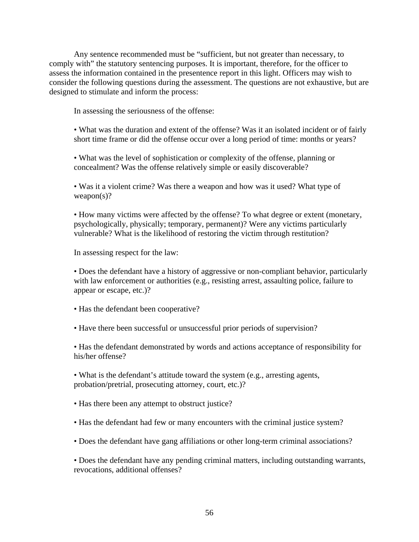Any sentence recommended must be "sufficient, but not greater than necessary, to comply with" the statutory sentencing purposes. It is important, therefore, for the officer to assess the information contained in the presentence report in this light. Officers may wish to consider the following questions during the assessment. The questions are not exhaustive, but are designed to stimulate and inform the process:

In assessing the seriousness of the offense:

• What was the duration and extent of the offense? Was it an isolated incident or of fairly short time frame or did the offense occur over a long period of time: months or years?

• What was the level of sophistication or complexity of the offense, planning or concealment? Was the offense relatively simple or easily discoverable?

• Was it a violent crime? Was there a weapon and how was it used? What type of  $weapon(s)?$ 

• How many victims were affected by the offense? To what degree or extent (monetary, psychologically, physically; temporary, permanent)? Were any victims particularly vulnerable? What is the likelihood of restoring the victim through restitution?

In assessing respect for the law:

• Does the defendant have a history of aggressive or non-compliant behavior, particularly with law enforcement or authorities (e.g., resisting arrest, assaulting police, failure to appear or escape, etc.)?

• Has the defendant been cooperative?

• Have there been successful or unsuccessful prior periods of supervision?

• Has the defendant demonstrated by words and actions acceptance of responsibility for his/her offense?

• What is the defendant's attitude toward the system (e.g., arresting agents, probation/pretrial, prosecuting attorney, court, etc.)?

• Has there been any attempt to obstruct justice?

• Has the defendant had few or many encounters with the criminal justice system?

• Does the defendant have gang affiliations or other long-term criminal associations?

• Does the defendant have any pending criminal matters, including outstanding warrants, revocations, additional offenses?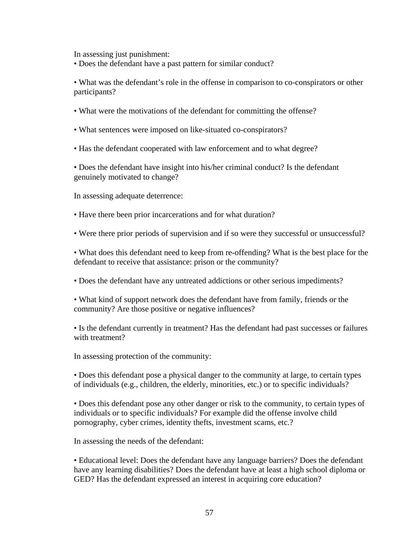In assessing just punishment:

• Does the defendant have a past pattern for similar conduct?

• What was the defendant's role in the offense in comparison to co-conspirators or other participants?

- What were the motivations of the defendant for committing the offense?
- What sentences were imposed on like-situated co-conspirators?
- Has the defendant cooperated with law enforcement and to what degree?

• Does the defendant have insight into his/her criminal conduct? Is the defendant genuinely motivated to change?

In assessing adequate deterrence:

- Have there been prior incarcerations and for what duration?
- Were there prior periods of supervision and if so were they successful or unsuccessful?

• What does this defendant need to keep from re-offending? What is the best place for the defendant to receive that assistance: prison or the community?

- Does the defendant have any untreated addictions or other serious impediments?
- What kind of support network does the defendant have from family, friends or the community? Are those positive or negative influences?

• Is the defendant currently in treatment? Has the defendant had past successes or failures with treatment?

In assessing protection of the community:

• Does this defendant pose a physical danger to the community at large, to certain types of individuals (e.g., children, the elderly, minorities, etc.) or to specific individuals?

• Does this defendant pose any other danger or risk to the community, to certain types of individuals or to specific individuals? For example did the offense involve child pornography, cyber crimes, identity thefts, investment scams, etc.?

In assessing the needs of the defendant:

• Educational level: Does the defendant have any language barriers? Does the defendant have any learning disabilities? Does the defendant have at least a high school diploma or GED? Has the defendant expressed an interest in acquiring core education?